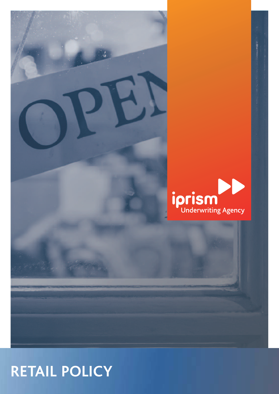

**RETAIL POLICY**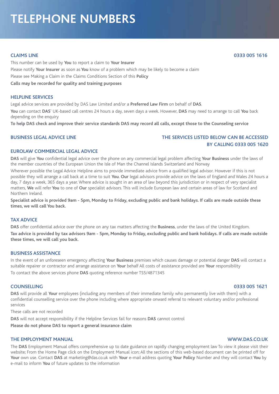# **TELEPHONE NUMBERS**

This number can be used by **You** to report a claim to **Your Insurer** Please notify **Your Insurer** as soon as **You** know of a problem which may be likely to become a claim Please see Making a Claim in the Claims Conditions Section of this **Policy Calls may be recorded for quality and training purposes**

### **HELPLINE SERVICES**

Legal advice services are provided by DAS Law Limited and/or a **Preferred Law Firm** on behalf of **DAS**. **You** can contact **DAS**' UK-based call centres 24 hours a day, seven days a week. However, **DAS** may need to arrange to call **You** back depending on the enquiry

To help DAS check and improve their service standards DAS may record all calls, except those to the Counseling service

# **BUSINESS LEGAL ADVICE LINE THE SERVICES LISTED BELOW CAN BE ACCESSED BY CALLING 0333 005 1620**

# **EUROLAW COMMERCIAL LEGAL ADVICE**

**DAS** will give **You** confidential legal advice over the phone on any commercial legal problem affecting **Your Business** under the laws of the member countries of the European Union the Isle of Man the Channel Islands Switzerland and Norway

Wherever possible the Legal Advice Helpline aims to provide immediate advice from a qualified legal advisor. However if this is not possible they will arrange a call back at a time to suit **You**. **Our** legal advisors provide advice on the laws of England and Wales 24 hours a day, 7 days a week, 365 days a year. Where advice is sought in an area of law beyond this jurisdiction or in respect of very specialist matters, **We** will refer **You** to one of **Our** specialist advisors. This will include European law and certain areas of law for Scotland and Northern Ireland.

Specialist advice is provided 9am - 5pm, Monday to Friday, excluding public and bank holidays. If calls are made outside these **times, we will call You back.**

#### **TAX ADVICE**

**DAS** offer confidential advice over the phone on any tax matters affecting the **Business**, under the laws of the United Kingdom.

Tax advice is provided by tax advisors 9am - 5pm, Monday to Friday, excluding public and bank holidays. If calls are made outside **these times, we will call you back.**

# **BUSINESS ASSISTANCE**

In the event of an unforeseen emergency affecting **Your Business** premises which causes damage or potential danger **DAS** will contact a suitable repairer or contractor and arrange assistance on **Your** behalf All costs of assistance provided are **Your** responsibility

To contact the above services phone **DAS** quoting reference number TS5/4871345

# **COUNSELLING 0333 005 1621**

**DAS** will provide all **Your** employees (including any members of their immediate family who permanently live with them) with a confidential counselling service over the phone including where appropriate onward referral to relevant voluntary and/or professional services

These calls are not recorded

**DAS** will not accept responsibility if the Helpline Services fail for reasons **DAS** cannot control

**Please do not phone DAS to report a general insurance claim**

## **THE EMPLOYMENT MANUAL WWW.DAS.CO.UK**

The **DAS** Employment Manual offers comprehensive up to date guidance on rapidly changing employment law To view it please visit their website; From the Home Page click on the Employment Manual icon; All the sections of this web-based document can be printed off for **Your** own use. Contact **DAS** at marketing@das.co.uk with **Your** e-mail address quoting **Your Policy** Number and they will contact **You** by e-mail to inform **You** of future updates to the information

# **CLAIMS LINE 0333 005 1616**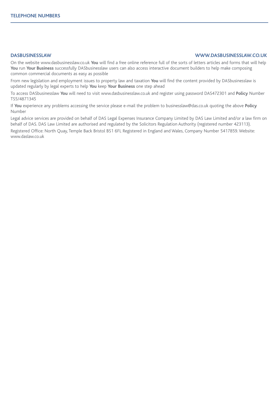# **DASBUSINESSLAW WWW.DASBUSINESSLAW.CO.UK**

On the website www.dasbusinesslaw.co.uk **You** will find a free online reference full of the sorts of letters articles and forms that will help **You** run **Your Business** successfully DASbusinesslaw users can also access interactive document builders to help make composing common commercial documents as easy as possible

From new legislation and employment issues to property law and taxation **You** will find the content provided by DASbusinesslaw is updated regularly by legal experts to help **You** keep **Your Business** one step ahead

To access DASbusinesslaw **You** will need to visit www.dasbusinesslaw.co.uk and register using password DAS472301 and **Policy** Number TS5/4871345

If **You** experience any problems accessing the service please e-mail the problem to businesslaw@das.co.uk quoting the above **Policy** Number

Legal advice services are provided on behalf of DAS Legal Expenses Insurance Company Limited by DAS Law Limited and/or a law firm on behalf of DAS. DAS Law Limited are authorised and regulated by the Solicitors Regulation Authority (registered number 423113).

Registered Office: North Quay, Temple Back Bristol BS1 6FL Registered in England and Wales, Company Number 5417859. Website: www.daslaw.co.uk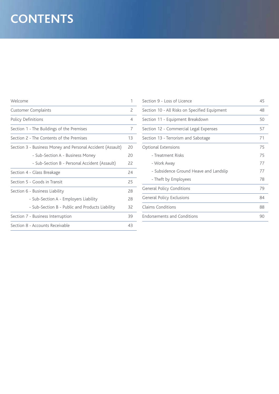# **CONTENTS**

| Welcome                                                    | 1             |
|------------------------------------------------------------|---------------|
| <b>Customer Complaints</b>                                 | $\mathcal{P}$ |
| Policy Definitions                                         | 4             |
| Section 1 - The Buildings of the Premises                  | 7             |
| Section 2 - The Contents of the Premises                   | 13            |
| Section 3 - Business Money and Personal Accident (Assault) | 20            |
| - Sub-Section A - Business Money                           | 20            |
| - Sub-Section B - Personal Accident (Assault)              | 22            |
| Section 4 - Glass Breakage                                 | 24            |
| Section 5 - Goods in Transit                               | 25            |
| Section 6 - Business Liability                             | 28            |
| - Sub-Section A - Employers Liability                      | 28            |
| - Sub-Section B - Public and Products Liability            | 32            |
| Section 7 - Business Interruption                          | 39            |
| Section 8 - Accounts Receivable                            | 43            |

| Section 9 - Loss of Licence                   | 45 |
|-----------------------------------------------|----|
| Section 10 - All Risks on Specified Equipment | 48 |
| Section 11 - Equipment Breakdown              | 50 |
| Section 12 - Commercial Legal Expenses        | 57 |
| Section 13 - Terrorism and Sabotage           | 71 |
| <b>Optional Extensions</b>                    | 75 |
| - Treatment Risks                             | 75 |
| - Work Away                                   | 77 |
| - Subsidence Ground Heave and Landslip        | 77 |
| - Theft by Employees                          | 78 |
| <b>General Policy Conditions</b>              | 79 |
| General Policy Exclusions                     | 84 |
| Claims Conditions                             | 88 |
| <b>Endorsements and Conditions</b>            | 90 |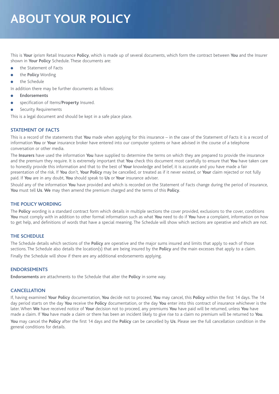# **ABOUT YOUR POLICY**

This is **Your** iprism Retail Insurance **Policy**, which is made up of several documents, which form the contract between **You** and the Insurer shown in **Your Policy** Schedule. These documents are:

- the Statement of Facts
- the **Policy** Wording
- the Schedule

In addition there may be further documents as follows:

- <sup>l</sup> **Endorsements**
- <sup>l</sup> specification of Items/**Property** Insured.
- **Security Requirements**

This is a legal document and should be kept in a safe place place.

# **STATEMENT OF FACTS**

This is a record of the statements that **You** made when applying for this insurance – in the case of the Statement of Facts it is a record of information **You** or **Your** insurance broker have entered into our computer systems or have advised in the course of a telephone conversation or other media.

The **Insurers** have used the information **You** have supplied to determine the terms on which they are prepared to provide the insurance and the premium they require. It is extremely important that **You** check this document most carefully to ensure that **You** have taken care to honestly provide this information and that to the best of **Your** knowledge and belief, it is accurate and you have made a fair presentation of the risk. If **You** don't, **Your Policy** may be cancelled, or treated as if it never existed, or **Your** claim rejected or not fully paid. If **You** are in any doubt, **You** should speak to **Us** or **Your** insurance adviser.

Should any of the information **You** have provided and which is recorded on the Statement of Facts change during the period of insurance, **You** must tell **Us**. **We** may then amend the premium charged and the terms of this **Policy**.

# **THE POLICY WORDING**

The **Policy** wording is a standard contract form which details in multiple sections the cover provided, exclusions to the cover, conditions **You** must comply with in addition to other formal information such as what **You** need to do if **You** have a complaint, information on how to get help, and definitions of words that have a special meaning. The Schedule will show which sections are operative and which are not.

# **THE SCHEDULE**

The Schedule details which sections of the **Policy** are operative and the major sums insured and limits that apply to each of those sections. The Schedule also details the location(s) that are being insured by the **Policy** and the main excesses that apply to a claim. Finally the Schedule will show if there are any additional endorsements applying.

# **ENDORSEMENTS**

**Endorsements** are attachments to the Schedule that alter the **Policy** in some way.

# **CANCELLATION**

If, having examined **Your Policy** documentation, **You** decide not to proceed, **You** may cancel, this **Policy** within the first 14 days. The 14 day period starts on the day **You** receive the **Policy** documentation, or the day **You** enter into this contract of insurance whichever is the later. When **We** have received notice of **Your** decision not to proceed, any premiums **You** have paid will be returned, unless **You** have made a claim. If **You** have made a claim or there has been an incident likely to give rise to a claim no premium will be returned to **You**. **You** may cancel the **Policy** after the first 14 days and the **Policy** can be cancelled by **Us**. Please see the full cancellation condition in the general conditions for details.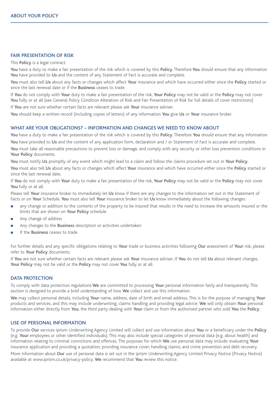# **FAIR PRESENTATION OF RISK**

This **Policy** is a legal contract.

**You** have a duty to make a fair presentation of the risk which is covered by this **Policy**. Therefore **You** should ensure that any information You have provided to Us and the content of any Statement of Fact is accurate and complete.

**You** must also tell **Us** about any facts or changes which affect **Your** insurance and which have occurred either since the **Policy** started or since the last renewal date or if the **Business** ceases to trade.

If **You** do not comply with **Your** duty to make a fair presentation of the risk, **Your Policy** may not be valid or the **Policy** may not cover **You** fully or at all (see General Policy Condition Alteration of Risk and Fair Presentation of Risk for full details of cover restrictions) If **You** are not sure whether certain facts are relevant please ask **Your** insurance adviser.

**You** should keep a written record (including copies of letters) of any information **You** give **Us** or **Your** insurance broker.

# **WHAT ARE YOUR OBLIGATIONS? – INFORMATION AND CHANGES WE NEED TO KNOW ABOUT**

**You** have a duty to make a fair presentation of the risk which is covered by this **Policy**. Therefore **You** should ensure that any information **You** have provided to **Us** and the content of any application form, declaration and / or Statement of Fact is accurate and complete. You must take all reasonable precautions to prevent loss or damage, and comply with any security or other loss prevention conditions in **Your Policy** documents.

**You** must notify **Us** promptly of any event which might lead to a claim and follow the claims procedure set out in **Your Policy**.

**You** must also tell **Us** about any facts or changes which affect **Your** insurance and which have occurred either since the **Policy** started or since the last renewal date.

If **You** do not comply with **Your** duty to make a fair presentation of the risk, **Your Policy** may not be valid or the **Policy** may not cover **You** fully or at all.

Please tell **Your** insurance broker to immediately let **Us** know if there are any changes to the information set out in the Statement of Facts or on **Your** Schedule. **You** must also tell **Your** insurance broker to let **Us** know immediately about the following changes:

- any change or addition to the contents of the property to be insured that results in the need to increase the amounts insured or the limits that are shown on **Your Policy** schedule
- Any change of address
- <sup>l</sup> Any changes to the **Business** description or activities undertaken
- If the **Business** ceases to trade

For further details and any specific obligations relating to **Your** trade or business activities following **Our** assessment of **Your** risk, please refer to **Your Policy** documents.

If **You** are not sure whether certain facts are relevant please ask **Your** insurance adviser. If **You** do not tell **Us** about relevant changes, **Your Policy** may not be valid or the **Policy** may not cover **You** fully or at all.

#### **DATA PROTECTION**

To comply with data protection regulations **We** are committed to processing **Your** personal information fairly and transparently. This section is designed to provide a brief understanding of how **We** collect and use this information.

**We** may collect personal details, including **Your** name, address, date of birth and email address. This is for the purpose of managing **Your** products and services, and this may include underwriting, claims handling and providing legal advice. **We** will only obtain **Your** personal information either directly from **You**, the third party dealing with **Your** claim or from the authorised partner who sold **You** the **Policy**.

# **USE OF PERSONAL INFORMATION**

To provide **Our** services iprism Underwriting Agency Limited will collect and use information about **You** or a beneficiary under the **Policy** (e.g. **Your** employees or other identified individuals). This may also include special categories of personal data (e.g. about health) and information relating to criminal convictions and offences. The purposes for which **We** use personal data may include: evaluating **Your** insurance application and providing a quotation; providing insurance cover; handling claims; and crime prevention and debt recovery.

More information about **Our** use of personal data is set out in the iprism Underwriting Agency Limited Privacy Notice (Privacy Notice) available at www.iprism.co.uk/privacy-policy. **We** recommend that **You** review this notice.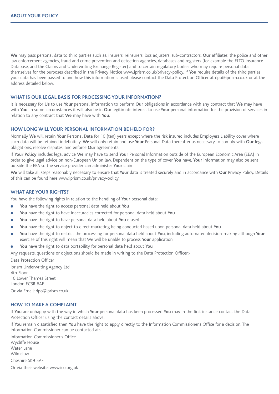**We** may pass personal data to third parties such as, insurers, reinsurers, loss adjusters, sub-contractors, **Our** affiliates, the police and other law enforcement agencies, fraud and crime prevention and detection agencies, databases and registers (for example the ELTO Insurance Database, and the Claims and Underwriting Exchange Register) and to certain regulatory bodies who may require personal data themselves for the purposes described in the Privacy Notice www.iprism.co.uk/privacy-policy. If **You** require details of the third parties your data has been passed to and how this information is used please contact the Data Protection Officer at dpo@iprism.co.uk or at the address detailed below.

#### **WHAT IS OUR LEGAL BASIS FOR PROCESSING YOUR INFORMATION?**

It is necessary for **Us** to use **Your** personal information to perform **Our** obligations in accordance with any contract that **We** may have with **You**. In some circumstances it will also be in **Ou**r legitimate interest to use **Your** personal information for the provision of services in relation to any contract that **We** may have with **You**.

#### **HOW LONG WILL YOUR PERSONAL INFORMATION BE HELD FOR?**

Normally **We** will retain **Your** Personal Data for 10 (ten) years except where the risk insured includes Employers Liability cover where such data will be retained indefinitely. **We** will only retain and use **Your** Personal Data thereafter as necessary to comply with **Our** legal obligations, resolve disputes, and enforce **Our** agreements.

If **Your Policy** includes legal advice **We** may have to send **Your** Personal Information outside of the European Economic Area (EEA) in order to give legal advice on non-European Union law. Dependent on the type of cover **You** have, **Your** information may also be sent outside the EEA so the service provider can administer **Your** claim.

**We** will take all steps reasonably necessary to ensure that **Your** data is treated securely and in accordance with **Our** Privacy Policy. Details of this can be found here www.iprism.co.uk/privacy-policy.

# **WHAT ARE YOUR RIGHTS?**

You have the following rights in relation to the handling of **Your** personal data:

- <sup>l</sup> **You** have the right to access personal data held about **You**
- <sup>l</sup> **You** have the right to have inaccuracies corrected for personal data held about **You**
- <sup>l</sup> **You** have the right to have personal data held about **You** erased
- You have the right to object to direct marketing being conducted based upon personal data held about You
- <sup>l</sup> **You** have the right to restrict the processing for personal data held about **You**, including automated decision-making although **Your** exercise of this right will mean that We will be unable to process **Your** application
- <sup>l</sup> **You** have the right to data portability for personal data held about **You**

Any requests, questions or objections should be made in writing to the Data Protection Officer:-

Data Protection Officer

Iprism Underwriting Agency Ltd 4th Floor 10 Lower Thames Street London EC3R 6AF Or via Email: dpo@iprism.co.uk

#### **HOW TO MAKE A COMPLAINT**

If **You** are unhappy with the way in which **Your** personal data has been processed **You** may in the first instance contact the Data Protection Officer using the contact details above.

If **You** remain dissatisfied then **You** have the right to apply directly to the Information Commissioner's Office for a decision. The Information Commissioner can be contacted at:-

Information Commissioner's Office Wycliffe House Water Lane Wilmslow Cheshire SK9 5AF Or via their website: www.ico.org.uk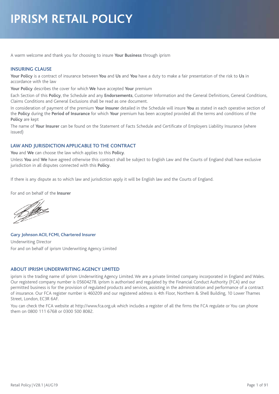# **IPRISM RETAIL POLICY**

A warm welcome and thank you for choosing to insure **Your Business** through iprism

# **INSURING CLAUSE**

**Your Policy** is a contract of insurance between **You** and **Us** and **You** have a duty to make a fair presentation of the risk to **Us** in accordance with the law

**Your Policy** describes the cover for which **We** have accepted **Your** premium

Each Section of this **Policy**, the Schedule and any **Endorsements**, Customer Information and the General Definitions, General Conditions, Claims Conditions and General Exclusions shall be read as one document.

In consideration of payment of the premium **Your Insurer** detailed in the Schedule will insure **You** as stated in each operative section of the **Policy** during the **Period of Insurance** for which **Your** premium has been accepted provided all the terms and conditions of the **Policy** are kept

The name of **Your Insurer** can be found on the Statement of Facts Schedule and Certificate of Employers Liability Insurance (where issued)

# **LAW AND JURISDICTION APPLICABLE TO THE CONTRACT**

**You** and **We** can choose the law which applies to this **Policy**.

Unless **You** and **We** have agreed otherwise this contract shall be subject to English Law and the Courts of England shall have exclusive jurisdiction in all disputes connected with this **Policy**.

If there is any dispute as to which law and jurisdiction apply it will be English law and the Courts of England.

For and on behalf of the **Insurer**

Blo

**Gary Johnson ACII, FCMI, Chartered Insurer** Underwriting Director For and on behalf of iprism Underwriting Agency Limited

# **ABOUT IPRISM UNDERWRITING AGENCY LIMITED**

iprism is the trading name of iprism Underwriting Agency Limited. We are a private limited company incorporated in England and Wales. Our registered company number is 05604278. iprism is authorised and regulated by the Financial Conduct Authority (FCA) and our permitted business is for the provision of regulated products and services, assisting in the administration and performance of a contract of insurance. Our FCA register number is 460209 and our registered address is 4th Floor, Northern & Shell Building, 10 Lower Thames Street, London, EC3R 6AF.

You can check the FCA website at http://www.fca.org.uk which includes a register of all the firms the FCA regulate or You can phone them on 0800 111 6768 or 0300 500 8082.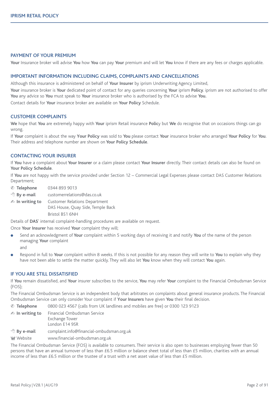## **PAYMENT OF YOUR PREMIUM**

**Your** Insurance broker will advise **You** how **You** can pay **Your** premium and will let **You** know if there are any fees or charges applicable.

#### **IMPORTANT INFORMATION INCLUDING CLAIMS, COMPLAINTS AND CANCELLATIONS**

Although this insurance is administered on behalf of **Your Insurer** by iprism Underwriting Agency Limited,

**Your** insurance broker is **Your** dedicated point of contact for any queries concerning **Your** iprism **Policy**. iprism are not authorised to offer **You** any advice so **You** must speak to **Your** insurance broker who is authorised by the FCA to advise **You.**

Contact details for **Your** insurance broker are available on **Your Policy** Schedule.

#### **CUSTOMER COMPLAINTS**

**We** hope that **You** are extremely happy with **Your** iprism Retail insurance **Polic**y but **We** do recognise that on occasions things can go wrong.

If **Your** complaint is about the way **Your Policy** was sold to **You** please contact **Your** insurance broker who arranged **Your Policy** for **You**. Their address and telephone number are shown on **Your Policy Schedule**.

#### **CONTACTING YOUR INSURER**

If **You** have a complaint about **Your Insurer** or a claim please contact **Your Insurer** directly. Their contact details can also be found on **Your Policy Schedule**.

If **You** are not happy with the service provided under Section 12 – Commercial Legal Expenses please contact DAS Customer Relations Department;

& **Telephone** 0344 893 9013

<sup></sub><sup></sub> $\oplus$ </sup> **By e-mail** customerrelations@das.co.uk</sup>

- **In writing to** Customer Relations Department DAS House, Quay Side, Temple Back Bristol BS1 6NH

Details of **DAS**' internal complaint-handling procedures are available on request.

Once **Your Insurer** has received **Your** complaint they will;

- <sup>l</sup> Send an acknowledgment of **Your** complaint within 5 working days of receiving it and notify **You** of the name of the person managing **Your** complaint and
- <sup>l</sup> Respond in full to **Your** complaint within 8 weeks. If this is not possible for any reason they will write to **You** to explain why they have not been able to settle the matter quickly. They will also let **You** know when they will contact **You** again.

#### **IF YOU ARE STILL DISSATISFIED**

If **You** remain dissatisfied, and **Your** insurer subscribes to the service, **You** may refer **Your** complaint to the Financial Ombudsman Service (FOS);

The Financial Ombudsman Service is an independent body that arbitrates on complaints about general insurance products. The Financial Ombudsman Service can only consider Your complaint if **Your Insurers** have given **You** their final decision.

& **Telephone** 0800 023 4567 (calls from UK landlines and mobiles are free) or 0300 123 9123 - **In writing to** Financial Ombudsman Service Exchange Tower London E14 9SR

<sup>t</sup> By **e-mail** complaint.info@financial-ombudsman.org.uk

W Website www.financial-ombudsman.org.uk

The Financial Ombudsman Service (FOS) is available to consumers. Their service is also open to businesses employing fewer than 50 persons that have an annual turnover of less than £6.5 million or balance sheet total of less than £5 million, charities with an annual income of less than £6.5 million or the trustee of a trust with a net asset value of less than £5 million.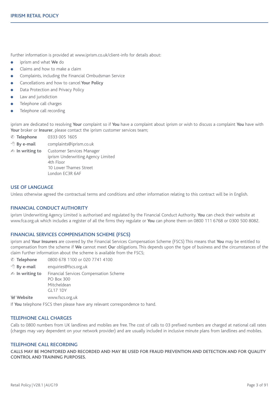Further information is provided at www.iprism.co.uk/client-info for details about:

- **e** iprism and what **We** do
- Claims and how to make a claim
- Complaints, including the Financial Ombudsman Service
- <sup>l</sup> Cancellations and how to cancel **Your Policy**
- Data Protection and Privacy Policy
- Law and jurisdiction
- Telephone call charges
- Telephone call recording

iprism are dedicated to resolving **Your** complaint so if **You** have a complaint about iprism or wish to discuss a complaint **You** have with **Your** broker or **Insurer**, please contact the iprism customer services team;

- & **Telephone** 0333 005 1605
- <sup>t</sup> By e-mail complaints@iprism.co.uk
- **In writing to** Customer Services Manager iprism Underwriting Agency Limited 4th Floor

10 Lower Thames Street London EC3R 6AF

# **USE OF LANGUAGE**

Unless otherwise agreed the contractual terms and conditions and other information relating to this contract will be in English.

# **FINANCIAL CONDUCT AUTHORITY**

iprism Underwriting Agency Limited is authorised and regulated by the Financial Conduct Authority. **You** can check their website at www.fca.org.uk which includes a register of all the firms they regulate or **You** can phone them on 0800 111 6768 or 0300 500 8082.

### **FINANCIAL SERVICES COMPENSATION SCHEME (FSCS)**

iprism and **Your Insurers** are covered by the Financial Services Compensation Scheme (FSCS) This means that **You** may be entitled to compensation from the scheme if **We** cannot meet **Ou**r obligations. This depends upon the type of business and the circumstances of the claim Further information about the scheme is available from the FSCS;

& **Telephone** 0800 678 1100 or 020 7741 4100 <sup><sup>t</sup> By e-mail enquiries@fscs.org.uk</sup> - **In writing to** Financial Services Compensation Scheme PO Box 300 Mitcheldean GL17 1DY

W **Website** www.fscs.org.uk

If **You** telephone FSCS then please have any relevant correspondence to hand.

# **TELEPHONE CALL CHARGES**

Calls to 0800 numbers from UK landlines and mobiles are free. The cost of calls to 03 prefixed numbers are charged at national call rates (charges may vary dependent on your network provider) and are usually included in inclusive minute plans from landlines and mobiles.

### **TELEPHONE CALL RECORDING**

CALLS MAY BE MONITORED AND RECORDED AND MAY BE USED FOR FRAUD PREVENTION AND DETECTION AND FOR QUALITY **CONTROL AND TRAINING PURPOSES.**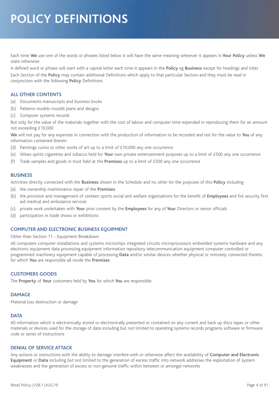# **POLICY DEFINITIONS**

Each time **We** use one of the words or phrases listed below it will have the same meaning wherever it appears in **Your Policy** unless **We** state otherwise

A defined word or phrase will start with a capital letter each time it appears in the **Policy** eg **Business** except for headings and titles Each Section of the **Policy** may contain additional Definitions which apply to that particular Section and they must be read in conjunction with the following **Policy** Definitions

# **ALL OTHER CONTENTS**

- (a) Documents manuscripts and business books
- (b) Patterns models moulds plans and designs
- (c) Computer systems records

But only for the value of the materials together with the cost of labour and computer time expended in reproducing them for an amount not exceeding £10,000

**We** will not pay for any expenses in connection with the production of information to be recorded and not for the value to **You** of any information contained therein

- (d) Paintings curios or other works of art up to a limit of £10,000 any one occurrence
- (e) Wines spirits cigarettes and tobacco held for **Your** own private entertainment purposes up to a limit of £500 any one occurrence
- (f) Trade samples and goods in trust held at the **Premises** up to a limit of £500 any one occurrence

### **BUSINESS**

Activities directly connected with the **Business** shown in the Schedule and no other for the purposes of this **Policy** including

- (a) the ownership maintenance repair of the **Premises**
- (b) the provision and management of canteen sports social and welfare organisations for the benefit of **Employees** and fire security first aid medical and ambulance services
- (c) private work undertaken with **Your** prior consent by the **Employees** for any of **Your** Directors or senior officials
- (d) participation in trade shows or exhibitions

### **COMPUTER AND ELECTRONIC BUSINESS EQUIPMENT**

#### Other than Section 11 - Equipment Breakdown

All computers computer installations and systems microchips integrated circuits microprocessors embedded systems hardware and any electronic equipment data processing equipment information repository telecommunication equipment computer controlled or programmed machinery equipment capable of processing **Data** and/or similar devices whether physical or remotely connected thereto for which **You** are responsible all inside the **Premises**

# **CUSTOMERS GOODS**

The **Property** of **Your** customers held by **You** for which **You** are responsible

# **DAMAGE**

Material loss destruction or damage

### **DATA**

All information which is electronically stored or electronically presented or contained on any current and back up discs tapes or other materials or devices used for the storage of data including but not limited to operating systems records programs software or firmware code or series of instructions

### **DENIAL OF SERVICE ATTACK**

Any actions or instructions with the ability to damage interfere with or otherwise affect the availability of **Computer and Electronic Equipment** or **Data** including but not limited to the generation of excess traffic into network addresses the exploitation of system weaknesses and the generation of excess or non-genuine traffic within between or amongst networks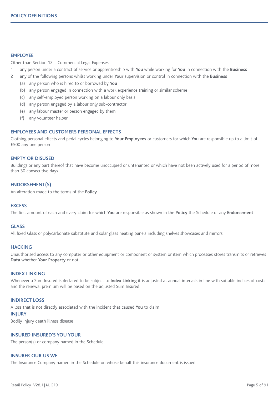# **EMPLOYEE**

Other than Section 12 – Commercial Legal Expenses

- 1 any person under a contract of service or apprenticeship with **You** while working for **You** in connection with the **Business**
- 2 any of the following persons whilst working under **Your** supervision or control in connection with the **Business**
	- (a) any person who is hired to or borrowed by **You**
	- (b) any person engaged in connection with a work experience training or similar scheme
	- (c) any self-employed person working on a labour only basis
	- (d) any person engaged by a labour only sub-contractor
	- (e) any labour master or person engaged by them
	- (f) any volunteer helper

# **EMPLOYEES AND CUSTOMERS PERSONAL EFFECTS**

Clothing personal effects and pedal cycles belonging to **Your Employees** or customers for which **You** are responsible up to a limit of £500 any one person

#### **EMPTY OR DISUSED**

Buildings or any part thereof that have become unoccupied or untenanted or which have not been actively used for a period of more than 30 consecutive days

# **ENDORSEMENT(S)**

An alteration made to the terms of the **Policy**

### **EXCESS**

The first amount of each and every claim for which **You** are responsible as shown in the **Policy** the Schedule or any **Endorsement**

# **GLASS**

All fixed Glass or polycarbonate substitute and solar glass heating panels including shelves showcases and mirrors

#### **HACKING**

Unauthorised access to any computer or other equipment or component or system or item which processes stores transmits or retrieves **Data** whether **Your Property** or not

# **INDEX LINKING**

Whenever a Sum Insured is declared to be subject to **Index Linking** it is adjusted at annual intervals in line with suitable indices of costs and the renewal premium will be based on the adjusted Sum Insured

# **INDIRECT LOSS**

A loss that is not directly associated with the incident that caused **You** to claim

#### **INJURY**

Bodily injury death illness disease

# **INSURED INSURED'S YOU YOUR**

The person(s) or company named in the Schedule

# **INSURER OUR US WE**

The Insurance Company named in the Schedule on whose behalf this insurance document is issued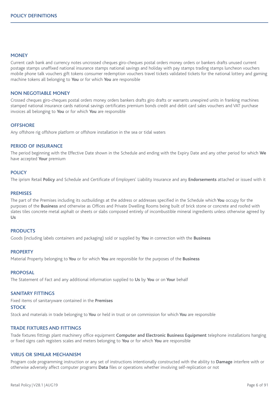### **MONEY**

Current cash bank and currency notes uncrossed cheques giro-cheques postal orders money orders or bankers drafts unused current postage stamps unaffixed national insurance stamps national savings and holiday with pay stamps trading stamps luncheon vouchers mobile phone talk vouchers gift tokens consumer redemption vouchers travel tickets validated tickets for the national lottery and gaming machine tokens all belonging to **You** or for which **You** are responsible

#### **NON NEGOTIABLE MONEY**

Crossed cheques giro-cheques postal orders money orders bankers drafts giro drafts or warrants unexpired units in franking machines stamped national insurance cards national savings certificates premium bonds credit and debit card sales vouchers and VAT purchase invoices all belonging to **You** or for which **You** are responsible

#### **OFFSHORE**

Any offshore rig offshore platform or offshore installation in the sea or tidal waters

## **PERIOD OF INSURANCE**

The period beginning with the Effective Date shown in the Schedule and ending with the Expiry Date and any other period for which **We** have accepted **Your** premium

#### **POLICY**

The iprism Retail **Policy** and Schedule and Certificate of Employers' Liability Insurance and any **Endorsements** attached or issued with it

# **PREMISES**

The part of the Premises including its outbuildings at the address or addresses specified in the Schedule which **You** occupy for the purposes of the **Business** and otherwise as Offices and Private Dwelling Rooms being built of brick stone or concrete and roofed with slates tiles concrete metal asphalt or sheets or slabs composed entirely of incombustible mineral ingredients unless otherwise agreed by **Us**

### **PRODUCTS**

Goods (including labels containers and packaging) sold or supplied by **You** in connection with the **Business**

#### **PROPERTY**

Material Property belonging to **You** or for which **You** are responsible for the purposes of the **Business**

#### **PROPOSAL**

The Statement of Fact and any additional information supplied to **Us** by **You** or on **Your** behalf

#### **SANITARY FITTINGS**

Fixed items of sanitaryware contained in the **Premises**

#### **STOCK**

Stock and materials in trade belonging to **You** or held in trust or on commission for which **You** are responsible

### **TRADE FIXTURES AND FITTINGS**

Trade fixtures fittings plant machinery office equipment **Computer and Electronic Business Equipment** telephone installations hanging or fixed signs cash registers scales and meters belonging to **You** or for which **You** are responsible

#### **VIRUS OR SIMILAR MECHANISM**

Program code programming instruction or any set of instructions intentionally constructed with the ability to **Damage** interfere with or otherwise adversely affect computer programs **Data** files or operations whether involving self-replication or not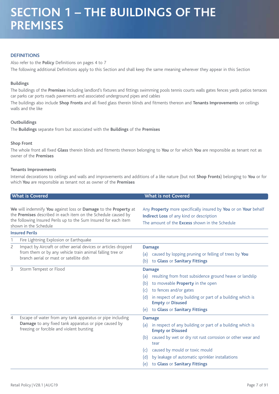# **DEFINITIONS**

Also refer to the **Policy** Definitions on pages 4 to 7 The following additional Definitions apply to this Section and shall keep the same meaning wherever they appear in this Section

# **Buildings**

The buildings of the **Premises** including landlord's fixtures and fittings swimming pools tennis courts walls gates fences yards patios terraces car parks car ports roads pavements and associated underground pipes and cables

The buildings also include **Shop Fronts** and all fixed glass therein blinds and fitments thereon and **Tenants Improvements** on ceilings walls and the like

# **Outbuildings**

The **Buildings** separate from but associated with the **Buildings** of the **Premises**

# **Shop Front**

The whole front all fixed **Glass** therein blinds and fitments thereon belonging to **You** or for which **You** are responsible as tenant not as owner of the **Premises**

### **Tenants Improvements**

Internal decorations to ceilings and walls and improvements and additions of a like nature (but not **Shop Fronts**) belonging to **You** or for which **You** are responsible as tenant not as owner of the **Premises**

| <b>What is Covered</b>                                                                                                                                                                                                        |                                                                                                                                                                       | <b>What is not Covered</b>                                                                                                                                                                                                                                                                                                          |  |  |
|-------------------------------------------------------------------------------------------------------------------------------------------------------------------------------------------------------------------------------|-----------------------------------------------------------------------------------------------------------------------------------------------------------------------|-------------------------------------------------------------------------------------------------------------------------------------------------------------------------------------------------------------------------------------------------------------------------------------------------------------------------------------|--|--|
| We will indemnify You against loss or Damage to the Property at<br>the Premises described in each item on the Schedule caused by<br>the following Insured Perils up to the Sum Insured for each item<br>shown in the Schedule |                                                                                                                                                                       | Any Property more specifically insured by You or on Your behalf<br><b>Indirect Loss</b> of any kind or description<br>The amount of the <b>Excess</b> shown in the Schedule                                                                                                                                                         |  |  |
|                                                                                                                                                                                                                               | <b>Insured Perils</b>                                                                                                                                                 |                                                                                                                                                                                                                                                                                                                                     |  |  |
|                                                                                                                                                                                                                               | Fire Lightning Explosion or Earthquake                                                                                                                                |                                                                                                                                                                                                                                                                                                                                     |  |  |
| $\mathsf{S}$                                                                                                                                                                                                                  | Impact by Aircraft or other aerial devices or articles dropped<br>from them or by any vehicle train animal falling tree or<br>branch aerial or mast or satellite dish | <b>Damage</b><br>caused by lopping pruning or felling of trees by You<br>(a)<br>to Glass or Sanitary Fittings<br>(b)                                                                                                                                                                                                                |  |  |
| 3                                                                                                                                                                                                                             | Storm Tempest or Flood                                                                                                                                                | <b>Damage</b><br>resulting from frost subsidence ground heave or landslip<br>(a)<br>to moveable <b>Property</b> in the open<br>(b)<br>to fences and/or gates<br>(c)<br>in respect of any building or part of a building which is<br>(d)<br><b>Empty or Disused</b><br>to Glass or Sanitary Fittings<br>(e)                          |  |  |
| $\overline{4}$                                                                                                                                                                                                                | Escape of water from any tank apparatus or pipe including<br>Damage to any fixed tank apparatus or pipe caused by<br>freezing or forcible and violent bursting        | <b>Damage</b><br>in respect of any building or part of a building which is<br>(a)<br><b>Empty or Disused</b><br>caused by wet or dry rot rust corrosion or other wear and<br>(b)<br>tear<br>caused by mould or toxic mould<br>(c)<br>by leakage of automatic sprinkler installations<br>(d)<br>to Glass or Sanitary Fittings<br>(e) |  |  |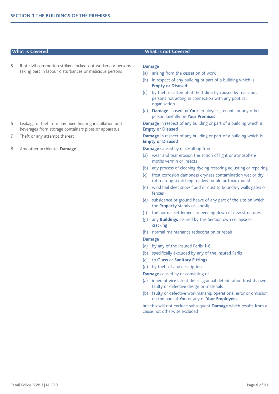|   | <b>What is Covered</b>                                                                                          | <b>What is not Covered</b>                                                                                                             |  |  |
|---|-----------------------------------------------------------------------------------------------------------------|----------------------------------------------------------------------------------------------------------------------------------------|--|--|
| 5 | Riot civil commotion strikers locked-out workers or persons                                                     |                                                                                                                                        |  |  |
|   | taking part in labour disturbances or malicious persons                                                         | <b>Damage</b>                                                                                                                          |  |  |
|   |                                                                                                                 | arising from the cessation of work<br>(a)                                                                                              |  |  |
|   |                                                                                                                 | in respect of any building or part of a building which is<br>(b)<br><b>Empty or Disused</b>                                            |  |  |
|   |                                                                                                                 | by theft or attempted theft directly caused by malicious<br>(c)<br>persons not acting in connection with any political<br>organisation |  |  |
|   |                                                                                                                 | Damage caused by Your employees, tenants or any other<br>(d)<br>person lawfully on Your Premises                                       |  |  |
| 6 | Leakage of fuel from any fixed heating installation and<br>beverages from storage containers pipes or apparatus | Damage in respect of any building or part of a building which is<br><b>Empty or Disused</b>                                            |  |  |
| 7 | Theft or any attempt thereat                                                                                    | Damage in respect of any building or part of a building which is<br><b>Empty or Disused</b>                                            |  |  |
| 8 | Any other accidental Damage                                                                                     | Damage caused by or resulting from                                                                                                     |  |  |
|   |                                                                                                                 | (a) wear and tear erosion the action of light or atmosphere<br>moths vermin or insects                                                 |  |  |
|   |                                                                                                                 | any process of cleaning dyeing restoring adjusting or repairing<br>(b)                                                                 |  |  |
|   |                                                                                                                 | frost corrosion dampness dryness contamination wet or dry<br>(c)<br>rot marring scratching mildew mould or toxic mould                 |  |  |
|   |                                                                                                                 | (d) wind hail sleet snow flood or dust to boundary walls gates or<br>fences                                                            |  |  |
|   |                                                                                                                 | subsidence or ground heave of any part of the site on which<br>(e)<br>the <b>Property</b> stands or landslip                           |  |  |
|   |                                                                                                                 | the normal settlement or bedding down of new structures<br>(f)                                                                         |  |  |
|   |                                                                                                                 | any <b>Buildings</b> insured by this Section own collapse or<br>(g)<br>cracking                                                        |  |  |
|   |                                                                                                                 | normal maintenance redecoration or repair<br>(h)                                                                                       |  |  |
|   |                                                                                                                 | <b>Damage</b>                                                                                                                          |  |  |
|   |                                                                                                                 | by any of the Insured Perils 1-6<br>(a)                                                                                                |  |  |
|   |                                                                                                                 | specifically excluded by any of the Insured Perils<br>(b)                                                                              |  |  |
|   |                                                                                                                 | to Glass or Sanitary Fittings<br>(c)                                                                                                   |  |  |
|   |                                                                                                                 | by theft of any description<br>(d)                                                                                                     |  |  |
|   |                                                                                                                 | Damage caused by or consisting of                                                                                                      |  |  |
|   |                                                                                                                 | inherent vice latent defect gradual deterioration frost its own<br>(a)<br>faulty or defective design or materials                      |  |  |
|   |                                                                                                                 | (b) faulty or defective workmanship operational error or omission<br>on the part of You or any of Your Employees                       |  |  |
|   |                                                                                                                 | but this will not exclude subsequent Damage which results from a<br>cause not otherwise excluded                                       |  |  |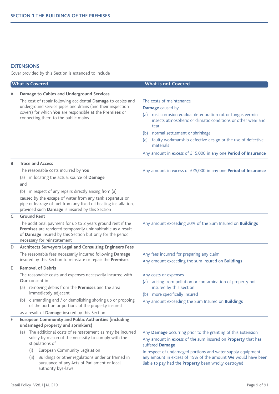# **EXTENSIONS**

Cover provided by this Section is extended to include

| <b>What is Covered</b> |                                                                                                                                                                                                                                                                                                                                                                                                                          | <b>What is not Covered</b>                                                                                                                                                                                                                                                                                                                                                       |  |  |
|------------------------|--------------------------------------------------------------------------------------------------------------------------------------------------------------------------------------------------------------------------------------------------------------------------------------------------------------------------------------------------------------------------------------------------------------------------|----------------------------------------------------------------------------------------------------------------------------------------------------------------------------------------------------------------------------------------------------------------------------------------------------------------------------------------------------------------------------------|--|--|
| A                      | Damage to Cables and Underground Services<br>The cost of repair following accidental Damage to cables and<br>underground service pipes and drains (and their inspection<br>covers) for which You are responsible at the Premises or<br>connecting them to the public mains                                                                                                                                               | The costs of maintenance<br>Damage caused by<br>(a) rust corrosion gradual deterioration rot or fungus vermin<br>insects atmospheric or climatic conditions or other wear and<br>tear<br>(b) normal settlement or shrinkage<br>faulty workmanship defective design or the use of defective<br>(c)<br>materials<br>Any amount in excess of £15,000 in any one Period of Insurance |  |  |
| В                      | <b>Trace and Access</b><br>The reasonable costs incurred by You<br>in locating the actual source of Damage<br>(a)<br>and<br>(b)<br>in respect of any repairs directly arising from (a)<br>caused by the escape of water from any tank apparatus or<br>pipe or leakage of fuel from any fixed oil heating installation,<br>provided such Damage is insured by this Section                                                | Any amount in excess of £25,000 in any one Period of Insurance                                                                                                                                                                                                                                                                                                                   |  |  |
| $\mathsf{C}$           | <b>Ground Rent</b><br>The additional payment for up to 2 years ground rent if the<br>Premises are rendered temporarily uninhabitable as a result<br>of Damage insured by this Section but only for the period<br>necessary for reinstatement                                                                                                                                                                             | Any amount exceeding 20% of the Sum Insured on Buildings                                                                                                                                                                                                                                                                                                                         |  |  |
| D                      | Architects Surveyors Legal and Consulting Engineers Fees<br>The reasonable fees necessarily incurred following Damage<br>insured by this Section to reinstate or repair the Premises                                                                                                                                                                                                                                     | Any fees incurred for preparing any claim<br>Any amount exceeding the sum insured on <b>Buildings</b>                                                                                                                                                                                                                                                                            |  |  |
| E                      | <b>Removal of Debris</b><br>The reasonable costs and expenses necessarily incurred with<br><b>Our</b> consent in<br>(a) removing debris from the Premises and the area<br>immediately adjacent<br>dismantling and / or demolishing shoring up or propping<br>(b)<br>of the portion or portions of the property insured<br>as a result of Damage insured by this Section                                                  | Any costs or expenses<br>arising from pollution or contamination of property not<br>(a)<br>insured by this Section<br>(b) more specifically insured<br>Any amount exceeding the Sum Insured on Buildings                                                                                                                                                                         |  |  |
| F                      | <b>European Community and Public Authorities (including</b><br>undamaged property and sprinklers)<br>(a) The additional costs of reinstatement as may be incurred<br>solely by reason of the necessity to comply with the<br>stipulations of<br>European Community Legislation<br>(i)<br>Buildings or other regulations under or framed in<br>(ii)<br>pursuance of any Acts of Parliament or local<br>authority bye-laws | Any Damage occurring prior to the granting of this Extension<br>Any amount in excess of the sum insured on Property that has<br>suffered Damage<br>In respect of undamaged portions and water supply equipment<br>any amount in excess of 15% of the amount We would have been<br>liable to pay had the Property been wholly destroyed                                           |  |  |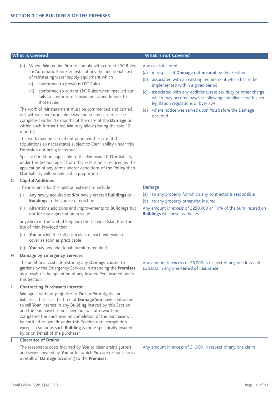- (b) Where **We** require **You** to comply with current LPC Rules for Automatic Sprinkler Installations the additional cost of reinstating water supply equipment which
	- (i) conformed to previous LPC Rules
	- (ii) conformed to current LPC Rules when installed but fails to conform to subsequent amendments to those rules

The work of reinstatement must be commenced and carried out without unreasonable delay and in any case must be completed within 12 months of the date of the **Damage** or within such further time **We** may allow (during the said 12 months)

The work may be carried out upon another site (if the stipulations so necessitate) subject to **Our** liability under this Extension not being increased

Special Condition applicable to this Extension If **Our** liability under this Section apart from this Extension is reduced by the application of any terms and/or conditions of the **Policy** then **Our** liability will be reduced in proportion

# **G Capital Additions**

The insurance by this Section extends to include

- (i) Any newly acquired and/or newly erected **Buildings** or **Buildings** in the course of erection
- (ii) Alterations additions and improvements to **Buildings** but not for any appreciation in value

anywhere in the United Kingdom the Channel Islands or the Isle of Man Provided that

- (a) **You** provide the full particulars of such extension of cover as soon as practicable
- (b) **You** pay any additional premium required

#### **H Damage by Emergency Services**

The additional costs of restoring any **Damage** caused to gardens by the Emergency Services in attending the **Premises** as a result of the operation of any Insured Peril insured under this Section

#### **I Contracting Purchasers Interest**

**We** agree without prejudice to **Our** or **Your** rights and liabilities that if at the time of **Damage You** have contracted to sell **Your** interest in any **Building** insured by this Section and the purchase has not been but will afterwards be completed the purchaser on completion of the purchase will be entitled to benefit under this Section until completion except in so far as such **Building** is more specifically insured by or on behalf of the purchaser

# **J Clearance of Drains**

The reasonable costs incurred by **You** to clear drains gutters and sewers owned by **You** or for which **You** are responsible as a result of **Damage** occurring to the **Premises**

#### **What is Covered What is not Covered**

#### Any costs incurred

- (a) in respect of **Damage** not **insured** by this Section
- (b) associated with an existing requirement which has to be implemented within a given period
- (c) associated with any additional rate tax duty or other charge which may become payable following compliance with such legislation regulations or bye-laws
- where notice was served upon **You** before the Damage occurred

## **Damage**

- (a) to any property for which any contractor is responsible
- (b) to any property otherwise insured

Any amount in excess of £250,000 or 10% of the Sum Insured on **Buildings** whichever is the lesser

Any amount in excess of £5,000 in respect of any one loss and £25,000 in any one **Period of Insurance**

Any amount in excess of £1,000 in respect of any one claim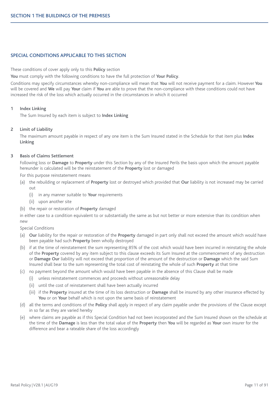# **SPECIAL CONDITIONS APPLICABLE TO THIS SECTION**

These conditions of cover apply only to this **Policy** section

**You** must comply with the following conditions to have the full protection of **Your Policy**.

Conditions may specify circumstances whereby non-compliance will mean that **You** will not receive payment for a claim. However **You** will be covered and **We** will pay **Your** claim if **You** are able to prove that the non-compliance with these conditions could not have increased the risk of the loss which actually occurred in the circumstances in which it occurred

### **1 Index Linking**

The Sum Insured by each item is subject to **Index Linking**

# **2 Limit of Liability**

The maximum amount payable in respect of any one item is the Sum Insured stated in the Schedule for that item plus **Index Linking**

# **3 Basis of Claims Settlement**

Following loss or **Damage** to **Property** under this Section by any of the Insured Perils the basis upon which the amount payable hereunder is calculated will be the reinstatement of the **Property** lost or damaged

For this purpose reinstatement means

- (a) the rebuilding or replacement of **Property** lost or destroyed which provided that **Our** liability is not increased may be carried out
	- (i) in any manner suitable to **Your** requirements
	- (ii) upon another site
- (b) the repair or restoration of **Property** damaged

in either case to a condition equivalent to or substantially the same as but not better or more extensive than its condition when new

- Special Conditions
- (a) **Our** liability for the repair or restoration of the **Property** damaged in part only shall not exceed the amount which would have been payable had such **Property** been wholly destroyed
- (b) if at the time of reinstatement the sum representing 85% of the cost which would have been incurred in reinstating the whole of the **Property** covered by any item subject to this clause exceeds its Sum Insured at the commencement of any destruction or **Damage Our** liability will not exceed that proportion of the amount of the destruction or **Damage** which the said Sum Insured shall bear to the sum representing the total cost of reinstating the whole of such **Property** at that time
- (c) no payment beyond the amount which would have been payable in the absence of this Clause shall be made
	- (i) unless reinstatement commences and proceeds without unreasonable delay
	- (ii) until the cost of reinstatement shall have been actually incurred
	- (iii) if the **Property** insured at the time of its loss destruction or **Damage** shall be insured by any other insurance effected by **You** or on **Your** behalf which is not upon the same basis of reinstatement
- (d) all the terms and conditions of the **Policy** shall apply in respect of any claim payable under the provisions of the Clause except in so far as they are varied hereby
- (e) where claims are payable as if this Special Condition had not been incorporated and the Sum Insured shown on the schedule at the time of the **Damage** is less than the total value of the **Property** then **You** will be regarded as **Your** own insurer for the difference and bear a rateable share of the loss accordingly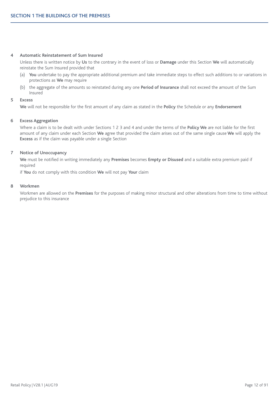#### **4 Automatic Reinstatement of Sum Insured**

Unless there is written notice by **Us** to the contrary in the event of loss or **Damage** under this Section **We** will automatically reinstate the Sum Insured provided that

- (a) **You** undertake to pay the appropriate additional premium and take immediate steps to effect such additions to or variations in protections as **We** may require
- (b) the aggregate of the amounts so reinstated during any one **Period of Insurance** shall not exceed the amount of the Sum Insured

# **5 Excess**

**We** will not be responsible for the first amount of any claim as stated in the **Policy** the Schedule or any **Endorsement**

## **6 Excess Aggregation**

Where a claim is to be dealt with under Sections 1 2 3 and 4 and under the terms of the **Policy We** are not liable for the first amount of any claim under each Section **We** agree that provided the claim arises out of the same single cause **We** will apply the **Excess** as if the claim was payable under a single Section

# **7 Notice of Unoccupancy**

**We** must be notified in writing immediately any **Premises** becomes **Empty or Disused** and a suitable extra premium paid if required

if **You** do not comply with this condition **We** will not pay **Your** claim

#### **8 Workmen**

Workmen are allowed on the **Premises** for the purposes of making minor structural and other alterations from time to time without prejudice to this insurance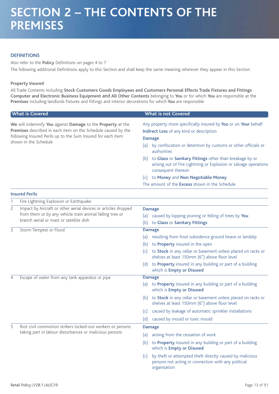# **DEFINITIONS**

Also refer to the **Policy** Definitions on pages 4 to 7 The following additional Definitions apply to this Section and shall keep the same meaning wherever they appear in this Section

# **Property Insured**

All Trade Contents including **Stock Customers Goods Employees and Customers Personal Effects Trade Fixtures and Fittings Computer and Electronic Business Equipment** and **All Other Contents** belonging to **You** or for which **You** are responsible at the **Premises** including landlords fixtures and fittings and interior decorations for which **You** are responsible

|                                                                                                                                                                                                                       | <b>What is Covered</b>                                                                                                                                                | <b>What is not Covered</b>                                                                                                                                                                                                                                                                                                                                                                                                                                           |  |  |
|-----------------------------------------------------------------------------------------------------------------------------------------------------------------------------------------------------------------------|-----------------------------------------------------------------------------------------------------------------------------------------------------------------------|----------------------------------------------------------------------------------------------------------------------------------------------------------------------------------------------------------------------------------------------------------------------------------------------------------------------------------------------------------------------------------------------------------------------------------------------------------------------|--|--|
| We will indemnify You against Damage to the Property at the<br>Premises described in each item on the Schedule caused by the<br>following Insured Perils up to the Sum Insured for each item<br>shown in the Schedule |                                                                                                                                                                       | Any property more specifically insured by You or on Your behalf<br>Indirect Loss of any kind or description<br><b>Damage</b><br>(a) by confiscation or detention by customs or other officials or<br>authorities<br>(b) to Glass or Sanitary Fittings other than breakage by or<br>arising out of Fire Lightning or Explosion or salvage operations<br>consequent thereon<br>(c) to Money and Non Negotiable Money<br>The amount of the Excess shown in the Schedule |  |  |
|                                                                                                                                                                                                                       | <b>Insured Perils</b>                                                                                                                                                 |                                                                                                                                                                                                                                                                                                                                                                                                                                                                      |  |  |
| 1                                                                                                                                                                                                                     | Fire Lightning Explosion or Earthquake                                                                                                                                |                                                                                                                                                                                                                                                                                                                                                                                                                                                                      |  |  |
| $\overline{c}$                                                                                                                                                                                                        | Impact by Aircraft or other aerial devices or articles dropped<br>from them or by any vehicle train animal falling tree or<br>branch aerial or mast or satellite dish | <b>Damage</b><br>(a) caused by lopping pruning or felling of trees by You<br>(b) to Glass or Sanitary Fittings                                                                                                                                                                                                                                                                                                                                                       |  |  |
| 3                                                                                                                                                                                                                     | Storm Tempest or Flood                                                                                                                                                | <b>Damage</b>                                                                                                                                                                                                                                                                                                                                                                                                                                                        |  |  |
|                                                                                                                                                                                                                       |                                                                                                                                                                       | (a) resulting from frost subsidence ground heave or landslip<br>to Property insured in the open<br>(b)<br>to Stock in any cellar or basement unless placed on racks or<br>(c)<br>shelves at least 150mm (6") above floor level<br>(d) to Property insured in any building or part of a building                                                                                                                                                                      |  |  |
|                                                                                                                                                                                                                       |                                                                                                                                                                       | which is <b>Empty or Disused</b>                                                                                                                                                                                                                                                                                                                                                                                                                                     |  |  |
| 4                                                                                                                                                                                                                     | Escape of water from any tank apparatus or pipe                                                                                                                       | <b>Damage</b><br>to Property insured in any building or part of a building<br>(a)<br>which is Empty or Disused                                                                                                                                                                                                                                                                                                                                                       |  |  |
|                                                                                                                                                                                                                       |                                                                                                                                                                       | (b) to Stock in any cellar or basement unless placed on racks or<br>shelves at least 150mm (6") above floor level                                                                                                                                                                                                                                                                                                                                                    |  |  |
|                                                                                                                                                                                                                       |                                                                                                                                                                       | caused by leakage of automatic sprinkler installations<br>(C)                                                                                                                                                                                                                                                                                                                                                                                                        |  |  |
|                                                                                                                                                                                                                       |                                                                                                                                                                       | caused by mould or toxic mould<br>(d)                                                                                                                                                                                                                                                                                                                                                                                                                                |  |  |
| 5                                                                                                                                                                                                                     | Riot civil commotion strikers locked-out workers or persons                                                                                                           | <b>Damage</b>                                                                                                                                                                                                                                                                                                                                                                                                                                                        |  |  |
|                                                                                                                                                                                                                       | taking part in labour disturbances or malicious persons                                                                                                               | arising from the cessation of work<br>(a)                                                                                                                                                                                                                                                                                                                                                                                                                            |  |  |
|                                                                                                                                                                                                                       |                                                                                                                                                                       | to Property insured in any building or part of a building<br>(b)<br>which is Empty or Disused                                                                                                                                                                                                                                                                                                                                                                        |  |  |

(c) by theft or attempted theft directly caused by malicious persons not acting in connection with any political organisation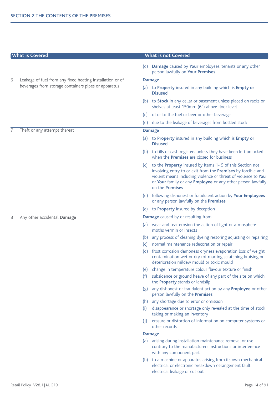| <b>What is Covered</b> |                                                           | <b>What is not Covered</b> |                                                                                                                                                                                                                                                                                     |  |
|------------------------|-----------------------------------------------------------|----------------------------|-------------------------------------------------------------------------------------------------------------------------------------------------------------------------------------------------------------------------------------------------------------------------------------|--|
|                        |                                                           | (d)                        | Damage caused by Your employees, tenants or any other<br>person lawfully on Your Premises                                                                                                                                                                                           |  |
| 6                      | Leakage of fuel from any fixed heating installation or of |                            | <b>Damage</b>                                                                                                                                                                                                                                                                       |  |
|                        | beverages from storage containers pipes or apparatus      |                            | (a) to Property insured in any building which is Empty or<br><b>Disused</b>                                                                                                                                                                                                         |  |
|                        |                                                           |                            | (b) to <b>Stock</b> in any cellar or basement unless placed on racks or<br>shelves at least 150mm (6") above floor level                                                                                                                                                            |  |
|                        |                                                           | (c)                        | of or to the fuel or beer or other beverage                                                                                                                                                                                                                                         |  |
|                        |                                                           | (d)                        | due to the leakage of beverages from bottled stock                                                                                                                                                                                                                                  |  |
| 7                      | Theft or any attempt thereat                              |                            | <b>Damage</b>                                                                                                                                                                                                                                                                       |  |
|                        |                                                           |                            | (a) to Property insured in any building which is Empty or<br><b>Disused</b>                                                                                                                                                                                                         |  |
|                        |                                                           |                            | (b) to tills or cash registers unless they have been left unlocked<br>when the <b>Premises</b> are closed for business                                                                                                                                                              |  |
|                        |                                                           | (c)                        | to the Property insured by Items 1- 5 of this Section not<br>involving entry to or exit from the Premises by forcible and<br>violent means including violence or threat of violence to You<br>or Your family or any Employee or any other person lawfully<br>on the <b>Premises</b> |  |
|                        |                                                           |                            | (d) following dishonest or fraudulent action by Your Employees<br>or any person lawfully on the Premises                                                                                                                                                                            |  |
|                        |                                                           | (e)                        | to Property insured by deception                                                                                                                                                                                                                                                    |  |
| 8                      | Any other accidental Damage                               |                            | Damage caused by or resulting from                                                                                                                                                                                                                                                  |  |
|                        |                                                           | (a)                        | wear and tear erosion the action of light or atmosphere<br>moths vermin or insects                                                                                                                                                                                                  |  |
|                        |                                                           | (b)<br>(c)<br>(d)          | any process of cleaning dyeing restoring adjusting or repairing<br>normal maintenance redecoration or repair<br>frost corrosion dampness dryness evaporation loss of weight<br>contamination wet or dry rot marring scratching bruising or                                          |  |
|                        |                                                           | (e)                        | deterioration mildew mould or toxic mould<br>change in temperature colour flavour texture or finish                                                                                                                                                                                 |  |
|                        |                                                           | (f)                        | subsidence or ground heave of any part of the site on which<br>the <b>Property</b> stands or landslip                                                                                                                                                                               |  |
|                        |                                                           | (g)                        | any dishonest or fraudulent action by any Employee or other<br>person lawfully on the Premises                                                                                                                                                                                      |  |
|                        |                                                           | (h)                        | any shortage due to error or omission                                                                                                                                                                                                                                               |  |
|                        |                                                           | (i)                        | disappearance or shortage only revealed at the time of stock<br>taking or making an inventory                                                                                                                                                                                       |  |
|                        |                                                           | (j)                        | erasure or distortion of information on computer systems or<br>other records                                                                                                                                                                                                        |  |
|                        |                                                           |                            | <b>Damage</b>                                                                                                                                                                                                                                                                       |  |
|                        |                                                           | (a)                        | arising during installation maintenance removal or use<br>contrary to the manufacturers instructions or interference<br>with any component part                                                                                                                                     |  |
|                        |                                                           | (b)                        | to a machine or apparatus arising from its own mechanical<br>electrical or electronic breakdown derangement fault<br>electrical leakage or cut out                                                                                                                                  |  |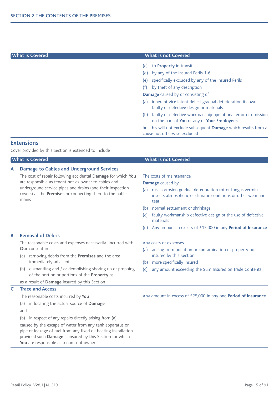# **What is Covered What is not Covered**

- (c) to **Property** in transit
- (d) by any of the Insured Perils 1-6
- (e) specifically excluded by any of the Insured Perils
- (f) by theft of any description

**Damage** caused by or consisting of

- (a) inherent vice latent defect gradual deterioration its own faulty or defective design or materials
- (b) faulty or defective workmanship operational error or omission on the part of **You** or any of **Your Employees**

but this will not exclude subsequent **Damage** which results from a cause not otherwise excluded

# **Extensions**

Cover provided by this Section is extended to include

|   | <b>What is Covered</b>                                                                                                                                                                                                                                                                                                                                                                                                        | <b>What is not Covered</b>                                                                                                                                                                                                                                                                                                                                                                |
|---|-------------------------------------------------------------------------------------------------------------------------------------------------------------------------------------------------------------------------------------------------------------------------------------------------------------------------------------------------------------------------------------------------------------------------------|-------------------------------------------------------------------------------------------------------------------------------------------------------------------------------------------------------------------------------------------------------------------------------------------------------------------------------------------------------------------------------------------|
| A | <b>Damage to Cables and Underground Services</b><br>The cost of repair following accidental Damage for which You<br>are responsible as tenant not as owner to cables and<br>underground service pipes and drains (and their inspection<br>covers) at the Premises or connecting them to the public<br>mains                                                                                                                   | The costs of maintenance<br>Damage caused by<br>rust corrosion gradual deterioration rot or fungus vermin<br>(a)<br>insects atmospheric or climatic conditions or other wear and<br>tear<br>normal settlement or shrinkage<br>(b)<br>faulty workmanship defective design or the use of defective<br>(c)<br>materials<br>Any amount in excess of £15,000 in any Period of Insurance<br>(d) |
| B | <b>Removal of Debris</b>                                                                                                                                                                                                                                                                                                                                                                                                      |                                                                                                                                                                                                                                                                                                                                                                                           |
|   | The reasonable costs and expenses necessarily incurred with<br>Our consent in<br>removing debris from the Premises and the area<br>(a)<br>immediately adjacent<br>dismantling and / or demolishing shoring up or propping<br>(b)<br>of the portion or portions of the Property as<br>as a result of Damage insured by this Section                                                                                            | Any costs or expenses<br>arising from pollution or contamination of property not<br>(a)<br>insured by this Section<br>more specifically insured<br>(b)<br>(c)<br>any amount exceeding the Sum Insured on Trade Contents                                                                                                                                                                   |
| C | <b>Trace and Access</b><br>The reasonable costs incurred by You<br>in locating the actual source of Damage<br>(a)<br>and<br>in respect of any repairs directly arising from (a)<br>(b)<br>caused by the escape of water from any tank apparatus or<br>pipe or leakage of fuel from any fixed oil heating installation<br>provided such Damage is insured by this Section for which<br>You are responsible as tenant not owner | Any amount in excess of £25,000 in any one Period of Insurance                                                                                                                                                                                                                                                                                                                            |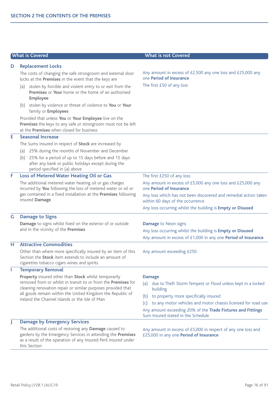|   | <b>What is Covered</b>                                                                                                                                                                                                                                                                                                                                                                                                                                                                                                         | <b>What is not Covered</b>                                                                                                                                                                                                                                                                                                |
|---|--------------------------------------------------------------------------------------------------------------------------------------------------------------------------------------------------------------------------------------------------------------------------------------------------------------------------------------------------------------------------------------------------------------------------------------------------------------------------------------------------------------------------------|---------------------------------------------------------------------------------------------------------------------------------------------------------------------------------------------------------------------------------------------------------------------------------------------------------------------------|
| D | <b>Replacement Locks</b>                                                                                                                                                                                                                                                                                                                                                                                                                                                                                                       |                                                                                                                                                                                                                                                                                                                           |
|   | The costs of changing the safe strongroom and external door<br>locks at the Premises in the event that the keys are<br>(a) stolen by forcible and violent entry to or exit from the<br><b>Premises</b> or Your home or the home of an authorised<br>Employee<br>(b) stolen by violence or threat of violence to You or Your<br>family or Employees<br>Provided that unless You or Your Employee live on the<br>Premises the keys to any safe or strongroom must not be left<br>at the <b>Premises</b> when closed for business | Any amount in excess of £2,500 any one loss and £25,000 any<br>one Period of Insurance<br>The first £50 of any loss                                                                                                                                                                                                       |
| Е | <b>Seasonal Increase</b>                                                                                                                                                                                                                                                                                                                                                                                                                                                                                                       |                                                                                                                                                                                                                                                                                                                           |
|   | The Sums Insured in respect of Stock are increased by<br>(a) 25% during the months of November and December<br>(b) 25% for a period of up to 15 days before and 15 days<br>after any bank or public holidays except during the<br>period specified in (a) above                                                                                                                                                                                                                                                                |                                                                                                                                                                                                                                                                                                                           |
| F | Loss of Metered Water Heating Oil or Gas<br>The additional metered water heating oil or gas charges<br>incurred by You following the loss of metered water or oil or<br>gas contained in a fixed installation at the Premises following<br>insured Damage                                                                                                                                                                                                                                                                      | The first £250 of any loss<br>Any amount in excess of £5,000 any one loss and £25,000 any<br>one Period of Insurance<br>Any loss which has not been discovered and remedial action taken<br>within 60 days of the occurrence<br>Any loss occurring whilst the building is Empty or Disused                                |
| G | <b>Damage to Signs</b>                                                                                                                                                                                                                                                                                                                                                                                                                                                                                                         |                                                                                                                                                                                                                                                                                                                           |
|   | Damage to signs whilst fixed on the exterior of or outside<br>and in the vicinity of the Premises                                                                                                                                                                                                                                                                                                                                                                                                                              | <b>Damage to Neon signs</b><br>Any loss occurring whilst the building is Empty or Disused<br>Any amount in excess of £1,000 in any one Period of Insurance                                                                                                                                                                |
| н | <b>Attractive Commodities</b>                                                                                                                                                                                                                                                                                                                                                                                                                                                                                                  |                                                                                                                                                                                                                                                                                                                           |
|   | Other than where more specifically insured by an item of this<br>Section the Stock item extends to include an amount of<br>cigarettes tobacco cigars wines and spirits                                                                                                                                                                                                                                                                                                                                                         | Any amount exceeding £250                                                                                                                                                                                                                                                                                                 |
| T | <b>Temporary Removal</b>                                                                                                                                                                                                                                                                                                                                                                                                                                                                                                       |                                                                                                                                                                                                                                                                                                                           |
|   | Property insured other than Stock whilst temporarily<br>removed from or whilst in transit to or from the Premises for<br>cleaning renovation repair or similar purposes provided that<br>all goods remain within the United Kingdom the Republic of<br>Ireland the Channel Islands or the Isle of Man                                                                                                                                                                                                                          | <b>Damage</b><br>(a) due to Theft Storm Tempest or Flood unless kept in a locked<br>building<br>to property more specifically insured<br>(b)<br>to any motor vehicles and motor chassis licensed for road use<br>(c)<br>Any amount exceeding 20% of the Trade Fixtures and Fittings<br>Sum Insured stated in the Schedule |
| J | <b>Damage by Emergency Services</b><br>The additional costs of restoring any Damage caused to<br>gardens by the Emergency Services in attending the Premises<br>as a result of the operation of any Insured Peril insured under<br>this Section                                                                                                                                                                                                                                                                                | Any amount in excess of £5,000 in respect of any one loss and<br>£25,000 in any one Period of Insurance                                                                                                                                                                                                                   |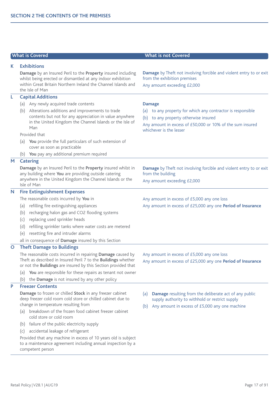|              | <b>What is Covered</b>                                                                                                                                                                                          | <b>What is not Covered</b>                                                                                                                                                                      |
|--------------|-----------------------------------------------------------------------------------------------------------------------------------------------------------------------------------------------------------------|-------------------------------------------------------------------------------------------------------------------------------------------------------------------------------------------------|
| K.           | <b>Exhibitions</b>                                                                                                                                                                                              |                                                                                                                                                                                                 |
|              | Damage by an Insured Peril to the Property insured including<br>whilst being erected or dismantled at any indoor exhibition<br>within Great Britain Northern Ireland the Channel Islands and<br>the Isle of Man | Damage by Theft not involving forcible and violent entry to or exit<br>from the exhibition premises<br>Any amount exceeding £2,000                                                              |
| L            | <b>Capital Additions</b>                                                                                                                                                                                        |                                                                                                                                                                                                 |
|              | (a) Any newly acquired trade contents                                                                                                                                                                           | <b>Damage</b>                                                                                                                                                                                   |
|              | (b) Alterations additions and improvements to trade<br>contents but not for any appreciation in value anywhere<br>in the United Kingdom the Channel Islands or the Isle of<br>Man                               | to any property for which any contractor is responsible<br>(a)<br>(b) to any property otherwise insured<br>Any amount in excess of £50,000 or 10% of the sum insured<br>whichever is the lesser |
|              | Provided that                                                                                                                                                                                                   |                                                                                                                                                                                                 |
|              | You provide the full particulars of such extension of<br>(a)<br>cover as soon as practicable                                                                                                                    |                                                                                                                                                                                                 |
|              | (b) You pay any additional premium required                                                                                                                                                                     |                                                                                                                                                                                                 |
| M            | <b>Catering</b>                                                                                                                                                                                                 |                                                                                                                                                                                                 |
|              | Damage by an Insured Peril to the Property insured whilst in<br>any building where You are providing outside catering<br>anywhere in the United Kingdom the Channel Islands or the                              | Damage by Theft not involving forcible and violent entry to or exit<br>from the building                                                                                                        |
|              | Isle of Man                                                                                                                                                                                                     | Any amount exceeding £2,000                                                                                                                                                                     |
| N            | <b>Fire Extinguishment Expenses</b>                                                                                                                                                                             |                                                                                                                                                                                                 |
|              | The reasonable costs incurred by You in                                                                                                                                                                         | Any amount in excess of £5,000 any one loss                                                                                                                                                     |
|              | (a) refilling fire extinguishing appliances                                                                                                                                                                     | Any amount in excess of £25,000 any one Period of Insurance                                                                                                                                     |
|              | (b) recharging halon gas and CO2 flooding systems                                                                                                                                                               |                                                                                                                                                                                                 |
|              | replacing used sprinkler heads<br>(c)                                                                                                                                                                           |                                                                                                                                                                                                 |
|              | refilling sprinkler tanks where water costs are metered<br>(d)                                                                                                                                                  |                                                                                                                                                                                                 |
|              | resetting fire and intruder alarms<br>(e)                                                                                                                                                                       |                                                                                                                                                                                                 |
|              | all in consequence of Damage insured by this Section                                                                                                                                                            |                                                                                                                                                                                                 |
| $\mathbf{O}$ | <b>Theft Damage to Buildings</b>                                                                                                                                                                                |                                                                                                                                                                                                 |
|              | The reasonable costs incurred in repairing Damage caused by<br>Theft as described in Insured Peril 7 to the <b>Buildings</b> whether<br>or not the <b>Buildings</b> are insured by this Section provided that   | Any amount in excess of £5,000 any one loss<br>Any amount in excess of £25,000 any one Period of Insurance                                                                                      |
|              | You are responsible for these repairs as tenant not owner<br>(a)                                                                                                                                                |                                                                                                                                                                                                 |
|              | the Damage is not insured by any other policy<br>(b)                                                                                                                                                            |                                                                                                                                                                                                 |
| P            | <b>Freezer Contents</b>                                                                                                                                                                                         |                                                                                                                                                                                                 |
|              | Damage to frozen or chilled Stock in any freezer cabinet<br>deep freezer cold room cold store or chilled cabinet due to<br>change in temperature resulting from                                                 | Damage resulting from the deliberate act of any public<br>(a)<br>supply authority to withhold or restrict supply                                                                                |
|              | (a) breakdown of the frozen food cabinet freezer cabinet<br>cold store or cold room                                                                                                                             | Any amount in excess of £5,000 any one machine<br>(b)                                                                                                                                           |
|              | failure of the public electricity supply<br>(b)                                                                                                                                                                 |                                                                                                                                                                                                 |
|              | accidental leakage of refrigerant<br>(c)                                                                                                                                                                        |                                                                                                                                                                                                 |
|              | Provided that any machine in excess of 10 years old is subject<br>to a maintenance agreement including annual inspection by a<br>competent person                                                               |                                                                                                                                                                                                 |
|              |                                                                                                                                                                                                                 |                                                                                                                                                                                                 |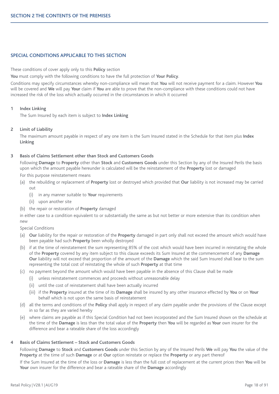# **SPECIAL CONDITIONS APPLICABLE TO THIS SECTION**

These conditions of cover apply only to this **Policy** section

**You** must comply with the following conditions to have the full protection of **Your Policy**.

Conditions may specify circumstances whereby non-compliance will mean that **You** will not receive payment for a claim. However **You** will be covered and **We** will pay **Your** claim if **You** are able to prove that the non-compliance with these conditions could not have increased the risk of the loss which actually occurred in the circumstances in which it occurred

### **1 Index Linking**

The Sum Insured by each item is subject to **Index Linking**

# **2 Limit of Liability**

The maximum amount payable in respect of any one item is the Sum Insured stated in the Schedule for that item plus **Index Linking**

# **3 Basis of Claims Settlement other than Stock and Customers Goods**

Following **Damage** to **Property** other than **Stock** and **Customers Goods** under this Section by any of the Insured Perils the basis upon which the amount payable hereunder is calculated will be the reinstatement of the **Property** lost or damaged

For this purpose reinstatement means

- (a) the rebuilding or replacement of **Property** lost or destroyed which provided that **Our** liability is not increased may be carried out
	- (i) in any manner suitable to **Your** requirements
	- (ii) upon another site
- (b) the repair or restoration of **Property** damaged

in either case to a condition equivalent to or substantially the same as but not better or more extensive than its condition when new

- Special Conditions
- (a) **Our** liability for the repair or restoration of the **Property** damaged in part only shall not exceed the amount which would have been payable had such **Property** been wholly destroyed
- (b) if at the time of reinstatement the sum representing 85% of the cost which would have been incurred in reinstating the whole of the **Property** covered by any item subject to this clause exceeds its Sum Insured at the commencement of any **Damage Our** liability will not exceed that proportion of the amount of the **Damage** which the said Sum Insured shall bear to the sum representing the total cost of reinstating the whole of such **Property** at that time
- (c) no payment beyond the amount which would have been payable in the absence of this Clause shall be made
	- (i) unless reinstatement commences and proceeds without unreasonable delay
	- (ii) until the cost of reinstatement shall have been actually incurred
	- (iii) if the **Property** insured at the time of its **Damage** shall be insured by any other insurance effected by **You** or on **Your** behalf which is not upon the same basis of reinstatement
- (d) all the terms and conditions of the **Policy** shall apply in respect of any claim payable under the provisions of the Clause except in so far as they are varied hereby
- (e) where claims are payable as if this Special Condition had not been incorporated and the Sum Insured shown on the schedule at the time of the **Damage** is less than the total value of the **Property** then **You** will be regarded as **Your** own insurer for the difference and bear a rateable share of the loss accordingly

# **4 Basis of Claims Settlement – Stock and Customers Goods**

Following **Damage** to **Stock** and **Customers Goods** under this Section by any of the Insured Perils **We** will pay **You** the value of the **Property** at the time of such **Damage** or at **Our** option reinstate or replace the **Property** or any part thereof

If the Sum Insured at the time of the loss or **Damage** is less than the full cost of replacement at the current prices then **You** will be **Your** own insurer for the difference and bear a rateable share of the **Damage** accordingly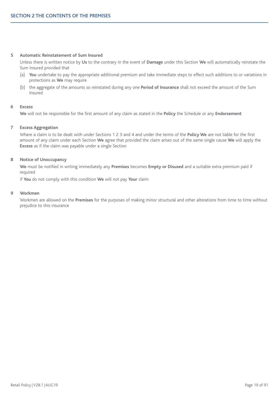#### **5 Automatic Reinstatement of Sum Insured**

Unless there is written notice by **Us** to the contrary in the event of **Damage** under this Section **We** will automatically reinstate the Sum Insured provided that

- (a) **You** undertake to pay the appropriate additional premium and take immediate steps to effect such additions to or variations in protections as **We** may require
- (b) the aggregate of the amounts so reinstated during any one **Period of Insurance** shall not exceed the amount of the Sum Insured

#### **6 Excess**

**We** will not be responsible for the first amount of any claim as stated in the **Policy** the Schedule or any **Endorsement**

#### **7 Excess Aggregation**

Where a claim is to be dealt with under Sections 1 2 3 and 4 and under the terms of the **Policy We** are not liable for the first amount of any claim under each Section **We** agree that provided the claim arises out of the same single cause **We** will apply the **Excess** as if the claim was payable under a single Section

### **8 Notice of Unoccupancy**

**We** must be notified in writing immediately any **Premises** becomes **Empty or Disused** and a suitable extra premium paid if required

if **You** do not comply with this condition **We** will not pay **Your** claim

## **9 Workmen**

Workmen are allowed on the **Premises** for the purposes of making minor structural and other alterations from time to time without prejudice to this insurance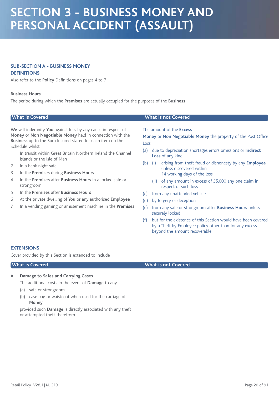# **SECTION 3 - BUSINESS MONEY AND PERSONAL ACCIDENT (ASSAULT)**

# **SUB-SECTION A - BUSINESS MONEY**

# **DEFINITIONS**

Also refer to the **Policy** Definitions on pages 4 to 7

#### **Business Hours**

The period during which the **Premises** are actually occupied for the purposes of the **Business**

|                          | <b>What is Covered</b>                                                                                                                                                                                                                                                      |             |             | <b>What is not Covered</b>                                                                                                                                                                      |
|--------------------------|-----------------------------------------------------------------------------------------------------------------------------------------------------------------------------------------------------------------------------------------------------------------------------|-------------|-------------|-------------------------------------------------------------------------------------------------------------------------------------------------------------------------------------------------|
|                          | We will indemnify You against loss by any cause in respect of<br>Money or Non Negotiable Money held in connection with the<br>Business up to the Sum Insured stated for each item on the<br>Schedule whilst<br>In transit within Great Britain Northern Ireland the Channel | Loss<br>(a) |             | The amount of the <b>Excess</b><br>Money or Non Negotiable Money the property of the Post Office<br>due to depreciation shortages errors omissions or Indirect<br>Loss of any kind              |
| 2<br>3<br>$\overline{4}$ | Islands or the Isle of Man<br>In a bank night safe<br>In the Premises during Business Hours<br>In the Premises after Business Hours in a locked safe or<br>strongroom                                                                                                       | (b)         | (i)<br>(ii) | arising from theft fraud or dishonesty by any Employee<br>unless discovered within<br>14 working days of the loss<br>of any amount in excess of £5,000 any one claim in<br>respect of such loss |

- 5 In the **Premises** after **Business Hours**
- 6 At the private dwelling of **You** or any authorised **Employee**
- 7 In a vending gaming or amusement machine in the **Premises**

- (c) from any unattended vehicle
- (d) by forgery or deception
- (e) from any safe or strongroom after **Business Hours** unless securely locked
- (f) but for the existence of this Section would have been covered by a Theft by Employee policy other than for any excess beyond the amount recoverable

# **EXTENSIONS**

Cover provided by this Section is extended to include

# **A Damage to Safes and Carrying Cases**

The additional costs in the event of **Damage** to any

- (a) safe or strongroom
- (b) case bag or waistcoat when used for the carriage of **Money**

provided such **Damage** is directly associated with any theft or attempted theft therefrom

# **What is Covered What is not Covered**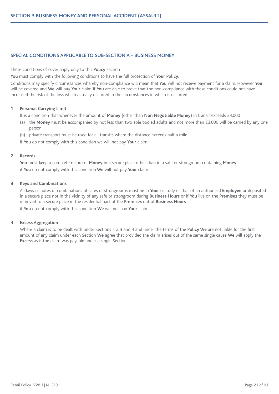# **SPECIAL CONDITIONS APPLICABLE TO SUB-SECTION A - BUSINESS MONEY**

These conditions of cover apply only to this **Policy** section

**You** must comply with the following conditions to have the full protection of **Your Policy**.

Conditions may specify circumstances whereby non-compliance will mean that **You** will not receive payment for a claim. However **You** will be covered and **We** will pay **Your** claim if **You** are able to prove that the non-compliance with these conditions could not have increased the risk of the loss which actually occurred in the circumstances in which it occurred

# **1 Personal Carrying Limit**

It is a condition that whenever the amount of **Money** (other than **Non Negotiable Money**) in transit exceeds £3,000

- (a) the **Money** must be accompanied by not less than two able bodied adults and not more than £3,000 will be carried by any one person
- (b) private transport must be used for all transits where the distance exceeds half a mile

if **You** do not comply with this condition we will not pay **Your** claim

# **2 Records**

**You** must keep a complete record of **Money** in a secure place other than in a safe or strongroom containing **Money** if **You** do not comply with this condition **We** will not pay **Your** claim

# **3 Keys and Combinations**

All keys or notes of combinations of safes or strongrooms must be in **Your** custody or that of an authorised **Employee** or deposited in a secure place not in the vicinity of any safe or strongroom during **Business Hours** or if **You** live on the **Premises** they must be removed to a secure place in the residential part of the **Premises** out of **Business Hours**

if **You** do not comply with this condition **We** will not pay **Your** claim

### **4 Excess Aggregation**

Where a claim is to be dealt with under Sections 1 2 3 and 4 and under the terms of the **Policy We** are not liable for the first amount of any claim under each Section **We** agree that provided the claim arises out of the same single cause **We** will apply the **Excess** as if the claim was payable under a single Section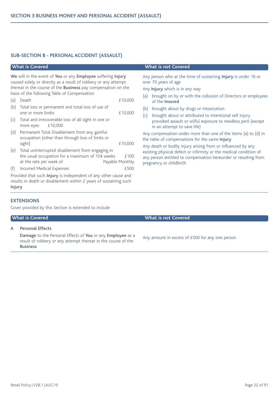# **SUB-SECTION B - PERSONAL ACCIDENT (ASSAULT)**

**We** will in the event of **You** or any **Employee** suffering **Injury** caused solely or directly as a result of robbery or any attempt thereat in the course of the **Business** pay compensation on the basis of the following Table of Compensation

| (a) Death                                               | £10,000 |
|---------------------------------------------------------|---------|
| (b) Total loss or permanent and total loss of use of    |         |
| one or more limbs                                       | £10,000 |
| (c) Total and irrecoverable loss of all sight in one or |         |
| more eyes $£10,000$                                     |         |

- (d) Permanent Total Disablement from any gainful occupation (other than through loss of limbs or sight)  $£10,000$
- (e) Total uninterrupted disablement from engaging in the usual occupation for a maximum of  $104$  weeks  $£100$ at the rate per week of Payable Monthly
- (f) Incurred Medical Expenses £500

Provided that such **Injury** is independent of any other cause and results in death or disablement within 2 years of sustaining such **Injury**

# **EXTENSIONS**

Cover provided by this Section is extended to include

**A Personal Effects**

**Damage** to the Personal Effects of **You** or any **Employee** as a result of robbery or any attempt thereat in the course of the **Business**

# **What is Covered What is not Covered**

Any person who at the time of sustaining **Injury** is under 16 or over 70 years of age

Any **Injury** which is in any way

- (a) brought on by or with the collusion of Directors or employees of the **Insured**
- (b) brought about by drugs or intoxication
- (c) brought about or attributed to intentional self injury provoked assault or wilful exposure to needless peril (except in an attempt to save life)

Any compensation under more than one of the items (a) to (d) in the table of compensations for the same **Injury**

Any death or bodily injury arising from or influenced by any existing physical defect or infirmity or the medical condition of any person entitled to compensation hereunder or resulting from pregnancy or childbirth

# **What is Covered What is not Covered**

Any amount in excess of £500 for any one person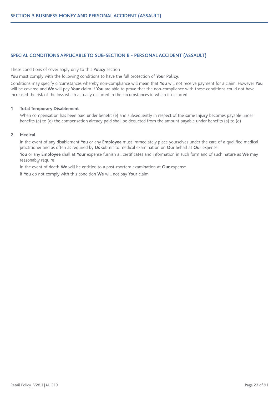# **SPECIAL CONDITIONS APPLICABLE TO SUB-SECTION B - PERSONAL ACCIDENT (ASSAULT)**

These conditions of cover apply only to this **Policy** section

**You** must comply with the following conditions to have the full protection of **Your Policy**.

Conditions may specify circumstances whereby non-compliance will mean that **You** will not receive payment for a claim. However **You** will be covered and **We** will pay **Your** claim if **You** are able to prove that the non-compliance with these conditions could not have increased the risk of the loss which actually occurred in the circumstances in which it occurred

# **1 Total Temporary Disablement**

When compensation has been paid under benefit (e) and subsequently in respect of the same **Injury** becomes payable under benefits (a) to (d) the compensation already paid shall be deducted from the amount payable under benefits (a) to (d)

### **2 Medical**

In the event of any disablement **You** or any **Employee** must immediately place yourselves under the care of a qualified medical practitioner and as often as required by **Us** submit to medical examination on **Our** behalf at **Our** expense

**You** or any **Employee** shall at **Your** expense furnish all certificates and information in such form and of such nature as **We** may reasonably require

In the event of death **We** will be entitled to a post-mortem examination at **Our** expense

if **You** do not comply with this condition **We** will not pay **Your** claim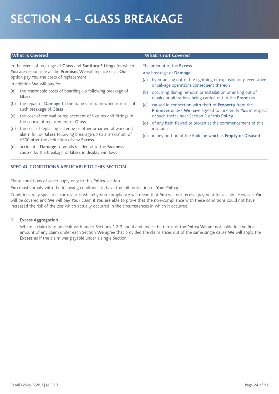# **SECTION 4 – GLASS BREAKAGE**

In the event of breakage of **Glass** and **Sanitary Fittings** for which **You** are responsible at the **Premises We** will replace or at **Our** option pay **You** the costs of replacement

In addition **We** will pay for

- (a) the reasonable costs of boarding-up following breakage of **Glass**
- (b) the repair of **Damage** to the frames or framework as result of such breakage of **Glass**
- (c) the cost of removal or replacement of fixtures and fittings in the course of replacement of **Glass**
- (d) the cost of replacing lettering or other ornamental work and alarm foil on **Glass** following breakage up to a maximum of £500 after the deduction of any **Excess**
- (e) accidental **Damage** to goods incidental to the **Business** caused by the breakage of **Glass** in display windows

# **SPECIAL CONDITIONS APPLICABLE TO THIS SECTION**

These conditions of cover apply only to this **Policy** section

**You** must comply with the following conditions to have the full protection of **Your Policy**.

Conditions may specify circumstances whereby non-compliance will mean that **You** will not receive payment for a claim. However **You** will be covered and **We** will pay **Your** claim if **You** are able to prove that the non-compliance with these conditions could not have increased the risk of the loss which actually occurred in the circumstances in which it occurred

### **1 Excess Aggregation**

Where a claim is to be dealt with under Sections 1 2 3 and 4 and under the terms of the **Policy We** are not liable for the first amount of any claim under each Section **We** agree that provided the claim arises out of the same single cause **We** will apply the **Excess** as if the claim was payable under a single Section

# **What is Covered What is not Covered**

The amount of the **Excess**

- Any breakage or **Damage**
- (a) by or arising out of fire lightning or explosion or preventative or salvage operations consequent thereon
- (b) occurring during removal or installation or arising out of repairs or alterations being carried out at the **Premises**
- (c) caused in connection with theft of **Property** from the **Premises** unless **We** have agreed to indemnify **You** in respect of such theft under Section 2 of this **Policy**
- (d) of any item flawed or broken at the commencement of this insurance
- (e) in any portion of the Building which is **Empty or Disused**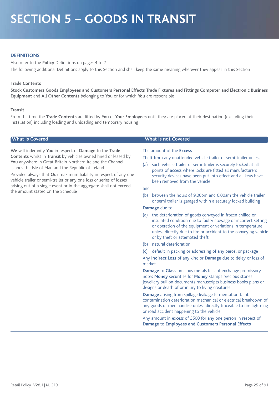# **SECTION 5 – GOODS IN TRANSIT**

# **DEFINITIONS**

Also refer to the **Policy** Definitions on pages 4 to 7 The following additional Definitions apply to this Section and shall keep the same meaning wherever they appear in this Section

#### **Trade Contents**

Stock Customers Goods Employees and Customers Personal Effects Trade Fixtures and Fittings Computer and Electronic Business **Equipment** and **All Other Contents** belonging to **You** or for which **You** are responsible

#### **Transit**

From the time the **Trade Contents** are lifted by **You** or **Your Employees** until they are placed at their destination (excluding their installation) including loading and unloading and temporary housing

**We** will indemnify **You** in respect of **Damage** to the **Trade Contents** whilst in **Transit** by vehicles owned hired or leased by **You** anywhere in Great Britain Northern Ireland the Channel Islands the Isle of Man and the Republic of Ireland

Provided always that **Our** maximum liability in respect of any one vehicle trailer or semi-trailer or any one loss or series of losses arising out of a single event or in the aggregate shall not exceed the amount stated on the Schedule

#### **What is Covered What is not Covered**

#### The amount of the **Excess**

Theft from any unattended vehicle trailer or semi-trailer unless

(a) such vehicle trailer or semi-trailer is securely locked at all points of access where locks are fitted all manufacturers security devices have been put into effect and all keys have been removed from the vehicle

#### and

(b) between the hours of 9.00pm and 6.00am the vehicle trailer or semi trailer is garaged within a securely locked building

# **Damage** due to

- (a) the deterioration of goods conveyed in frozen chilled or insulated condition due to faulty stowage or incorrect setting or operation of the equipment or variations in temperature unless directly due to fire or accident to the conveying vehicle or by theft or attempted theft
- (b) natural deterioration
- (c) default in packing or addressing of any parcel or package

Any **Indirect Loss** of any kind or **Damage** due to delay or loss of market

**Damage** to **Glass** precious metals bills of exchange promissory notes **Money** securities for **Money** stamps precious stones jewellery bullion documents manuscripts business books plans or designs or death of or injury to living creatures

**Damage** arising from spillage leakage fermentation taint contamination deterioration mechanical or electrical breakdown of any goods or merchandise unless directly traceable to fire lightning or road accident happening to the vehicle

Any amount in excess of £500 for any one person in respect of **Damage** to **Employees and Customers Personal Effects**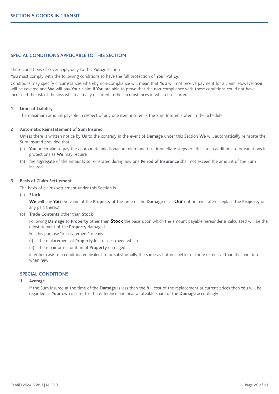# **SPECIAL CONDITIONS APPLICABLE TO THIS SECTION**

These conditions of cover apply only to this **Policy** section

**You** must comply with the following conditions to have the full protection of **Your Policy**.

Conditions may specify circumstances whereby non-compliance will mean that **You** will not receive payment for a claim. However **You** will be covered and **We** will pay **Your** claim if **You** are able to prove that the non-compliance with these conditions could not have increased the risk of the loss which actually occurred in the circumstances in which it occurred

### **1 Limit of Liability**

The maximum amount payable in respect of any one item insured is the Sum Insured stated in the Schedule

### **2 Automatic Reinstatement of Sum Insured**

Unless there is written notice by **Us** to the contrary in the event of **Damage** under this Section **We** will automatically reinstate the Sum Insured provided that

- (a) **You** undertake to pay the appropriate additional premium and take immediate steps to effect such additions to or variations in protections as **We** may require
- (b) the aggregate of the amounts so reinstated during any one **Period of Insurance** shall not exceed the amount of the Sum Insured

# **3 Basis of Claim Settlement**

The basis of claims settlement under this Section is

(a) **Stock**

**We** will pay **You** the value of the **Property** at the time of the **Damage** or at **Our** option reinstate or replace the **Property** or any part thereof

(b) **Trade Contents** other than **Stock**

Following **Damage** to **Property** other than **Stock** the basis upon which the amount payable hereunder is calculated will be the reinstatement of the **Property** damaged

For this purpose "reinstatement" means

- (i) the replacement of **Property** lost or destroyed which
- (ii) the repair or restoration of **Property** damaged

in either case to a condition equivalent to or substantially the same as but not better or more extensive than its condition when new

# **SPECIAL CONDITIONS**

#### **1 Average**

If the Sum Insured at the time of the **Damage** is less than the full cost of the replacement at current prices then **You** will be regarded as **Your** own insurer for the difference and bear a rateable share of the **Damage** accordingly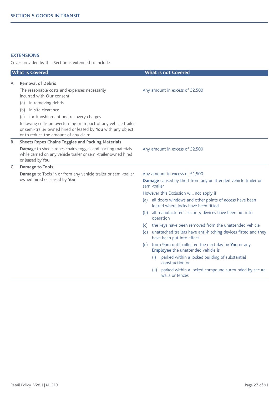# **EXTENSIONS**

Cover provided by this Section is extended to include

| <b>What is Covered</b> |                                                                                                                                                                                                                                                                                                                                                                                          | <b>What is not Covered</b> |                                                                                                                                                                                                                                                                                                                                                                                                                                                                                                                                                                                                                                                                                                                                                                         |
|------------------------|------------------------------------------------------------------------------------------------------------------------------------------------------------------------------------------------------------------------------------------------------------------------------------------------------------------------------------------------------------------------------------------|----------------------------|-------------------------------------------------------------------------------------------------------------------------------------------------------------------------------------------------------------------------------------------------------------------------------------------------------------------------------------------------------------------------------------------------------------------------------------------------------------------------------------------------------------------------------------------------------------------------------------------------------------------------------------------------------------------------------------------------------------------------------------------------------------------------|
| А                      | <b>Removal of Debris</b><br>The reasonable costs and expenses necessarily<br>incurred with Our consent<br>(a) in removing debris<br>in site clearance<br>(b)<br>for transhipment and recovery charges<br>(c)<br>following collision overturning or impact of any vehicle trailer<br>or semi-trailer owned hired or leased by You with any object<br>or to reduce the amount of any claim |                            | Any amount in excess of £2,500                                                                                                                                                                                                                                                                                                                                                                                                                                                                                                                                                                                                                                                                                                                                          |
| B                      | <b>Sheets Ropes Chains Toggles and Packing Materials</b><br>Damage to sheets ropes chains toggles and packing materials<br>while carried on any vehicle trailer or semi-trailer owned hired<br>or leased by You                                                                                                                                                                          |                            | Any amount in excess of £2,500                                                                                                                                                                                                                                                                                                                                                                                                                                                                                                                                                                                                                                                                                                                                          |
| C                      | Damage to Tools<br>Damage to Tools in or from any vehicle trailer or semi-trailer<br>owned hired or leased by You                                                                                                                                                                                                                                                                        | (a)<br>(b)<br>(d)          | Any amount in excess of £1,500<br>Damage caused by theft from any unattended vehicle trailer or<br>semi-trailer<br>However this Exclusion will not apply if<br>all doors windows and other points of access have been<br>locked where locks have been fitted<br>all manufacturer's security devices have been put into<br>operation<br>(c) the keys have been removed from the unattended vehicle<br>unattached trailers have anti-hitching devices fitted and they<br>have been put into effect<br>(e) from 9pm until collected the next day by You or any<br><b>Employee</b> the unattended vehicle is<br>parked within a locked building of substantial<br>(i)<br>construction or<br>parked within a locked compound surrounded by secure<br>(ii)<br>walls or fences |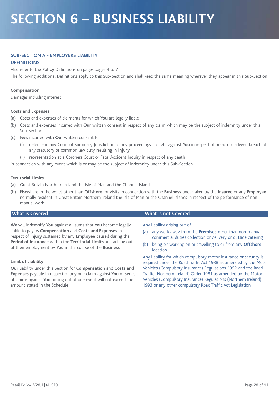# **SECTION 6 – BUSINESS LIABILITY**

# **SUB-SECTION A - EMPLOYERS LIABILITY**

# **DEFINITIONS**

Also refer to the **Policy** Definitions on pages pages 4 to 7

The following additional Definitions apply to this Sub-Section and shall keep the same meaning wherever they appear in this Sub-Section

# **Compensation**

Damages including interest

# **Costs and Expenses**

- (a) Costs and expenses of claimants for which **You** are legally liable
- (b) Costs and expenses incurred with **Our** written consent in respect of any claim which may be the subject of indemnity under this Sub-Section
- (c) Fees incurred with **Our** written consent for
	- defence in any Court of Summary Jurisdiction of any proceedings brought against You in respect of breach or alleged breach of any statutory or common law duty resulting in **Injury**
	- (ii) representation at a Coroners Court or Fatal Accident Inquiry in respect of any death

in connection with any event which is or may be the subject of indemnity under this Sub-Section

# **Territorial Limits**

- (a) Great Britain Northern Ireland the Isle of Man and the Channel Islands
- (b) Elsewhere in the world other than **Offshore** for visits in connection with the **Business** undertaken by the **Insured** or any **Employee** normally resident in Great Britain Northern Ireland the Isle of Man or the Channel Islands in respect of the performance of nonmanual work

**We** will indemnify **You** against all sums that **You** become legally liable to pay as **Compensation** and **Costs and Expenses** in respect of **Injury** sustained by any **Employee** caused during the **Period of Insurance** within the **Territorial Limits** and arising out of their employment by **You** in the course of the **Business**

# **Limit of Liability**

**Our** liability under this Section for **Compensation** and **Costs and Expenses** payable in respect of any one claim against **You** or series of claims against **You** arising out of one event will not exceed the amount stated in the Schedule

### **What is Covered What is not Covered**

Any liability arising out of

- (a) any work away from the **Premises** other than non-manual commercial duties collection or delivery or outside catering
- (b) being on working on or travelling to or from any **Offshore** location

Any liability for which compulsory motor insurance or security is required under the Road Traffic Act 1988 as amended by the Motor Vehicles (Compulsory Insurance) Regulations 1992 and the Road Traffic (Northern Ireland) Order 1981 as amended by the Motor Vehicles (Compulsory Insurance) Regulations (Northern Ireland) 1993 or any other compulsory Road Traffic Act Legislation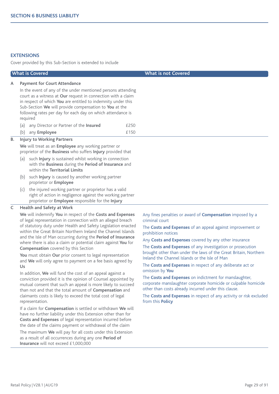# **EXTENSIONS**

Cover provided by this Sub-Section is extended to include

|    | <b>What is Covered</b>                                                                                                                                                                                                                                                                                                                                                                                                                                                                                                                                                                                                                      | <b>What is not Covered</b>                                                                                                                                                                                                                                                                                                                                                                                                                                                                            |
|----|---------------------------------------------------------------------------------------------------------------------------------------------------------------------------------------------------------------------------------------------------------------------------------------------------------------------------------------------------------------------------------------------------------------------------------------------------------------------------------------------------------------------------------------------------------------------------------------------------------------------------------------------|-------------------------------------------------------------------------------------------------------------------------------------------------------------------------------------------------------------------------------------------------------------------------------------------------------------------------------------------------------------------------------------------------------------------------------------------------------------------------------------------------------|
| A  | <b>Payment for Court Attendance</b><br>In the event of any of the under mentioned persons attending<br>court as a witness at Our request in connection with a claim<br>in respect of which You are entitled to indemnity under this<br>Sub-Section We will provide compensation to You at the<br>following rates per day for each day on which attendance is<br>required<br>any Director or Partner of the Insured<br>£250<br>(a)<br>£150<br>(b)<br>any Employee                                                                                                                                                                            |                                                                                                                                                                                                                                                                                                                                                                                                                                                                                                       |
| В. | <b>Injury to Working Partners</b>                                                                                                                                                                                                                                                                                                                                                                                                                                                                                                                                                                                                           |                                                                                                                                                                                                                                                                                                                                                                                                                                                                                                       |
|    | We will treat as an Employee any working partner or<br>proprietor of the Business who suffers Injury provided that<br>(a) such <b>Injury</b> is sustained whilst working in connection<br>with the Business during the Period of Insurance and<br>within the Territorial Limits                                                                                                                                                                                                                                                                                                                                                             |                                                                                                                                                                                                                                                                                                                                                                                                                                                                                                       |
|    | (b) such <b>Injury</b> is caused by another working partner<br>proprietor or <b>Employee</b>                                                                                                                                                                                                                                                                                                                                                                                                                                                                                                                                                |                                                                                                                                                                                                                                                                                                                                                                                                                                                                                                       |
|    | (c) the injured working partner or proprietor has a valid<br>right of action in negligence against the working partner<br>proprietor or Employee responsible for the Injury                                                                                                                                                                                                                                                                                                                                                                                                                                                                 |                                                                                                                                                                                                                                                                                                                                                                                                                                                                                                       |
| C  | <b>Health and Safety at Work</b>                                                                                                                                                                                                                                                                                                                                                                                                                                                                                                                                                                                                            |                                                                                                                                                                                                                                                                                                                                                                                                                                                                                                       |
|    | We will indemnify You in respect of the Costs and Expenses<br>of legal representation in connection with an alleged breach<br>of statutory duty under Health and Safety Legislation enacted<br>within the Great Britain Northern Ireland the Channel Islands<br>and the Isle of Man occurring during the Period of Insurance<br>where there is also a claim or potential claim against You for<br><b>Compensation</b> covered by this Section<br>You must obtain Our prior consent to legal representation<br>and We will only agree to payment on a fee basis agreed by<br>Us<br>In addition, We will fund the cost of an appeal against a | Any fines penalties or award of <b>Compensation</b> imposed by a<br>criminal court<br>The Costs and Expenses of an appeal against improvement or<br>prohibition notices<br>Any Costs and Expenses covered by any other insurance<br>The Costs and Expenses of any investigation or prosecution<br>brought other than under the laws of the Great Britain, Northern<br>Ireland the Channel Islands or the Isle of Man<br>The Costs and Expenses in respect of any deliberate act or<br>omission by You |
|    | conviction provided it is the opinion of Counsel appointed by<br>mutual consent that such an appeal is more likely to succeed<br>than not and that the total amount of Compensation and<br>claimants costs is likely to exceed the total cost of legal                                                                                                                                                                                                                                                                                                                                                                                      | The Costs and Expenses on indictment for manslaughter,<br>corporate manslaughter corporate homicide or culpable homicide<br>other than costs already incurred under this clause.<br>The Costs and Expenses in respect of any activity or risk excluded<br>from this Policy                                                                                                                                                                                                                            |
|    | representation.<br>If a claim for Compensation is settled or withdrawn We will<br>have no further liability under this Extension other than for<br>Costs and Expenses of legal representation incurred before<br>the date of the claims payment or withdrawal of the claim                                                                                                                                                                                                                                                                                                                                                                  |                                                                                                                                                                                                                                                                                                                                                                                                                                                                                                       |

The maximum **We** will pay for all costs under this Extension as a result of all occurrences during any one **Period of Insurance** will not exceed £1,000,000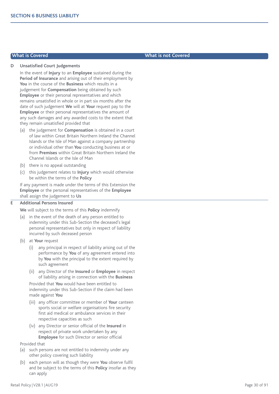#### **D Unsatisfied Court Judgements**

In the event of **Injury** to an **Employee** sustained during the **Period of Insurance** and arising out of their employment by **You** in the course of the **Business** which results in a judgement for **Compensation** being obtained by such **Employee** or their personal representatives and which remains unsatisfied in whole or in part six months after the date of such judgement **We** will at **Your** request pay to the **Employee** or their personal representatives the amount of any such damages and any awarded costs to the extent that they remain unsatisfied provided that

- (a) the judgement for **Compensation** is obtained in a court of law within Great Britain Northern Ireland the Channel Islands or the Isle of Man against a company partnership or individual other than **You** conducting business at or from **Premises** within Great Britain Northern Ireland the Channel Islands or the Isle of Man
- (b) there is no appeal outstanding
- (c) this judgement relates to **Injury** which would otherwise be within the terms of the **Policy**

If any payment is made under the terms of this Extension the **Employee** or the personal representatives of the **Employee** shall assign the judgement to **Us**

#### **E Additional Persons Insured**

**We** will subject to the terms of this **Policy** indemnify

- (a) in the event of the death of any person entitled to indemnity under this Sub-Section the deceased's legal personal representatives but only in respect of liability incurred by such deceased person
- (b) at **Your** request
	- (i) any principal in respect of liability arising out of the performance by **You** of any agreement entered into by **You** with the principal to the extent required by such agreement
	- (ii) any Director of the **Insured** or **Employee** in respect of liability arising in connection with the **Business**

Provided that **You** would have been entitled to indemnity under this Sub-Section if the claim had been made against **You**

- (iii) any officer committee or member of **Your** canteen sports social or welfare organisations fire security first aid medical or ambulance services in their respective capacities as such
- (iv) any Director or senior official of the **Insured** in respect of private work undertaken by any **Employee** for such Director or senior official
- Provided that
- (a) such persons are not entitled to indemnity under any other policy covering such liability
- (b) each person will as though they were **You** observe fulfil and be subject to the terms of this **Policy** insofar as they can apply

## **What is Covered What is not Covered**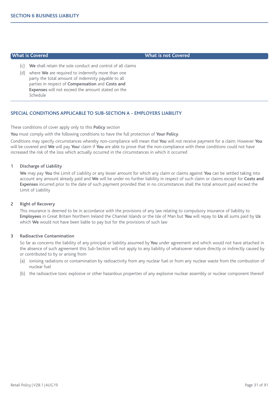**What is Covered What is not Covered**

- (c) **We** shall retain the sole conduct and control of all claims
- (d) where **We** are required to indemnify more than one party the total amount of indemnity payable to all parties in respect of **Compensation** and **Costs and Expenses** will not exceed the amount stated on the Schedule

### **SPECIAL CONDITIONS APPLICABLE TO SUB-SECTION A - EMPLOYERS LIABILITY**

These conditions of cover apply only to this **Policy** section

**You** must comply with the following conditions to have the full protection of **Your Policy**.

Conditions may specify circumstances whereby non-compliance will mean that **You** will not receive payment for a claim. However **You** will be covered and **We** will pay **You**r claim if **You** are able to prove that the non-compliance with these conditions could not have increased the risk of the loss which actually occurred in the circumstances in which it occurred

#### **1 Discharge of Liability**

**We** may pay **You** the Limit of Liability or any lesser amount for which any claim or claims against **You** can be settled taking into account any amount already paid and **We** will be under no further liability in respect of such claim or claims except for **Costs and Expenses** incurred prior to the date of such payment provided that in no circumstances shall the total amount paid exceed the Limit of Liability

#### **2 Right of Recovery**

This insurance is deemed to be in accordance with the provisions of any law relating to compulsory insurance of liability to **Employees** in Great Britain Northern Ireland the Channel Islands or the Isle of Man but **You** will repay to **Us** all sums paid by **Us** which **We** would not have been liable to pay but for the provisions of such law

#### **3 Radioactive Contamination**

So far as concerns the liability of any principal or liability assumed by **You** under agreement and which would not have attached in the absence of such agreement this Sub-Section will not apply to any liability of whatsoever nature directly or indirectly caused by or contributed to by or arising from

- (a) ionising radiations or contamination by radioactivity from any nuclear fuel or from any nuclear waste from the combustion of nuclear fuel
- (b) the radioactive toxic explosive or other hazardous properties of any explosive nuclear assembly or nuclear component thereof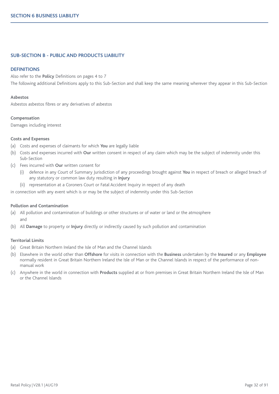#### **SUB-SECTION B - PUBLIC AND PRODUCTS LIABILITY**

#### **DEFINITIONS**

Also refer to the **Policy** Definitions on pages 4 to 7

The following additional Definitions apply to this Sub-Section and shall keep the same meaning wherever they appear in this Sub-Section

#### **Asbestos**

Asbestos asbestos fibres or any derivatives of asbestos

#### **Compensation**

Damages including interest

#### **Costs and Expenses**

- (a) Costs and expenses of claimants for which **You** are legally liable
- (b) Costs and expenses incurred with **Our** written consent in respect of any claim which may be the subject of indemnity under this Sub-Section
- (c) Fees incurred with **Our** written consent for
	- (i) defence in any Court of Summary Jurisdiction of any proceedings brought against **You** in respect of breach or alleged breach of any statutory or common law duty resulting in **Injury**
	- (ii) representation at a Coroners Court or Fatal Accident Inquiry in respect of any death

in connection with any event which is or may be the subject of indemnity under this Sub-Section

#### **Pollution and Contamination**

- (a) All pollution and contamination of buildings or other structures or of water or land or the atmosphere and
- (b) All **Damage** to property or **Injury** directly or indirectly caused by such pollution and contamination

#### **Territorial Limits**

- (a) Great Britain Northern Ireland the Isle of Man and the Channel Islands
- (b) Elsewhere in the world other than **Offshore** for visits in connection with the **Business** undertaken by the **Insured** or any **Employee** normally resident in Great Britain Northern Ireland the Isle of Man or the Channel Islands in respect of the performance of nonmanual work
- (c) Anywhere in the world in connection with **Products** supplied at or from premises in Great Britain Northern Ireland the Isle of Man or the Channel Islands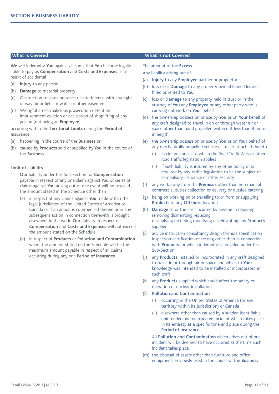**We** will indemnify **You** against all sums that **You** become legally liable to pay as **Compensation** and **Costs and Expenses** as a result of accidental

- (a) **Injury** to any person
- (b) **Damage** to material property
- (c) Obstruction trespass nuisance or interference with any right of way air or light or water or other easement
- (d) Wrongful arrest malicious prosecution detention imprisonment eviction or accusation of shoplifting of any person (not being an **Employee**)

occurring within the **Territorial Limits** during the **Period of Insurance**

- (a) happening in the course of the **Business** or
- (b) caused by **Products** sold or supplied by **You** in the course of the **Business**

#### **Limit of Liability**

- 1 **Our** liability under this Sub-Section for **Compensation** payable in respect of any one claim against **You** or series of claims against **You** arising out of one event will not exceed the amount stated in the Schedule other than
	- (a) in respect of any claims against **You** made within the legal jurisdiction of the United States of America or Canada or if an action is commenced therein or in any subsequent action in connection therewith is brought elsewhere in the world **Our** liability in respect of **Compensation** and **Costs and Expenses** will not exceed the amount stated on the Schedule
	- (b) in respect of **Products** or **Pollution and Contamination** where the amount stated on the Schedule will be the maximum amount payable in respect of all claims occurring during any one **Period of Insurance**

#### **What is Covered What is not Covered**

The amount of the **Excess**

Any liability arising out of

- (a) **Injury** to any **Employee** partner or proprietor
- (b) loss of or **Damage** to any property owned loaned leased hired or rented to **You**
- (c) loss or **Damage** to any property held in trust or in the custody of **You** any **Employee** or any other party who is carrying out work on **Your** behalf
- (d) the ownership possession or use by **You** or on **Your** behalf of any craft designed to travel in on or through water air or space other than hand propelled watercraft less than 8 metres in length
- (e) the ownership possession or use by **You** or on **Your** behalf of any mechanically propelled vehicle or trailer attached thereto
	- (i) in circumstances to which the Road Traffic Acts or other road traffic legislation applies
	- (ii) if such liability is insured by any other policy or is required by any traffic legislation to be the subject of compulsory insurance or other security
- (f) any work away from the **Premises** other than non manual commercial duties collection or delivery or outside catering
- (g) being on working on or travelling to or from or supplying **Products** to any **Offshore** location
- (h) **Damage** to or the cost incurred by anyone in repairing removing dismantling replacing re-applying rectifying modifying or reinstating any **Products** supplied
- (i) advice instruction consultancy design formula specification inspection certification or testing other than in connection with **Products** for which indemnity is provided under this Sub-Section
- (j) any **Products** installed or incorporated in any craft designed to travel in or through air or space and which to **Your** knowledge was intended to be installed or incorporated in such craft
- (k) any **Products** supplied which could affect the safety or operation of nuclear installations
- (l) **Pollution and Contamination**
	- occurring in the United States of America (or any territory within its jurisdiction) or Canada
	- (ii) elsewhere other than caused by a sudden identifiable unintended and unexpected incident which takes place in its entirety at a specific time and place during the **Period of Insurance**

All **Pollution and Contamination** which arises out of one incident will be deemed to have occurred at the time such incident takes place

(m) the disposal of assets other than furniture and office equipment previously used in the course of the **Business**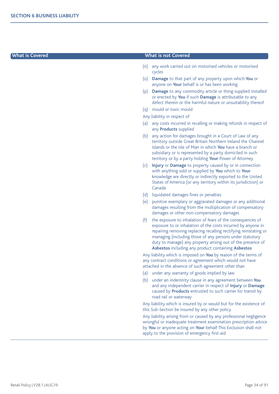#### **What is Covered What is not Covered**

- (n) any work carried out on motorised vehicles or motorised cycles
- (o) **Damage** to that part of any property upon which **You** or anyone on **Your** behalf is or has been working
- (p) **Damage** to any commodity article or thing supplied installed or erected by **You** if such **Damage** is attributable to any defect therein or the harmful nature or unsuitability thereof
- (q) mould or toxic mould
- Any liability in respect of
- (a) any costs incurred in recalling or making refunds in respect of any **Products** supplied
- (b) any action for damages brought in a Court of Law of any territory outside Great Britain Northern Ireland the Channel Islands or the Isle of Man in which **You** have a branch or subsidiary or is represented by a party domiciled in such territory or by a party holding **Your** Power of Attorney
- (c) **Injury** or **Damage** to property caused by or in connection with anything sold or supplied by **You** which to **Your** knowledge are directly or indirectly exported to the United States of America (or any territory within its jurisdiction) or Canada
- (d) liquidated damages fines or penalties
- (e) punitive exemplary or aggravated damages or any additional damages resulting from the multiplication of compensatory damages or other non-compensatory damages
- (f) the exposure to inhalation of fears of the consequences of exposure to or inhalation of the costs incurred by anyone in repairing removing replacing recalling rectifying reinstating or managing (including those of any persons under statutory duty to manage) any property arising out of the presence of **Asbestos** including any product containing **Asbestos**

Any liability which is imposed on **You** by reason of the terms of any contract conditions or agreement which would not have attached in the absence of such agreement other than

- (a) under any warranty of goods implied by law
- (b) under an indemnity clause in any agreement between **You** and any independent carrier in respect of **Injury** or **Damage** caused by **Products** entrusted to such carrier for transit by road rail or waterway

Any liability which is insured by or would but for the existence of this Sub-Section be insured by any other policy

Any liability arising from or caused by any professional negligence wrongful or inadequate treatment examination prescription advice by **You** or anyone acting on **Your** behalf This Exclusion shall not apply to the provision of emergency first aid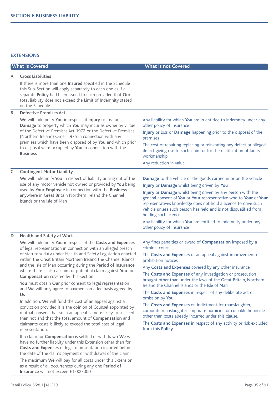# **EXTENSIONS**

| <b>What is Covered</b> |                                                                                                                                                                                                                                                                                                                                                                                         | <b>What is not Covered</b>                                                                                                                                                                                                                                                                      |
|------------------------|-----------------------------------------------------------------------------------------------------------------------------------------------------------------------------------------------------------------------------------------------------------------------------------------------------------------------------------------------------------------------------------------|-------------------------------------------------------------------------------------------------------------------------------------------------------------------------------------------------------------------------------------------------------------------------------------------------|
| A                      | <b>Cross Liabilities</b>                                                                                                                                                                                                                                                                                                                                                                |                                                                                                                                                                                                                                                                                                 |
|                        | If there is more than one Insured specified in the Schedule<br>this Sub-Section will apply separately to each one as if a<br>separate Policy had been issued to each provided that Our<br>total liability does not exceed the Limit of Indemnity stated<br>on the Schedule                                                                                                              |                                                                                                                                                                                                                                                                                                 |
| B                      | <b>Defective Premises Act</b>                                                                                                                                                                                                                                                                                                                                                           |                                                                                                                                                                                                                                                                                                 |
|                        | We will indemnify You in respect of Injury or loss or<br>Damage to property which You may incur as owner by virtue<br>of the Defective Premises Act 1972 or the Defective Premises<br>(Northern Ireland) Order 1975 in connection with any<br>premises which have been disposed of by You and which prior<br>to disposal were occupied by You in connection with the<br><b>Business</b> | Any liability for which You are in entitled to indemnity under any<br>other policy of insurance                                                                                                                                                                                                 |
|                        |                                                                                                                                                                                                                                                                                                                                                                                         | Injury or loss or Damage happening prior to the disposal of the<br>premises                                                                                                                                                                                                                     |
|                        |                                                                                                                                                                                                                                                                                                                                                                                         | The cost of repairing replacing or reinstating any defect or alleged<br>defect giving rise to such claim or for the rectification of faulty<br>workmanship                                                                                                                                      |
|                        |                                                                                                                                                                                                                                                                                                                                                                                         | Any reduction in value                                                                                                                                                                                                                                                                          |
| C                      | <b>Contingent Motor Liability</b>                                                                                                                                                                                                                                                                                                                                                       |                                                                                                                                                                                                                                                                                                 |
|                        | We will indemnify You in respect of liability arising out of the<br>use of any motor vehicle not owned or provided by You being<br>used by Your Employee in connection with the Business<br>anywhere in Great Britain Northern Ireland the Channel<br>Islands or the Isle of Man                                                                                                        | <b>Damage</b> to the vehicle or the goods carried in or on the vehicle                                                                                                                                                                                                                          |
|                        |                                                                                                                                                                                                                                                                                                                                                                                         | Injury or Damage whilst being driven by You                                                                                                                                                                                                                                                     |
|                        |                                                                                                                                                                                                                                                                                                                                                                                         | Injury or Damage whilst being driven by any person with the<br>general consent of You or Your representative who to Your or Your<br>representatives knowledge does not hold a licence to drive such<br>vehicle unless such person has held and is not disqualified from<br>holding such licence |
|                        |                                                                                                                                                                                                                                                                                                                                                                                         | Any liability for which You are entitled to indemnity under any<br>other policy of insurance                                                                                                                                                                                                    |

#### **D Health and Safety at Work**

**We** will indemnify **You** in respect of the **Costs and Expenses** of legal representation in connection with an alleged breach of statutory duty under Health and Safety Legislation enacted within the Great Britain Northern Ireland the Channel Islands and the Isle of Man occurring during the **Period of Insurance** where there is also a claim or potential claim against **You** for **Compensation** covered by this Section

**You** must obtain **Our** prior consent to legal representation and **We** will only agree to payment on a fee basis agreed by **Us**

In addition, **We** will fund the cost of an appeal against a conviction provided it is the opinion of Counsel appointed by mutual consent that such an appeal is more likely to succeed than not and that the total amount of **Compensation** and claimants costs is likely to exceed the total cost of legal representation.

If a claim for **Compensation** is settled or withdrawn **We** will have no further liability under this Extension other than for **Costs and Expenses** of legal representation incurred before the date of the claims payment or withdrawal of the claim The maximum **We** will pay for all costs under this Extension

as a result of all occurrences during any one **Period of Insurance** will not exceed £1,000,000

Any fines penalties or award of **Compensation** imposed by a criminal court

The **Costs and Expenses** of an appeal against improvement or prohibition notices

Any **Costs and Expenses** covered by any other insurance

The **Costs and Expenses** of any investigation or prosecution brought other than under the laws of the Great Britain, Northern Ireland the Channel Islands or the Isle of Man

The **Costs and Expenses** in respect of any deliberate act or omission by **You**

The **Costs and Expenses** on indictment for manslaughter, corporate manslaughter corporate homicide or culpable homicide other than costs already incurred under this clause.

The **Costs and Expenses** in respect of any activity or risk excluded from this **Policy**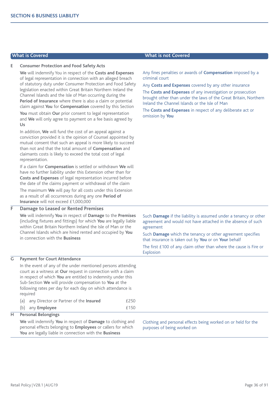#### **E Consumer Protection and Food Safety Acts**

**We** will indemnify You in respect of the **Costs and Expenses** of legal representation in connection with an alleged breach of statutory duty under Consumer Protection and Food Safety legislation enacted within Great Britain Northern Ireland the Channel Islands and the Isle of Man occurring during the **Period of Insurance** where there is also a claim or potential claim against **You** for **Compensation** covered by this Section

**You** must obtain **Our** prior consent to legal representation and **We** will only agree to payment on a fee basis agreed by **Us**

In addition, **We** will fund the cost of an appeal against a conviction provided it is the opinion of Counsel appointed by mutual consent that such an appeal is more likely to succeed than not and that the total amount of **Compensation** and claimants costs is likely to exceed the total cost of legal representation.

If a claim for **Compensation** is settled or withdrawn **We** will have no further liability under this Extension other than for **Costs and Expenses** of legal representation incurred before the date of the claims payment or withdrawal of the claim

The maximum **We** will pay for all costs under this Extension as a result of all occurrences during any one **Period of Insurance** will not exceed £1,000,000

### **F Damage to Leased or Rented Premises**

**We** will indemnify **You** in respect of **Damage** to the **Premises** (including fixtures and fittings) for which **You** are legally liable within Great Britain Northern Ireland the Isle of Man or the Channel Islands which are hired rented and occupied by **You** in connection with the **Business**

Such **Damage** if the liability is assumed under a tenancy or other agreement and would not have attached in the absence of such agreement

Such **Damage** which the tenancy or other agreement specifies that insurance is taken out by **You** or on **Your** behalf

The first £100 of any claim other than where the cause is Fire or Explosion

#### **G Payment for Court Attendance**

In the event of any of the under mentioned persons attending court as a witness at **Our** request in connection with a claim in respect of which **You** are entitled to indemnity under this Sub-Section **We** will provide compensation to **You** at the following rates per day for each day on which attendance is required

(a) any Director or Partner of the **Insured** £250 (b) any **Employee** £150

# **H Personal Belongings**

**We** will indemnify **You** in respect of **Damage** to clothing and personal effects belonging to **Employees** or callers for which **You** are legally liable in connection with the **Business**

Clothing and personal effects being worked on or held for the purposes of being worked on

# **What is Covered What is not Covered**

Any fines penalties or awards of **Compensation** imposed by a criminal court

Any **Costs and Expenses** covered by any other insurance

The **Costs and Expenses** of any investigation or prosecution brought other than under the laws of the Great Britain, Northern Ireland the Channel Islands or the Isle of Man

The **Costs and Expenses** in respect of any deliberate act or omission by **You**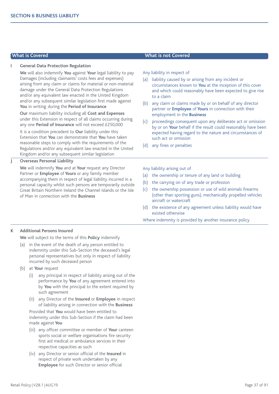#### **I General Data Protection Regulation**

**We** will also indemnify **You** against **Your** legal liability to pay Damages (including claimants' costs fees and expenses) arising from any claim or claims for material or non-material damage under the General Data Protection Regulations and/or any equivalent law enacted in the United Kingdom and/or any subsequent similar legislation first made against **You** in writing during the **Period of Insurance**

**Our** maximum liability including all **Cost and Expenses** under this Extension in respect of all claims occurring during any one **Period of Insurance** will not exceed £250,000

It is a condition precedent to **Our** liability under this Extension that **You** can demonstrate that **You** have taken reasonable steps to comply with the requirements of the Regulations and/or any equivalent law enacted in the United Kingdom and/or any subsequent similar legislation

## **J Overseas Personal Liability**

**We** will indemnify **You** and at **Your** request any Director Partner or **Employee** of **Yours** or any family member accompanying them in respect of legal liability incurred in a personal capacity whilst such persons are temporarily outside Great Britain Northern Ireland the Channel Islands or the Isle of Man in connection with the **Business**

#### **What is Covered What is not Covered**

Any liability in respect of

- (a) liability caused by or arising from any incident or circumstances known to **You** at the inception of this cover and which could reasonably have been expected to give rise to a claim
- (b) any claim or claims made by or on behalf of any director partner or **Employee** of **Yours** in connection with their employment in the **Business**
- (c) proceedings consequent upon any deliberate act or omission by or on **Your** behalf if the result could reasonably have been expected having regard to the nature and circumstances of such act or omission
- (d) any fines or penalties

Any liability arising out of

- (a) the ownership or tenure of any land or building
- (b) the carrying on of any trade or profession
- (c) the ownership possession or use of wild animals firearms (other than sporting guns), mechanically propelled vehicles aircraft or watercraft
- (d) the existence of any agreement unless liability would have existed otherwise

Where indemnity is provided by another insurance policy

#### **K Additional Persons Insured**

**We** will subject to the terms of this **Policy** indemnify

- (a) in the event of the death of any person entitled to indemnity under this Sub-Section the deceased's legal personal representatives but only in respect of liability incurred by such deceased person
- (b) at **Your** request
	- (i) any principal in respect of liability arising out of the performance by **You** of any agreement entered into by **You** with the principal to the extent required by such agreement
	- (ii) any Director of the **Insured** or **Employee** in respect of liability arising in connection with the **Business**

Provided that **You** would have been entitled to indemnity under this Sub-Section if the claim had been made against **You**

- (iii) any officer committee or member of **Your** canteen sports social or welfare organisations fire security first aid medical or ambulance services in their respective capacities as such
- (iv) any Director or senior official of the **Insured** in respect of private work undertaken by any **Employee** for such Director or senior official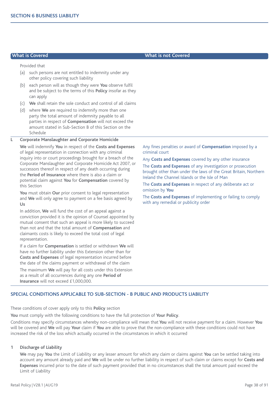Provided that

- (a) such persons are not entitled to indemnity under any other policy covering such liability
- (b) each person will as though they were **You** observe fulfil and be subject to the terms of this **Policy** insofar as they can apply
- (c) **We** shall retain the sole conduct and control of all claims
- (d) where **We** are required to indemnify more than one party the total amount of indemnity payable to all parties in respect of **Compensation** will not exceed the amount stated in Sub-Section B of this Section on the Schedule

#### **L Corporate Manslaughter and Corporate Homicide**

**We** will indemnify **You** in respect of the **Costs and Expenses** of legal representation in connection with any criminal inquiry into or court proceedings brought for a breach of the Corporate Manslaughter and Corporate Homicide Act 2007, or successors thereof in respect of any death occurring during the **Period of Insurance** where there is also a claim or potential claim against **You** for **Compensation** covered by this Section

**You** must obtain **Our** prior consent to legal representation and **We** will only agree to payment on a fee basis agreed by **Us**

In addition, **We** will fund the cost of an appeal against a conviction provided it is the opinion of Counsel appointed by mutual consent that such an appeal is more likely to succeed than not and that the total amount of **Compensation** and claimants costs is likely to exceed the total cost of legal representation.

If a claim for **Compensation** is settled or withdrawn **We** will have no further liability under this Extension other than for **Costs and Expenses** of legal representation incurred before the date of the claims payment or withdrawal of the claim

The maximum **We** will pay for all costs under this Extension as a result of all occurrences during any one **Period of Insurance** will not exceed £1,000,000.

Any fines penalties or award of **Compensation** imposed by a criminal court

Any **Costs and Expenses** covered by any other insurance

The **Costs and Expenses** of any investigation or prosecution brought other than under the laws of the Great Britain, Northern Ireland the Channel Islands or the Isle of Man

The **Costs and Expenses** in respect of any deliberate act or omission by **You**

The **Costs and Expenses** of implementing or failing to comply with any remedial or publicity order

### **SPECIAL CONDITIONS APPLICABLE TO SUB-SECTION - B PUBLIC AND PRODUCTS LIABILITY**

These conditions of cover apply only to this **Policy** section

**You** must comply with the following conditions to have the full protection of **Your Policy**.

Conditions may specify circumstances whereby non-compliance will mean that **You** will not receive payment for a claim. However **You** will be covered and **We** will pay **Your** claim if **You** are able to prove that the non-compliance with these conditions could not have increased the risk of the loss which actually occurred in the circumstances in which it occurred

#### **1 Discharge of Liability**

**We** may pay **You** the Limit of Liability or any lesser amount for which any claim or claims against **You** can be settled taking into account any amount already paid and **We** will be under no further liability in respect of such claim or claims except for **Costs and Expenses** incurred prior to the date of such payment provided that in no circumstances shall the total amount paid exceed the Limit of Liability

## **What is Covered What is not Covered**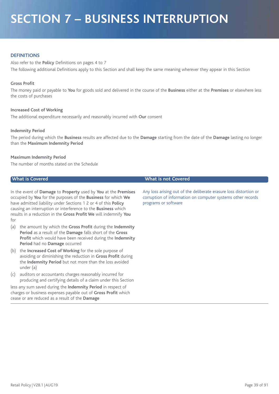# **SECTION 7 – BUSINESS INTERRUPTION**

### **DEFINITIONS**

Also refer to the **Policy** Definitions on pages 4 to 7 The following additional Definitions apply to this Section and shall keep the same meaning wherever they appear in this Section

#### **Gross Profit**

The money paid or payable to **You** for goods sold and delivered in the course of the **Business** either at the **Premises** or elsewhere less the costs of purchases

#### **Increased Cost of Working**

The additional expenditure necessarily and reasonably incurred with **Our** consent

#### **Indemnity Period**

The period during which the **Business** results are affected due to the **Damage** starting from the date of the **Damage** lasting no longer than the **Maximum Indemnity Period**

#### **Maximum Indemnity Period**

The number of months stated on the Schedule

| In the event of <b>Damage</b> to <b>Property</b> used by <b>You</b> at the <b>Premises</b> |
|--------------------------------------------------------------------------------------------|
| occupied by You for the purposes of the Business for which We                              |
| have admitted liability under Sections 1 2 or 4 of this Policy                             |
| causing an interruption or interference to the <b>Business</b> which                       |
| results in a reduction in the Gross Profit We will indemnify You                           |
| for                                                                                        |

- (a) the amount by which the **Gross Profit** during the **Indemnity Period** as a result of the **Damage** falls short of the **Gross Profit** which would have been received during the **Indemnity Period** had no **Damage** occurred
- (b) the **Increased Cost of Working** for the sole purpose of avoiding or diminishing the reduction in **Gross Profit** during the **Indemnity Period** but not more than the loss avoided under (a)
- (c) auditors or accountants charges reasonably incurred for producing and certifying details of a claim under this Section

less any sum saved during the **Indemnity Period** in respect of charges or business expenses payable out of **Gross Profit** which cease or are reduced as a result of the **Damage**

#### **What is Covered What is not Covered**

Any loss arising out of the deliberate erasure loss distortion or corruption of information on computer systems other records programs or software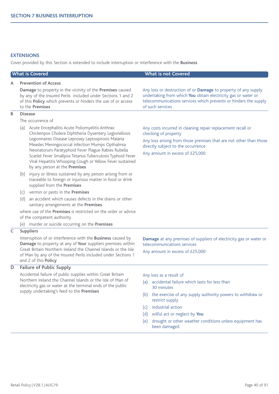### **EXTENSIONS**

Cover provided by this Section is extended to include interruption or interference with the **Business**

| <b>What is Covered</b> |                                                                                                                                                                                                                                                                                                                                                                                                                                                               | <b>What is not Covered</b>                                                                                                                                                                                                                                                                                                              |  |
|------------------------|---------------------------------------------------------------------------------------------------------------------------------------------------------------------------------------------------------------------------------------------------------------------------------------------------------------------------------------------------------------------------------------------------------------------------------------------------------------|-----------------------------------------------------------------------------------------------------------------------------------------------------------------------------------------------------------------------------------------------------------------------------------------------------------------------------------------|--|
| A                      | <b>Prevention of Access</b><br>Damage to property in the vicinity of the Premises caused<br>by any of the Insured Perils included under Sections 1 and 2<br>of this Policy which prevents or hinders the use of or access<br>to the Premises                                                                                                                                                                                                                  | Any loss or destruction of or Damage to property of any supply<br>undertaking from which You obtain electricity gas or water or<br>telecommunications services which prevents or hinders the supply<br>of such services                                                                                                                 |  |
| В                      | <b>Disease</b>                                                                                                                                                                                                                                                                                                                                                                                                                                                |                                                                                                                                                                                                                                                                                                                                         |  |
|                        | The occurrence of<br>Acute Encephalitis Acute Poliomyelitis Anthrax<br>(a)<br>Chickenpox Cholera Diphtheria Dysentery Legionellosis<br>Legionnaires Disease Leprosey Leptospirosis Malaria<br>Measles Meningococcal infection Mumps Opthalmia<br>Neonatorum Paratyphoid Fever Plague Rabies Rubella<br>Scarlet Fever Smallpox Tetanus Tuberculosis Typhoid Fever<br>Viral Hepatitis Whooping Cough or Yellow Fever sustained<br>by any person at the Premises | Any costs incurred in cleaning repair replacement recall or<br>checking of property<br>Any loss arising from those premises that are not other than those<br>directly subject to the occurrence<br>Any amount in excess of £25,000                                                                                                      |  |
|                        | injury or illness sustained by any person arising from or<br>(b)<br>traceable to foreign or injurious matter in food or drink<br>supplied from the Premises                                                                                                                                                                                                                                                                                                   |                                                                                                                                                                                                                                                                                                                                         |  |
|                        | vermin or pests in the Premises<br>(c)                                                                                                                                                                                                                                                                                                                                                                                                                        |                                                                                                                                                                                                                                                                                                                                         |  |
|                        | an accident which causes defects in the drains or other<br>(d)<br>sanitary arrangements at the Premises                                                                                                                                                                                                                                                                                                                                                       |                                                                                                                                                                                                                                                                                                                                         |  |
|                        | where use of the Premises is restricted on the order or advice<br>of the competent authority                                                                                                                                                                                                                                                                                                                                                                  |                                                                                                                                                                                                                                                                                                                                         |  |
|                        | (e) murder or suicide occurring on the Premises                                                                                                                                                                                                                                                                                                                                                                                                               |                                                                                                                                                                                                                                                                                                                                         |  |
| C                      | <b>Suppliers</b>                                                                                                                                                                                                                                                                                                                                                                                                                                              |                                                                                                                                                                                                                                                                                                                                         |  |
|                        | Interruption of or interference with the <b>Business</b> caused by<br>Damage to property at any of Your suppliers premises within                                                                                                                                                                                                                                                                                                                             | Damage at any premises of suppliers of electricity gas or water or<br>telecommunications services                                                                                                                                                                                                                                       |  |
|                        | Great Britain Northern Ireland the Channel Islands or the Isle<br>of Man by any of the Insured Perils included under Sections 1<br>and 2 of this Policy                                                                                                                                                                                                                                                                                                       | Any amount in excess of £25,000                                                                                                                                                                                                                                                                                                         |  |
| D                      | <b>Failure of Public Supply</b>                                                                                                                                                                                                                                                                                                                                                                                                                               |                                                                                                                                                                                                                                                                                                                                         |  |
|                        | Accidental failure of public supplies within Great Britain<br>Northern Ireland the Channel Islands or the Isle of Man of<br>electricity gas or water at the terminal ends of the public<br>supply undertaking's feed to the Premises                                                                                                                                                                                                                          | Any loss as a result of<br>accidental failure which lasts for less than<br>(a)<br>30 minutes<br>(b) the exercise of any supply authority powers to withdraw or<br>restrict supply<br>industrial action<br>(c)<br>wilful act or neglect by You<br>(d)<br>drought or other weather conditions unless equipment has<br>(e)<br>been damaged |  |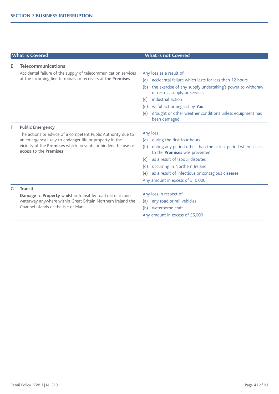|    | <b>What is Covered</b>                                                                                                                                                                                                    | <b>What is not Covered</b>                                                                          |
|----|---------------------------------------------------------------------------------------------------------------------------------------------------------------------------------------------------------------------------|-----------------------------------------------------------------------------------------------------|
| Е  | <b>Telecommunications</b>                                                                                                                                                                                                 |                                                                                                     |
|    | Accidental failure of the supply of telecommunication services                                                                                                                                                            | Any loss as a result of                                                                             |
|    | at the incoming line terminals or receivers at the Premises                                                                                                                                                               | accidental failure which lasts for less than 12 hours<br>(a)                                        |
|    |                                                                                                                                                                                                                           | the exercise of any supply undertaking's power to withdraw<br>(b)<br>or restrict supply or services |
|    |                                                                                                                                                                                                                           | industrial action<br>(c)                                                                            |
|    |                                                                                                                                                                                                                           | wilful act or neglect by You<br>(d)                                                                 |
|    |                                                                                                                                                                                                                           | drought or other weather conditions unless equipment has<br>(e)<br>been damaged                     |
| F. | <b>Public Emergency</b>                                                                                                                                                                                                   |                                                                                                     |
|    | The actions or advice of a competent Public Authority due to<br>an emergency likely to endanger life or property in the<br>vicinity of the Premises which prevents or hinders the use or<br>access to the <b>Premises</b> | Any loss                                                                                            |
|    |                                                                                                                                                                                                                           | during the first four hours<br>(a)                                                                  |
|    |                                                                                                                                                                                                                           | during any period other than the actual period when access<br>(b)<br>to the Premises was prevented  |
|    |                                                                                                                                                                                                                           | as a result of labour disputes<br>(c)                                                               |
|    |                                                                                                                                                                                                                           | occurring in Northern Ireland<br>(d)                                                                |
|    |                                                                                                                                                                                                                           | as a result of infectious or contagious diseases<br>(e)                                             |
|    |                                                                                                                                                                                                                           | Any amount in excess of £10,000                                                                     |
| G. | <b>Transit</b>                                                                                                                                                                                                            |                                                                                                     |
|    | Damage to Property whilst in Transit by road rail or inland<br>waterway anywhere within Great Britain Northern Ireland the<br>Channel Islands or the Isle of Man                                                          | Any loss in respect of                                                                              |
|    |                                                                                                                                                                                                                           | any road or rail vehicles<br>(a)                                                                    |
|    |                                                                                                                                                                                                                           | waterborne craft<br>(b)                                                                             |
|    |                                                                                                                                                                                                                           | Any amount in excess of £5,000                                                                      |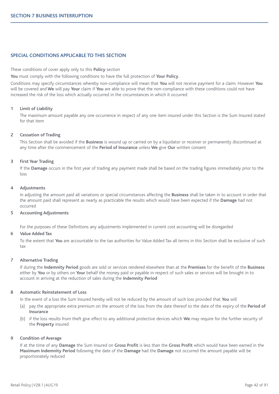#### **SPECIAL CONDITIONS APPLICABLE TO THIS SECTION**

These conditions of cover apply only to this **Policy** section

**You** must comply with the following conditions to have the full protection of **Your Policy**.

Conditions may specify circumstances whereby non-compliance will mean that **You** will not receive payment for a claim. However **You** will be covered and **We** will pay **Your** claim if **You** are able to prove that the non-compliance with these conditions could not have increased the risk of the loss which actually occurred in the circumstances in which it occurred

#### **1 Limit of Liability**

The maximum amount payable any one occurrence in respect of any one item insured under this Section is the Sum Insured stated for that item

#### **2 Cessation of Trading**

This Section shall be avoided if the **Business** is wound up or carried on by a liquidator or receiver or permanently discontinued at any time after the commencement of the **Period of Insurance** unless **We** give **Our** written consent

#### **3 First Year Trading**

If the **Damage** occurs in the first year of trading any payment made shall be based on the trading figures immediately prior to the loss

#### **4 Adjustments**

In adjusting the amount paid all variations or special circumstances affecting the **Business** shall be taken in to account in order that the amount paid shall represent as nearly as practicable the results which would have been expected if the **Damage** had not occurred

#### **5 Accounting Adjustments**

For the purposes of these Definitions any adjustments implemented in current cost accounting will be disregarded

#### **6 Value Added Tax**

To the extent that **You** are accountable to the tax authorities for Value Added Tax all terms in this Section shall be exclusive of such tax

#### **7 Alternative Trading**

If during the **Indemnity Period** goods are sold or services rendered elsewhere than at the **Premises** for the benefit of the **Business** either by **You** or by others on **Your** behalf the money paid or payable in respect of such sales or services will be brought in to account in arriving at the reduction of sales during the **Indemnity Period**

#### **8 Automatic Reinstatement of Loss**

In the event of a loss the Sum Insured hereby will not be reduced by the amount of such loss provided that **You** will

- (a) pay the appropriate extra premium on the amount of the loss from the date thereof to the date of the expiry of the **Period of Insurance**
- (b) if the loss results from theft give effect to any additional protective devices which **We** may require for the further security of the **Property** insured

#### **9 Condition of Average**

If at the time of any **Damage** the Sum Insured on **Gross Profit** is less than the **Gross Profit** which would have been earned in the **Maximum Indemnity Period** following the date of the **Damage** had the **Damage** not occurred the amount payable will be proportionately reduced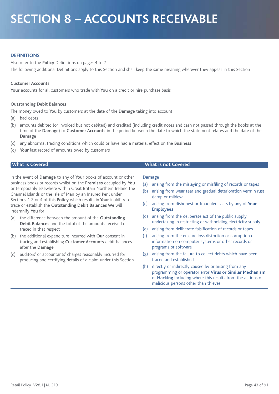# **SECTION 8 – ACCOUNTS RECEIVABLE**

### **DEFINITIONS**

Also refer to the **Policy** Definitions on pages 4 to 7 The following additional Definitions apply to this Section and shall keep the same meaning wherever they appear in this Section

#### **Customer Accounts**

**Your** accounts for all customers who trade with **You** on a credit or hire purchase basis

#### **Outstanding Debit Balances**

The money owed to **You** by customers at the date of the **Damage** taking into account

- (a) bad debts
- (b) amounts debited (or invoiced but not debited) and credited (including credit notes and cash not passed through the books at the time of the **Damage**) to **Customer Accounts** in the period between the date to which the statement relates and the date of the **Damage**
- (c) any abnormal trading conditions which could or have had a material effect on the **Business**
- (d) **Your** last record of amounts owed by customers

In the event of **Damage** to any of **Your** books of account or other business books or records whilst on the **Premises** occupied by **You** or temporarily elsewhere within Great Britain Northern Ireland the Channel Islands or the Isle of Man by an Insured Peril under Sections 1 2 or 4 of this **Policy** which results in **Your** inability to trace or establish the **Outstanding Debit Balances We** will indemnify **You** for

- (a) the difference between the amount of the **Outstanding Debit Balances** and the total of the amounts received or traced in that respect
- (b) the additional expenditure incurred with **Our** consent in tracing and establishing **Customer Accounts** debit balances after the **Damage**
- (c) auditors' or accountants' charges reasonably incurred for producing and certifying details of a claim under this Section

#### **What is Covered What is not Covered**

#### **Damage**

- (a) arising from the mislaying or misfiling of records or tapes
- (b) arising from wear tear and gradual deterioration vermin rust damp or mildew
- (c) arising from dishonest or fraudulent acts by any of **Your Employees**
- (d) arising from the deliberate act of the public supply undertaking in restricting or withholding electricity supply
- (e) arising from deliberate falsification of records or tapes
- (f) arising from the erasure loss distortion or corruption of information on computer systems or other records or programs or software
- (g) arising from the failure to collect debts which have been traced and established
- (h) directly or indirectly caused by or arising from any programming or operator error **Virus or Similar Mechanism** or **Hacking** including where this results from the actions of malicious persons other than thieves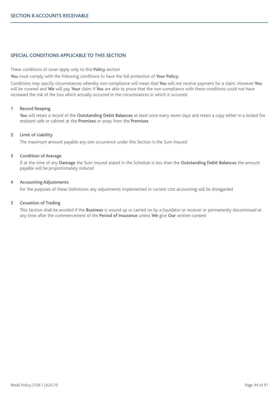### **SPECIAL CONDITIONS APPLICABLE TO THIS SECTION**

These conditions of cover apply only to this **Policy** section

**You** must comply with the following conditions to have the full protection of **Your Policy**.

Conditions may specify circumstances whereby non-compliance will mean that **You** will not receive payment for a claim. However **You** will be covered and **We** will pay **Your** claim if **You** are able to prove that the non-compliance with these conditions could not have increased the risk of the loss which actually occurred in the circumstances in which it occurred

#### **1 Record Keeping**

**You** will retain a record of the **Outstanding Debit Balances** at least once every seven days and retain a copy either in a locked fire resistant safe or cabinet at the **Premises** or away from the **Premises**

#### **2 Limit of Liability**

The maximum amount payable any one occurrence under this Section is the Sum Insured

#### **3 Condition of Average**

If at the time of any **Damage** the Sum Insured stated in the Schedule is less than the **Outstanding Debit Balances** the amount payable will be proportionately reduced

#### **4 Accounting Adjustments**

For the purposes of these Definitions any adjustments implemented in current cost accounting will be disregarded

#### **5 Cessation of Trading**

This Section shall be avoided if the **Business** is wound up or carried on by a liquidator or receiver or permanently discontinued at any time after the commencement of the **Period of Insurance** unless **We** give **Our** written consent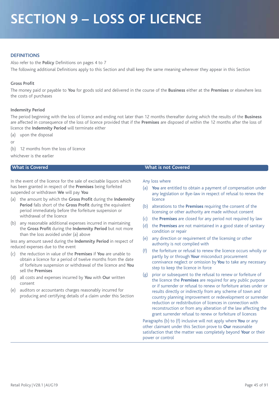# **SECTION 9 – LOSS OF LICENCE**

### **DEFINITIONS**

Also refer to the **Policy** Definitions on pages 4 to 7 The following additional Definitions apply to this Section and shall keep the same meaning wherever they appear in this Section

#### **Gross Profit**

The money paid or payable to **You** for goods sold and delivered in the course of the **Business** either at the **Premises** or elsewhere less the costs of purchases

#### **Indemnity Period**

The period beginning with the loss of licence and ending not later than 12 months thereafter during which the results of the **Business** are affected in consequence of the loss of licence provided that if the **Premises** are disposed of within the 12 months after the loss of licence the **Indemnity Period** will terminate either

(a) upon the disposal

or

(b) 12 months from the loss of licence

whichever is the earlier

In the event of the licence for the sale of excisable liquors which has been granted in respect of the **Premises** being forfeited suspended or withdrawn **We** will pay **You**

- (a) the amount by which the **Gross Profit** during the **Indemnity Period** falls short of the **Gross Profit** during the equivalent period immediately before the forfeiture suspension or withdrawal of the licence
- (b) any reasonable additional expenses incurred in maintaining the **Gross Profit** during the **Indemnity Period** but not more than the loss avoided under (a) above

less any amount saved during the **Indemnity Period** in respect of reduced expenses due to the event

- (c) the reduction in value of the **Premises** if **You** are unable to obtain a licence for a period of twelve months from the date of forfeiture suspension or withdrawal of the licence and **You** sell the **Premises**
- (d) all costs and expenses incurred by **You** with **Our** written consent
- (e) auditors or accountants charges reasonably incurred for producing and certifying details of a claim under this Section

#### **What is Covered What is not Covered**

#### Any loss where

- (a) **You** are entitled to obtain a payment of compensation under any legislation or Bye-law in respect of refusal to renew the licence
- (b) alterations to the **Premises** requiring the consent of the licensing or other authority are made without consent
- (c) the **Premises** are closed for any period not required by law
- (d) the **Premises** are not maintained in a good state of sanitary condition or repair
- (e) any direction or requirement of the licensing or other authority is not complied with
- (f) the forfeiture or refusal to renew the licence occurs wholly or partly by or through **Your** misconduct procurement connivance neglect or omission by **You** to take any necessary step to keep the licence in force
- (g) prior or subsequent to the refusal to renew or forfeiture of the licence the **Premises** are required for any public purpose or if surrender or refusal to renew or forfeiture arises under or results directly or indirectly from any scheme of town and country planning improvement or redevelopment or surrender reduction or redistribution of licences in connection with reconstruction or from any alteration of the law affecting the grant surrender refusal to renew or forfeiture of licences

Paragraphs (b) to (f) inclusive will not apply where **You** or any other claimant under this Section prove to **Our** reasonable satisfaction that the matter was completely beyond **Your** or their power or control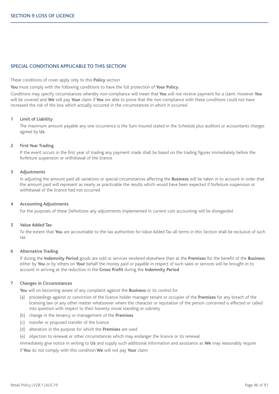### **SPECIAL CONDITIONS APPLICABLE TO THIS SECTION**

#### These conditions of cover apply only to this **Policy** section

**You** must comply with the following conditions to have the full protection of **Your Policy**.

Conditions may specify circumstances whereby non-compliance will mean that **You** will not receive payment for a claim. However **You** will be covered and **We** will pay **Your** claim if **You** are able to prove that the non-compliance with these conditions could not have increased the risk of the loss which actually occurred in the circumstances in which it occurred

#### **1 Limit of Liability**

The maximum amount payable any one occurrence is the Sum Insured stated in the Schedule plus auditors or accountants charges agreed by **Us**

#### **2 First Year Trading**

If the event occurs in the first year of trading any payment made shall be based on the trading figures immediately before the forfeiture suspension or withdrawal of the licence

#### **3 Adjustments**

In adjusting the amount paid all variations or special circumstances affecting the **Business** will be taken in to account in order that the amount paid will represent as nearly as practicable the results which would have been expected if forfeiture suspension or withdrawal of the licence had not occurred

#### **4 Accounting Adjustments**

For the purposes of these Definitions any adjustments implemented in current cost accounting will be disregarded

#### **5 Value Added Tax**

To the extent that **You** are accountable to the tax authorities for Value Added Tax all terms in this Section shall be exclusive of such tax

#### **6 Alternative Trading**

If during the **Indemnity Period** goods are sold or services rendered elsewhere than at the **Premises** for the benefit of the **Business** either by **You** or by others on **Your** behalf the money paid or payable in respect of such sales or services will be brought in to account in arriving at the reduction in the **Gross Profit** during the **Indemnity Period**

#### **7 Changes in Circumstances**

**You** will on becoming aware of any complaint against the **Business** or its control for

- (a) proceedings against or conviction of the licence holder manager tenant or occupier of the **Premises** for any breach of the licensing law or any other matter whatsoever where the character or reputation of the person concerned is affected or called into question with respect to their honesty moral standing or sobriety
- (b) change in the tenancy or management of the **Premises**
- (c) transfer or proposed transfer of the licence
- (d) alteration in the purpose for which the **Premises** are used

(e) objection to renewal or other circumstances which may endanger the licence or its renewal

immediately give notice in writing to **Us** and supply such additional information and assistance as **We** may reasonably require

If **You** do not comply with this condition **We** will not pay **Your** claim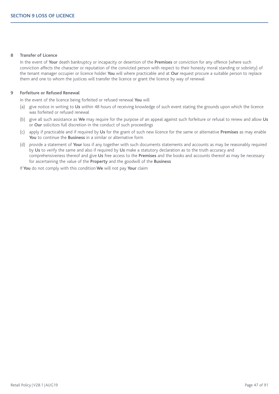#### **8 Transfer of Licence**

In the event of **Your** death bankruptcy or incapacity or desertion of the **Premises** or conviction for any offence (where such conviction affects the character or reputation of the convicted person with respect to their honesty moral standing or sobriety) of the tenant manager occupier or licence holder **You** will where practicable and at **Our** request procure a suitable person to replace them and one to whom the justices will transfer the licence or grant the licence by way of renewal

#### **9 Forfeiture or Refused Renewal**

In the event of the licence being forfeited or refused renewal **You** will

- (a) give notice in writing to **Us** within 48 hours of receiving knowledge of such event stating the grounds upon which the licence was forfeited or refused renewal
- (b) give all such assistance as **We** may require for the purpose of an appeal against such forfeiture or refusal to renew and allow **Us** or **Our** solicitors full discretion in the conduct of such proceedings
- (c) apply if practicable and if required by **Us** for the grant of such new licence for the same or alternative **Premises** as may enable **You** to continue the **Business** in a similar or alternative form
- (d) provide a statement of **Your** loss if any together with such documents statements and accounts as may be reasonably required by **Us** to verify the same and also if required by **Us** make a statutory declaration as to the truth accuracy and comprehensiveness thereof and give **Us** free access to the **Premises** and the books and accounts thereof as may be necessary for ascertaining the value of the **Property** and the goodwill of the **Business**

If **You** do not comply with this condition **We** will not pay **Your** claim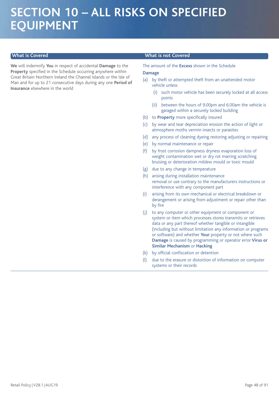# **SECTION 10 – ALL RISKS ON SPECIFIED EQUIPMENT**

**We** will indemnify **You** in respect of accidental **Damage** to the **Property** specified in the Schedule occurring anywhere within Great Britain Northern Ireland the Channel Islands or the Isle of Man and for up to 21 consecutive days during any one **Period of Insurance** elsewhere in the world

#### **What is Covered What is not Covered**

The amount of the **Excess** shown in the Schedule

#### **Damage**

- (a) by theft or attempted theft from an unattended motor vehicle unless
	- (i) such motor vehicle has been securely locked at all access points
	- (ii) between the hours of 9.00pm and 6.00am the vehicle is garaged within a securely locked building
- (b) to **Property** more specifically insured
- (c) by wear and tear depreciation erosion the action of light or atmosphere moths vermin insects or parasites
- (d) any process of cleaning dyeing restoring adjusting or repairing
- (e) by normal maintenance or repair
- (f) by frost corrosion dampness dryness evaporation loss of weight contamination wet or dry rot marring scratching bruising or deterioration mildew mould or toxic mould
- (g) due to any change in temperature
- (h) arising during installation maintenance removal or use contrary to the manufacturers instructions or interference with any component part
- (i) arising from its own mechanical or electrical breakdown or derangement or arising from adjustment or repair other than by fire
- (j) to any computer or other equipment or component or system or item which processes stores transmits or retrieves data or any part thereof whether tangible or intangible (including but without limitation any information or programs or software) and whether **Your** property or not where such **Damage** is caused by programming or operator error **Virus or Similar Mechanism** or **Hacking**
- (k) by official confiscation or detention
- (l) due to the erasure or distortion of information on computer systems or their records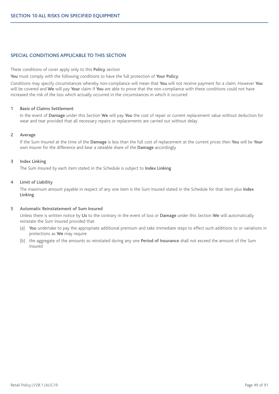### **SPECIAL CONDITIONS APPLICABLE TO THIS SECTION**

These conditions of cover apply only to this **Policy** section

**You** must comply with the following conditions to have the full protection of **Your Policy**.

Conditions may specify circumstances whereby non-compliance will mean that **You** will not receive payment for a claim. However **You** will be covered and **We** will pay **Your** claim if **You** are able to prove that the non-compliance with these conditions could not have increased the risk of the loss which actually occurred in the circumstances in which it occurred

#### **1 Basis of Claims Settlement**

In the event of **Damage** under this Section **We** will pay **You** the cost of repair or current replacement value without deduction for wear and tear provided that all necessary repairs or replacements are carried out without delay

#### **2 Average**

If the Sum Insured at the time of the **Damage** is less than the full cost of replacement at the current prices then **You** will be **Your** own insurer for the difference and bear a rateable share of the **Damage** accordingly

#### **3 Index Linking**

The Sum Insured by each item stated in the Schedule is subject to **Index Linking**

#### **4 Limit of Liability**

The maximum amount payable in respect of any one item is the Sum Insured stated in the Schedule for that item plus **Index Linking**

#### **5 Automatic Reinstatement of Sum Insured**

Unless there is written notice by **Us** to the contrary in the event of loss or **Damage** under this Section **We** will automatically reinstate the Sum Insured provided that

- (a) **You** undertake to pay the appropriate additional premium and take immediate steps to effect such additions to or variations in protections as **We** may require
- (b) the aggregate of the amounts so reinstated during any one **Period of Insurance** shall not exceed the amount of the Sum Insured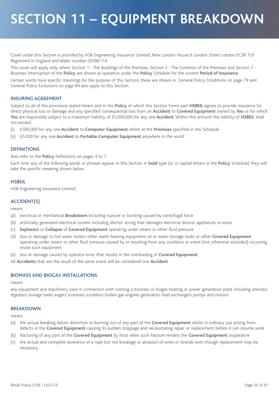# **SECTION 11 – EQUIPMENT BREAKDOWN**

Cover under this Section is provided by HSB Engineering Insurance Limited, New London House 6 London Street London EC3R 7LP. Registered in England and Wales number 02396114.

This cover will apply only where Section 1 - The Buildings of the Premises, Section 2 - The Contents of the Premises and Section 7 - Business Interruption of the **Policy** are shown as operative under the **Policy** Schedule for the current **Period of Insurance**

Certain words have specific meanings for the purpose of this Section, these are shown in General Policy Conditions on page 79 and General Policy Exclusions on page 84 also apply to this Section.

### **INSURING AGREEMENT**

Subject to all of the provisions stated herein and in the **Policy** of which this Section forms part **HSBEIL** agrees to provide insurance for direct physical loss or damage and any specified consequential loss from an **Accident** to **Covered Equipment** owned by **You** or for which **You** are responsible subject to a maximum liability of £5,000,000 for any one **Accident**. Within this amount the liability of **HSBEIL** shall not exceed

(i) £500,000 for any one **Accident** to **Computer Equipment** whilst at the **Premises** specified in the Schedule

(ii) £5,000 for any one **Accident** to **Portable Computer Equipment** anywhere in the world

### **DEFINITIONS**

Also refer to the **Policy** Definitions on pages 4 to 7

Each time any of the following words or phrases appear in this Section in **bold** type (or in capital letters in the **Policy** Schedule) they will take the specific meaning shown below

## **HSBEIL**

HSB Engineering Insurance Limited

### **ACCIDENT(S)**

means

- (a) electrical or mechanical **Breakdown** including rupture or bursting caused by centrifugal force
- (b) artificially generated electrical current including electric arcing that damages electrical devices appliances or wires
- (c) **Explosion** or **Collapse** of **Covered Equipment** operating under steam or other fluid pressure
- (d) loss or damage to hot water boilers other water heating equipment oil or water storage tanks or other **Covered Equipment** operating under steam or other fluid pressure caused by or resulting from any condition or event (not otherwise excluded) occurring inside such equipment
- (e) loss or damage caused by operator error that results in the overloading of **Covered Equipment**

All **Accidents** that are the result of the same event will be considered one **Accident**

#### **BIOMASS AND BIOGAS INSTALLATIONS**

means

any equipment and machinery used in connection with running a biomass or biogas heating or power generation plant including anerobic digesters storage tanks augers screeners scrubbers boilers gas engines generators heat exchangers pumps and motors

#### **BREAKDOWN**

means

- (a) the actual breaking failure distortion or burning out of any part of the **Covered Equipment** whilst in ordinary use arising from defects in the **Covered Equipment** causing its sudden stoppage and necessitating repair or replacement before it can resume work
- (b) fracturing of any part of the **Covered Equipment** by frost when such fracture renders the **Covered Equipment** inoperative
- (c) the actual and complete severance of a rope but not breakage or abrasion of wires or strands even though replacement may be necessary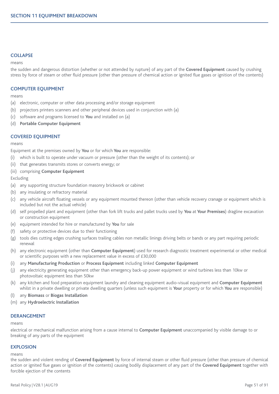#### **COLLAPSE**

#### means

the sudden and dangerous distortion (whether or not attended by rupture) of any part of the **Covered Equipment** caused by crushing stress by force of steam or other fluid pressure (other than pressure of chemical action or ignited flue gases or ignition of the contents)

#### **COMPUTER EQUIPMENT**

means

- (a) electronic, computer or other data processing and/or storage equipment
- (b) projectors printers scanners and other peripheral devices used in conjunction with (a)
- (c) software and programs licensed to **You** and installed on (a)
- (d) **Portable Computer Equipment**

#### **COVERED EQUIPMENT**

means

Equipment at the premises owned by **You** or for which **You** are responsible:

- (i) which is built to operate under vacuum or pressure (other than the weight of its contents); or
- (ii) that generates transmits stores or converts energy; or

#### (iii) comprising **Computer Equipment**

Excluding

- (a) any supporting structure foundation masonry brickwork or cabinet
- (b) any insulating or refractory material
- (c) any vehicle aircraft floating vessels or any equipment mounted thereon (other than vehicle recovery cranage or equipment which is included but not the actual vehicle)
- (d) self propelled plant and equipment (other than fork lift trucks and pallet trucks used by **You** at **Your Premises**) dragline excavation or construction equipment
- (e) equipment intended for hire or manufactured by **You** for sale
- (f) safety or protective devices due to their functioning
- (g) tools dies cutting edges crushing surfaces trailing cables non metallic linings driving belts or bands or any part requiring periodic renewal
- (h) any electronic equipment (other than **Computer Equipment**) used for research diagnostic treatment experimental or other medical or scientific purposes with a new replacement value in excess of £30,000
- (i) any **Manufacturing Production** or **Process Equipment** including linked **Computer Equipment**
- (j) any electricity generating equipment other than emergency back-up power equipment or wind turbines less than 10kw or photovoltaic equipment less than 50kw
- (k) any kitchen and food preparation equipment laundry and cleaning equipment audio-visual equipment and **Computer Equipment** whilst in a private dwelling or private dwelling quarters (unless such equipment is **Your** property or for which **You** are responsible)
- (l) any **Biomass** or **Biogas Installation**
- (m) any **Hydroelectric Installation**

#### **DERANGEMENT**

means

electrical or mechanical malfunction arising from a cause internal to **Computer Equipment** unaccompanied by visible damage to or breaking of any parts of the equipment

### **EXPLOSION**

means

the sudden and violent rending of **Covered Equipment** by force of internal steam or other fluid pressure (other than pressure of chemical action or ignited flue gases or ignition of the contents) causing bodily displacement of any part of the **Covered Equipment** together with forcible ejection of the contents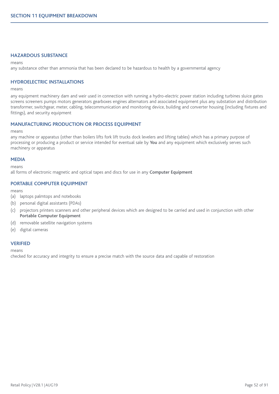#### **HAZARDOUS SUBSTANCE**

#### means

any substance other than ammonia that has been declared to be hazardous to health by a governmental agency

### **HYDROELECTRIC INSTALLATIONS**

#### means

any equipment machinery dam and weir used in connection with running a hydro-electric power station including turbines sluice gates screens screeners pumps motors generators gearboxes engines alternators and associated equipment plus any substation and distribution transformer, switchgear, meter, cabling, telecommunication and monitoring device, building and converter housing (including fixtures and fittings), and security equipment

#### **MANUFACTURING PRODUCTION OR PROCESS EQUIPMENT**

means

any machine or apparatus (other than boilers lifts fork lift trucks dock levelers and lifting tables) which has a primary purpose of processing or producing a product or service intended for eventual sale by **You** and any equipment which exclusively serves such machinery or apparatus

#### **MEDIA**

means

all forms of electronic magnetic and optical tapes and discs for use in any **Computer Equipment**

### **PORTABLE COMPUTER EQUIPMENT**

means

- (a) laptops palmtops and notebooks
- (b) personal digital assistants (PDAs)
- (c) projectors printers scanners and other peripheral devices which are designed to be carried and used in conjunction with other **Portable Computer Equipment**
- (d) removable satellite navigation systems
- (e) digital cameras

#### **VERIFIED**

means

checked for accuracy and integrity to ensure a precise match with the source data and capable of restoration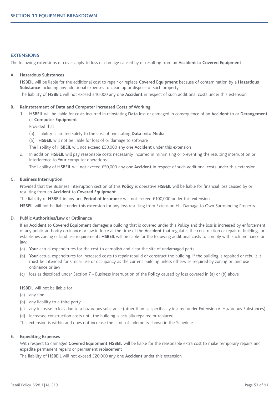#### **EXTENSIONS**

The following extensions of cover apply to loss or damage caused by or resulting from an **Accident** to **Covered Equipment**

#### **A. Hazardous Substances**

**HSBEIL** will be liable for the additional cost to repair or replace **Covered Equipment** because of contamination by a **Hazardous Substance** including any additional expenses to clean up or dispose of such property

The liability of **HSBEIL** will not exceed £10,000 any one **Accident** in respect of such additional costs under this extension

#### **B. Reinstatement of Data and Computer Increased Costs of Working**

1. **HSBEIL** will be liable for costs incurred in reinstating **Data** lost or damaged in consequence of an **Accident** to or **Derangement** of **Computer Equipment**

Provided that

- (a) liability is limited solely to the cost of reinstating **Data** onto **Media**
- (b) **HSBEIL** will not be liable for loss of or damage to software
- The liability of **HSBEIL** will not exceed £50,000 any one **Accident** under this extension
- 2. In addition **HSBEIL** will pay reasonable costs necessarily incurred in minimising or preventing the resulting interruption or interference to **Your** computer operations

The liability of **HSBEIL** will not exceed £50,000 any one **Accident** in respect of such additional costs under this extension

#### **C. Business Interruption**

Provided that the Business Interruption section of this **Policy** is operative **HSBEIL** will be liable for financial loss caused by or resulting from an **Accident** to **Covered Equipment**

The liability of **HSBEIL** in any one **Period of Insurance** will not exceed £100,000 under this extension

**HSBEIL** will not be liable under this extension for any loss resulting from Extension H - Damage to Own Surrounding Property

#### **D. Public Authorities/Law or Ordinance**

If an **Accident** to **Covered Equipment** damages a building that is covered under this **Policy** and the loss is increased by enforcement of any public authority ordinance or law in force at the time of the **Accident** that regulates the construction or repair of buildings or establishes zoning or land use requirements **HSBEIL** will be liable for the following additional costs to comply with such ordinance or law:

- (a) **Your** actual expenditures for the cost to demolish and clear the site of undamaged parts
- (b) **Your** actual expenditures for increased costs to repair rebuild or construct the building. If the building is repaired or rebuilt it must be intended for similar use or occupancy as the current building unless otherwise required by zoning or land use ordinance or law
- (c) loss as described under Section 7 Business Interruption of the **Policy** caused by loss covered in (a) or (b) above

#### **HSBEIL** will not be liable for

- (a) any fine
- (b) any liability to a third party
- (c) any increase in loss due to a hazardous substance (other than as specifically insured under Extension A. Hazardous Substances)
- (d) increased construction costs until the building is actually repaired or replaced

This extension is within and does not increase the Limit of Indemnity shown in the Schedule

#### **E. Expediting Expenses**

With respect to damaged **Covered Equipment HSBEIL** will be liable for the reasonable extra cost to make temporary repairs and expedite permanent repairs or permanent replacement

The liability of **HSBEIL** will not exceed £20,000 any one **Accident** under this extension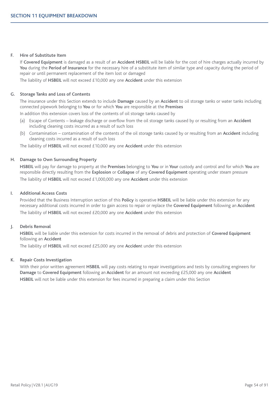#### **F. Hire of Substitute Item**

If **Covered Equipment** is damaged as a result of an **Accident HSBEIL** will be liable for the cost of hire charges actually incurred by **You** during the **Period of Insurance** for the necessary hire of a substitute item of similar type and capacity during the period of repair or until permanent replacement of the item lost or damaged

The liability of **HSBEIL** will not exceed £10,000 any one **Accident** under this extension

#### **G. Storage Tanks and Loss of Contents**

The insurance under this Section extends to include **Damage** caused by an **Accident** to oil storage tanks or water tanks including connected pipework belonging to **You** or for which **You** are responsible at the **Premises**

In addition this extension covers loss of the contents of oil storage tanks caused by

- (a) Escape of Contents leakage discharge or overflow from the oil storage tanks caused by or resulting from an **Accident** including cleaning costs incurred as a result of such loss
- (b) Contamination contamination of the contents of the oil storage tanks caused by or resulting from an **Accident** including cleaning costs incurred as a result of such loss

The liability of **HSBEIL** will not exceed £10,000 any one **Accident** under this extension

#### **H. Damage to Own Surrounding Property**

**HSBEIL** will pay for damage to property at the **Premises** belonging to **You** or in **Your** custody and control and for which **You** are responsible directly resulting from the **Explosion** or **Collapse** of any **Covered Equipment** operating under steam pressure The liability of **HSBEIL** will not exceed £1,000,000 any one **Accident** under this extension

#### **I. Additional Access Costs**

Provided that the Business Interruption section of this **Policy** is operative **HSBEIL** will be liable under this extension for any necessary additional costs incurred in order to gain access to repair or replace the **Covered Equipment** following an **Accident** The liability of **HSBEIL** will not exceed £20,000 any one **Accident** under this extension

#### **J. Debris Removal**

**HSBEIL** will be liable under this extension for costs incurred in the removal of debris and protection of **Covered Equipment** following an **Accident**

The liability of **HSBEIL** will not exceed £25,000 any one **Acciden**t under this extension

#### **K. Repair Costs Investigation**

With their prior written agreement **HSBEIL** will pay costs relating to repair investigations and tests by consulting engineers for **Damage** to **Covered Equipment** following an **Accident** for an amount not exceeding £25,000 any one **Accident HSBEIL** will not be liable under this extension for fees incurred in preparing a claim under this Section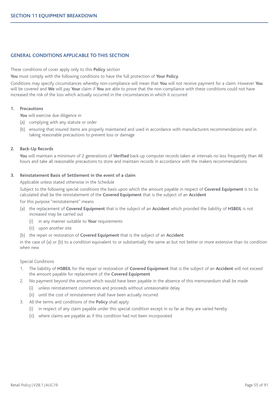### **GENERAL CONDITIONS APPLICABLE TO THIS SECTION**

These conditions of cover apply only to this **Policy** section

**You** must comply with the following conditions to have the full protection of **Your Policy**.

Conditions may specify circumstances whereby non-compliance will mean that **You** will not receive payment for a claim. However **You** will be covered and **We** will pay **Your** claim if **You** are able to prove that the non-compliance with these conditions could not have increased the risk of the loss which actually occurred in the circumstances in which it occurred

#### **1. Precautions**

**You** will exercise due diligence in

- (a) complying with any statute or order
- (b) ensuring that insured items are properly maintained and used in accordance with manufacturers recommendations and in taking reasonable precautions to prevent loss or damage

#### **2. Back-Up Records**

**You** will maintain a minimum of 2 generations of **Verified** back-up computer records taken at intervals no less frequently than 48 hours and take all reasonable precautions to store and maintain records in accordance with the makers recommendations

#### **3. Reinstatement Basis of Settlement in the event of a claim**

Applicable unless stated otherwise in the Schedule

Subject to the following special conditions the basis upon which the amount payable in respect of **Covered Equipment** is to be calculated shall be the reinstatement of the **Covered Equipment** that is the subject of an **Accident**

For this purpose "reinstatement" means

- (a) the replacement of **Covered Equipment** that is the subject of an **Accident** which provided the liability of **HSBEIL** is not increased may be carried out
	- (i) in any manner suitable to **Your** requirements
	- (ii) upon another site
- (b) the repair or restoration of **Covered Equipment** that is the subject of an **Accident**

in the case of (a) or (b) to a condition equivalent to or substantially the same as but not better or more extensive than its condition when new

#### Special Conditions

- 1. The liability of **HSBEIL** for the repair or restoration of **Covered Equipment** that is the subject of an **Accident** will not exceed the amount payable for replacement of the **Covered Equipment**
- 2. No payment beyond the amount which would have been payable in the absence of this memorandum shall be made
	- (i) unless reinstatement commences and proceeds without unreasonable delay
	- (ii) until the cost of reinstatement shall have been actually incurred
- 3. All the terms and conditions of the **Policy** shall apply
	- (i) in respect of any claim payable under this special condition except in so far as they are varied hereby
	- (ii) where claims are payable as if this condition had not been incorporated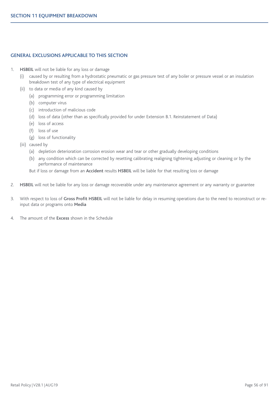### **GENERAL EXCLUSIONS APPLICABLE TO THIS SECTION**

- 1. **HSBEIL** will not be liable for any loss or damage
	- (i) caused by or resulting from a hydrostatic pneumatic or gas pressure test of any boiler or pressure vessel or an insulation breakdown test of any type of electrical equipment
	- (ii) to data or media of any kind caused by
		- (a) programming error or programming limitation
		- (b) computer virus
		- (c) introduction of malicious code
		- (d) loss of data (other than as specifically provided for under Extension B.1. Reinstatement of Data)
		- (e) loss of access
		- (f) loss of use
		- (g) loss of functionality
	- (iii) caused by
		- (a) depletion deterioration corrosion erosion wear and tear or other gradually developing conditions
		- (b) any condition which can be corrected by resetting calibrating realigning tightening adjusting or cleaning or by the performance of maintenance
		- But if loss or damage from an **Accident** results **HSBEIL** will be liable for that resulting loss or damage
- 2. **HSBEIL** will not be liable for any loss or damage recoverable under any maintenance agreement or any warranty or guarantee
- 3. With respect to loss of **Gross Profit HSBEIL** will not be liable for delay in resuming operations due to the need to reconstruct or reinput data or programs onto **Media**
- 4. The amount of the **Excess** shown in the Schedule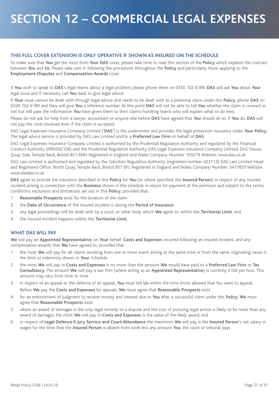# **SECTION 12 – COMMERCIAL LEGAL EXPENSES**

### **THIS FULL COVER EXTENSION IS ONLY OPERATIVE IF SHOWN AS INSURED ON THE SCHEDULE**

To make sure that **You** get the most from **Your DAS** cover, please take time to read this section of the **Policy** which explains the contract between **You** and **Us**. Please take care in following the procedures throughout the **Policy** and particularly those applying to the **Employment Disputes** and **Compensation Awards** cover

If **You** wish to speak to **DAS**'s legal teams about a legal problem, please phone them on 0330 102 6189. **DAS** will ask **You** about **Your** legal issue and if necessary call **You** back to give legal advice.

If **Your** issue cannot be dealt with through legal advice and needs to be dealt with as a potential claim under this **Policy**, phone **DAS** on 0330 102 6189 and they will give **You** a reference number. At this point **DAS** will not be able to tell **You** whether the claim is covered or not but will pass the information **You** have given them to their claims-handling teams who will explain what to do next.

Please do not ask for help from a lawyer, accountant or anyone else before **DAS** have agreed that **You** should do so. If **You** do, **DAS** will not pay the costs involved even if the claim is accepted.

DAS Legal Expenses Insurance Company Limited ('**DAS**') is the underwriter and provides the legal protection insurance under **Your Policy**. The legal advice service is provided by DAS Law Limited and/or a **Preferred Law Firm** on behalf of **DAS**.

DAS Legal Expenses Insurance Company Limited is authorised by the Prudential Regulation Authority and regulated by the Financial Conduct Authority (FRN202106) and the Prudential Regulation Authority DAS Legal Expenses Insurance Company Limited, DAS House, Quay Side, Temple Back, Bristol BS1 6NH Registered in England and Wales Company Number 103274 Website: www.das.co.uk

DAS Law Limited is authorised and regulated by the Solicitors Regulation Authority (registered number 423113) DAS Law Limited Head and Registered Office: North Quay, Temple Back, Bristol BS1 6FL Registered in England and Wales Company Number: 5417859 Website: www.daslaw.co.uk

**DAS** agree to provide the insurance described in this **Policy** for **You** (or where specified, the **Insured Person**) in respect of any insured incident arising in connection with the **Business** shown in the schedule in return for payment of the premium and subject to the terms, conditions, exclusions and limitations set out in this **Policy**, provided that:

- 1 **Reasonable Prospects** exist for the duration of the claim
- 2 the **Date of Occurrence** of the insured incident is during the **Period of Insurance**
- 3 any legal proceedings will be dealt with by a court, or other body which **We** agree to, within the **Territorial Limit**, and
- 4 the insured incident happens within the **Territorial Limit.**

### **WHAT DAS WILL PAY**

**We** will pay an **Appointed Representative**, on **Your** behalf, **Costs and Expenses** incurred following an insured incident, and any compensation awards that **We** have agreed to, provided that:

- 1 the most **We** will pay for all claims resulting from one or more event arising at the same time or from the same originating cause is the limit of indemnity shown in **Your** Schedule
- 2 the most **We** will pay in **Costs and Expenses** is no more than the amount **We** would have paid to a **Preferred Law Firm** or **Tax Consultancy**. The amount **We** will pay a law firm (where acting as an **Appointed Representative**) is currently £100 per hour. This amount may vary from time to time
- 3 in respect of an appeal or the defence of an appeal, **You** must tell **Us** within the time limits allowed that You want to appeal. Before **We** pay the **Costs and Expenses** for appeals, **We** must agree that **Reasonable Prospects** exist
- 4 for an enforcement of judgment to recover money and interest due to **You** after a successful claim under this **Policy**, **We** must agree that **Reasonable Prospects** exist
- 5 where an award of damages is the only legal remedy to a dispute and the cost of pursuing legal action is likely to be more than any award of damages, the most **We** will pay in **Costs and Expenses** is the value of the likely award, and
- 6 in respect of **Legal Defence 6 Jury Service and Court Attendance** the maximum **We** will pay is the **Insured Person**'s net salary or wages for the time that the **Insured Person** is absent from work less any amount **You**, the court or tribunal pays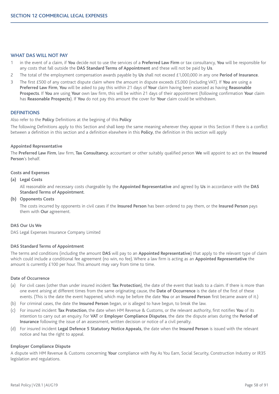#### **WHAT DAS WILL NOT PAY**

- 1 in the event of a claim, if **You** decide not to use the services of a **Preferred Law Firm** or tax consultancy, **You** will be responsible for any costs that fall outside the **DAS Standard Terms of Appointment** and these will not be paid by **Us**.
- 2 The total of the employment compensation awards payable by **Us** shall not exceed £1,000,000 in any one **Period of Insurance**.
- 3 The first £500 of any contract dispute claim where the amount in dispute exceeds £5,000 (including VAT). If **You** are using a **Preferred Law Firm**, **You** will be asked to pay this within 21 days of **Your** claim having been assessed as having **Reasonable Prospects**. If **You** are using **Your** own law firm, this will be within 21 days of their appointment (following confirmation **Your** claim has **Reasonable Prospects**). If **You** do not pay this amount the cover for **Your** claim could be withdrawn.

#### **DEFINITIONS**

#### Also refer to the **Policy** Definitions at the begining of this **Policy**

The following Definitions apply to this Section and shall keep the same meaning wherever they appear in this Section If there is a conflict between a definition in this section and a definition elsewhere in this **Policy**, the definition in this section will apply

#### **Appointed Representative**

The **Preferred Law Firm**, law firm, **Tax Consultancy**, accountant or other suitably qualified person **We** will appoint to act on the **Insured Person**'s behalf.

#### **Costs and Expenses**

#### **(a) Legal Costs**

All reasonable and necessary costs chargeable by the **Appointed Representative** and agreed by **Us** in accordance with the **DAS Standard Terms of Appointment**.

#### **(b) Opponents Costs**

The costs incurred by opponents in civil cases if the **Insured Person** has been ordered to pay them, or the **Insured Person** pays them with **Our** agreement.

#### **DAS Our Us We**

DAS Legal Expenses Insurance Company Limited

#### **DAS Standard Terms of Appointment**

The terms and conditions (including the amount **DAS** will pay to an **Appointed Representative**) that apply to the relevant type of claim which could include a conditional fee agreement (no win, no fee). Where a law firm is acting as an **Appointed Representative** the amount is currently £100 per hour. This amount may vary from time to time.

#### **Date of Occurrence**

- (a) For civil cases (other than under insured incident **Tax Protection**), the date of the event that leads to a claim. If there is more than one event arising at different times from the same originating cause, the **Date of Occurrence** is the date of the first of these events. (This is the date the event happened, which may be before the date **You** or an **Insured Person** first became aware of it.)
- (b) For criminal cases, the date the **Insured Person** began, or is alleged to have begun, to break the law.
- (c) For insured incident **Tax Protection**, the date when HM Revenue & Customs, or the relevant authority, first notifies **You** of its intention to carry out an enquiry. For **VAT** or **Employer Compliance Disputes**, the date the dispute arises during the **Period of Insurance** following the issue of an assessment, written decision or notice of a civil penalty.
- (d) For insured incident **Legal Defence 5 Statutory Notice Appeals,** the date when the **Insured Person** is issued with the relevant notice and has the right to appeal.

#### **Employer Compliance Dispute**

A dispute with HM Revenue & Customs concerning **Your** compliance with Pay As You Earn, Social Security, Construction Industry or IR35 legislation and regulations.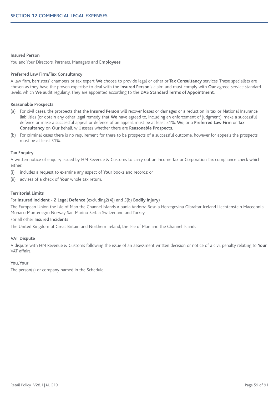#### **Insured Person**

You and Your Directors, Partners, Managers and **Employees**

#### **Preferred Law Firm/Tax Consultancy**

A law firm, barristers' chambers or tax expert **We** choose to provide legal or other or **Tax Consultancy** services. These specialists are chosen as they have the proven expertise to deal with the **Insured Person**'s claim and must comply with **Our** agreed service standard levels, which **We** audit regularly. They are appointed according to the **DAS Standard Terms of Appointment**.

#### **Reasonable Prospects**

- (a) For civil cases, the prospects that the **Insured Person** will recover losses or damages or a reduction in tax or National Insurance liabilities (or obtain any other legal remedy that **We** have agreed to, including an enforcement of judgment), make a successful defence or make a successful appeal or defence of an appeal, must be at least 51%. **We**, or a **Preferred Law Firm** or **Tax Consultancy** on **Our** behalf, will assess whether there are **Reasonable Prospects**.
- (b) For criminal cases there is no requirement for there to be prospects of a successful outcome, however for appeals the prospects must be at least 51%.

#### **Tax Enquiry**

A written notice of enquiry issued by HM Revenue & Customs to carry out an Income Tax or Corporation Tax compliance check which either:

- (i) includes a request to examine any aspect of **Your** books and records; or
- (ii) advises of a check of **Your** whole tax return.

#### **Territorial Limits**

#### For **Insured Incident - 2 Legal Defence** (excluding2(4)) and 5(b) **Bodily Injury**)

The European Union the Isle of Man the Channel Islands Albania Andorra Bosnia Herzegovina Gibraltar Iceland Liechtenstein Macedonia Monaco Montenegro Norway San Marino Serbia Switzerland and Turkey

#### For all other **Insured Incidents**

The United Kingdom of Great Britain and Northern Ireland, the Isle of Man and the Channel Islands

#### **VAT Dispute**

A dispute with HM Revenue & Customs following the issue of an assessment written decision or notice of a civil penalty relating to **Your** VAT affairs.

#### **You,Your**

The person(s) or company named in the Schedule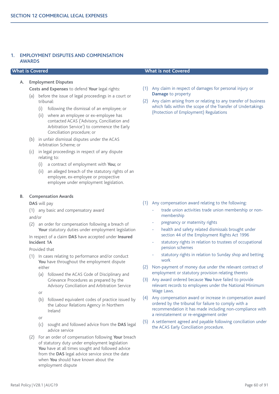### **1. EMPLOYMENT DISPUTES AND COMPENSATION AWARDS**

#### **A. Employment Disputes**

**Costs and Expenses** to defend **Your** legal rights:

- (a) before the issue of legal proceedings in a court or tribunal:
	- (i) following the dismissal of an employee; or
	- (ii) where an employee or ex-employee has contacted ACAS ('Advisory, Conciliation and Arbitration Service') to commence the Early Conciliation procedure; or
- (b) in unfair dismissal disputes under the ACAS Arbitration Scheme; or
- (c) in legal proceedings in respect of any dispute relating to:
	- (i) a contract of employment with **You;** or
	- (ii) an alleged breach of the statutory rights of an employee, ex-employee or prospective employee under employment legislation.

#### **B. Compensation Awards**

**DAS** will pay

(1) any basic and compensatory award

and/or

(2) an order for compensation following a breach of Your statutory duties under employment legislation

In respect of a claim **DAS** have accepted under **Insured Incident 1A**

Provided that

- (1) In cases relating to performance and/or conduct **You** have throughout the employment dispute either
	- (a) followed the ACAS Code of Disciplinary and Grievance Procedures as prepared by the Advisory Conciliation and Arbitration Service
	- or
	- (b) followed equivalent codes of practice issued by the Labour Relations Agency in Northern Ireland
	- or
	- (c) sought and followed advice from the **DAS** legal advice service
- (2) For an order of compensation following **Your** breach of statutory duty under employment legislation **You** have at all times sought and followed advice from the **DAS** legal advice service since the date when **You** should have known about the employment dispute

## **What is Covered What is not Covered**

- (1) Any claim in respect of damages for personal injury or **Damage** to property
- (2) Any claim arising from or relating to any transfer of business which falls within the scope of the Transfer of Undertakings (Protection of Employment) Regulations

- (1) Any compensation award relating to the following:
	- trade union activities trade union membership or nonmembership
	- pregnancy or maternity rights
	- health and safety related dismissals brought under section 44 of the Employment Rights Act 1996
	- statutory rights in relation to trustees of occupational pension schemes
	- statutory rights in relation to Sunday shop and betting work
- (2) Non-payment of money due under the relevant contract of employment or statutory provision relating thereto
- (3) Any award ordered because **You** have failed to provide relevant records to employees under the National Minimum Wage Laws.
- (4) Any compensation award or increase in compensation award ordered by the tribunal for failure to comply with a recommendation it has made including non-compliance with a reinstatement or re-engagement order
- (5) A settlement agreed and payable following conciliation under the ACAS Early Conciliation procedure.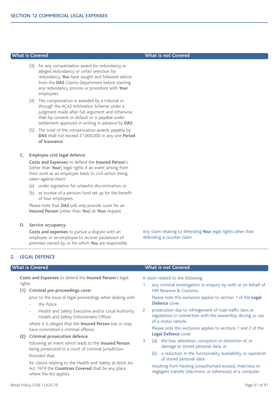- (3) for any compensation award for redundancy or alleged redundancy or unfair selection for redundancy, **You** have sought and followed advice from the **DAS** Claims Department before starting any redundancy process or procedure with **Your** employees
- (4) The compensation is awarded by a tribunal or through the ACAS Arbitration Scheme under a judgment made after full argument and otherwise than by consent or default or is payable under settlement approved in writing in advance by **DAS**
- (5) The total of the compensation awards payable by **DAS** shall not exceed £1,000,000 in any one **Period of Insurance**

## **C. Employee civil legal defence**

**Costs and Expenses** to defend the **Insured Person**'s (other than **Your**) legal rights if an event arising from their work as an employee leads to civil action being taken against them:

- (a) under legislation for unlawful discrimination; or
- (b) as trustee of a pension fund set up for the benefit of Your employees.

Please note that **DAS** will only provide cover for an **Insured Person** (other than **You**) at **Your** request.

# **D. Service occupancy**

**Costs and expenses** to pursue a dispute with an employee or ex-employee to recover possession of premises owned by, or for which **You** are responsible. Any claim relating to defending **Your** legal rights other than defending a counter-claim

# **2. LEGAL DEFENCE**

**Costs and Expenses** to defend the **Insured Person**'s legal rights

# **(1) Criminal pre-proceedings cover**

prior to the issue of legal proceedings when dealing with

- the Police
- Health and Safety Executive and/or Local Authority Health and Safety Enforcement Officer

where it is alleged that the **Insured Person** has or may have committed a criminal offence

# **(2) Criminal prosecution defence**

following an event which leads to the **Insured Person** being prosecuted in a court of criminal jurisdiction Provided that:

for claims relating to the Health and Safety at Work etc Act 1974 the **Countries Covered** shall be any place where the Act applies.

# **What is Covered What is not Covered**

A claim related to the following:

any criminal investigation or enquiry by, with or on behalf of HM Revenue & Customs.

Please note this exclusion applies to section 1 of the **Legal Defence** cover.

2 prosecution due to infringement of road traffic laws or regulations in connection with the ownership, driving or use of a motor vehicle.

Please note this exclusion applies to sections 1 and 2 of the **Legal Defence** cover

- 3 (a) the loss, alteration, corruption or distortion of, or damage to stored personal data, or
	- (b) a reduction in the functionality, availability, or operation of stored personal data

resulting from hacking (unauthorised access), malicious or negligent transfer (electronic or otherwise) of a computer

# **What is Covered What is not Covered**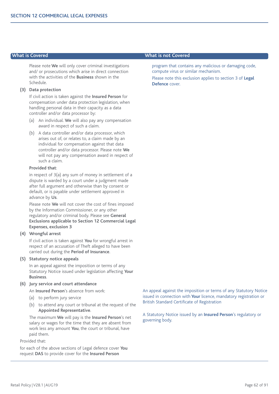Please note **We** will only cover criminal investigations and/ or prosecutions which arise in direct connection with the activities of the **Business** shown in the Schedule.

#### **(3) Data protection**

If civil action is taken against the **Insured Person** for compensation under data protection legislation, when handling personal data in their capacity as a data controller and/or data processor by:

- (a) An individual. **We** will also pay any compensation award in respect of such a claim.
- (b) A data controller and/or data processor, which arises out of, or relates to, a claim made by an individual for compensation against that data controller and/or data processor. Please note **We** will not pay any compensation award in respect of such a claim.

#### **Provided that**:

in respect of 3(a) any sum of money in settlement of a dispute is warded by a court under a judgment made after full argument and otherwise than by consent or default, or is payable under settlement approved in advance by **Us**.

Please note **We** will not cover the cost of fines imposed by the Information Commissioner, or any other regulatory and/or criminal body. Please see **General Exclusions applicable to Section 12 Commercial Legal Expenses, exclusion 3**

#### **(4) Wrongful arrest**

If civil action is taken against **You** for wrongful arrest in respect of an accusation of Theft alleged to have been carried out during the **Period of Insurance**.

#### **(5) Statutory notice appeals**

In an appeal against the imposition or terms of any Statutory Notice issued under legislation affecting **Your Business**.

#### **(6) Jury service and court attendance**

An **Insured Person**'s absence from work:

- (a) to perform jury service
- (b) to attend any court or tribunal at the request of the **Appointed Representative**.

The maximum **We** will pay is the **Insured Person**'s net salary or wages for the time that they are absent from work less any amount **You**, the court or tribunal, have paid them.

Provided that:

for each of the above sections of Legal defence cover **You** request **DAS** to provide cover for the **Insured Person**

#### **What is Covered What is not Covered**

program that contains any malicious or damaging code, compute virus or similar mechanism.

Please note this exclusion applies to section 3 of **Legal Defence** cover.

An appeal against the imposition or terms of any Statutory Notice issued in connection with **Your** licence, mandatory registration or British Standard Certificate of Registration

A Statutory Notice issued by an **Insured Person**'s regulatory or governing body.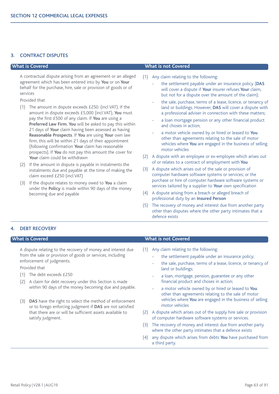#### **3. CONTRACT DISPUTES**

A contractual dispute arising from an agreement or an alleged agreement which has been entered into by **You** or on **Your** behalf for the purchase, hire, sale or provision of goods or of services

Provided that

- (1) The amount in dispute exceeds £250. (incl VAT). If the amount in dispute exceeds £5,000 (incl VAT), **You** must pay the first £500 of any claim. If **You** are using a **Preferred Law Firm**, **You** will be asked to pay this within 21 days of **Your** claim having been assessed as having **Reasonable Prospects**. If **You** are using **Your** own law firm, this will be within 21 days of their appointment (following confirmation **Your** claim has reasonable prospects). If **You** do not pay this amount the cover for **Your** claim could be withdrawn
- (2) If the amount in dispute is payable in instalments the instalments due and payable at the time of making the claim exceed £250 (incl VAT)
- (3) If the dispute relates to money owed to **You** a claim under the **Policy** is made within 90 days of the money becoming due and payable

#### **What is Covered What is not Covered**

- (1) Any claim relating to the following:
	- the settlement payable under an insurance policy (DAS will cover a dispute if **Your** insurer refuses **Your** claim, but not for a dispute over the amount of the claim);
	- the sale, purchase, terms of a lease, licence, or tenancy of land or buildings. However, **DAS** will cover a dispute with a professional adviser in connection with these matters;
	- a loan mortgage pension or any other financial product and choses in action;
	- a motor vehicle owned by or hired or leased to You other than agreements relating to the sale of motor vehicles where **You** are engaged in the business of selling motor vehicles
- (2) A dispute with an employee or ex-employee which arises out of or relates to a contract of employment with **You**
- (3) A dispute which arises out of the sale or provision of computer hardware software systems or services; or the purchase or hire of computer hardware software systems or services tailored by a supplier to **Your** own specification
- (4) A dispute arising from a breach or alleged breach of professional duty by an **Insured Person**
- (5) The recovery of money and interest due from another party other than disputes where the other party intimates that a defence exists

#### **4. DEBT RECOVERY**

A dispute relating to the recovery of money and interest due from the sale or provision of goods or services, including enforcement of judgments.

Provided that

- (1) The debt exceeds £250
- (2) A claim for debt recovery under this Section is made within 90 days of the money becoming due and payable.
- (3) **DAS** have the right to select the method of enforcement or to forego enforcing judgment if **DAS** are not satisfied that there are or will be sufficient assets available to satisfy judgment.

#### **What is Covered What is not Covered**

- (1) Any claim relating to the following:
	- the settlement payable under an insurance policy;
	- the sale, purchase, terms of a lease, licence, or tenancy of land or buildings;
	- a loan, mortgage, pension, guarantee or any other financial product and choses in action;
	- a motor vehicle owned by or hired or leased to You other than agreements relating to the sale of motor vehicles where **You** are engaged in the business of selling motor vehicles
- (2) A dispute which arises out of the supply hire sale or provision of computer hardware software systems or services.
- (3) The recovery of money and interest due from another party where the other party intimates that a defence exists
- (4) any dispute which arises from debts **You** have purchased from a third party.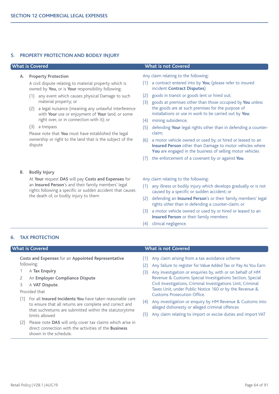#### **5. PROPERTY PROTECTION AND BODILY INJURY**

#### **A. Property Protection**

A civil dispute relating to material property which is owned by **You,** or is **Your** responsibility following:

- (1) any event which causes physical Damage to such material property; or
- (2) a legal nuisance (meaning any unlawful interference with **Your** use or enjoyment of **Your** land, or some right over, or in connection with it); or
- (3) a trespass

Please note that **You** must have established the legal ownership or right to the land that is the subject of the dispute

#### **What is Covered What is not Covered**

Any claim relating to the following:

- (1) a contract entered into by **You**; (please refer to insured incident **Contract Disputes**)
- (2) goods in transit or goods lent or hired out;
- (3) goods at premises other than those occupied by **You** unless the goods are at such premises for the purpose of installations or use in work to be carried out by **You**;
- (4) mining subsidence;
- (5) defending **Your** legal rights other than in defending a counterclaim;
- (6) a motor vehicle owned or used by, or hired or leased to an **Insured Person** other than Damage to motor vehicles where **You** are engaged in the business of selling motor vehicles
- (7) the enforcement of a covenant by or against **You**.

**B. Bodily Injury**

At **Your** request **DAS** will pay **Costs and Expenses** for an **Insured Person**'s and their family members' legal rights following a specific or sudden accident that causes the death of, or bodily injury to them

#### Any claim relating to the following:

- (1) any illness or bodily injury which develops gradually or is not caused by a specific or sudden accident; or
- (2) defending an **Insured Person**'s or their family members' legal rights other than in defending a counter-claim; or
- (3) a motor vehicle owned or used by or hired or leased to an **Insured Person** or their family members
- (4) clinical negligence.

### **6. TAX PROTECTION**

**Costs and Expenses** for an **Appointed Representative** following:

- 1 A **Tax Enquiry**
- 2 An **Employer Compliance Dispute**
- 3 A **VAT Dispute**.

Provided that

- (1) For all **Insured Incidents You** have taken reasonable care to ensure that all returns are complete and correct and that suchreturns are submitted within the statutorytime limits allowed
- (2) Please note **DAS** will only cover tax claims which arise in direct connection with the activities of the **Business** shown in the schedule.

#### **What is Covered What is not Covered**

- (1) Any claim arising from a tax avoidance scheme
- (2) Any failure to register for Value Added Tax or Pay As You Earn.
- (3) Any investigation or enquiries by, with or on behalf of HM Revenue & Customs Special Investigations Section, Special Civil Investigations, Criminal Investigations Unit, Criminal Taxes Unit, under Public Notice 160 or by the Revenue & Customs Prosecution Office.
- (4) Any investigation or enquiry by HM Revenue & Customs into alleged dishonesty or alleged criminal offences
- (5) Any claim relating to import or excise duties and import VAT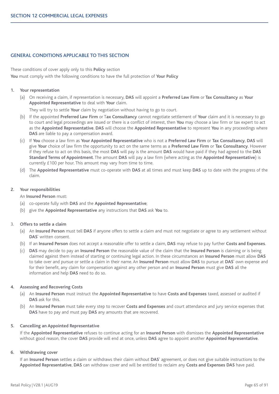### **GENERAL CONDITIONS APPLICABLE TO THIS SECTION**

These conditions of cover apply only to this **Policy** section **You** must comply with the following conditions to have the full protection of **Your Policy**

#### **1. Your representation**

(a) On receiving a claim, if representation is necessary, **DAS** will appoint a **Preferred Law Firm** or **Tax Consultancy** as **Your Appointed Representative** to deal with **Your** claim.

They will try to settle **Your** claim by negotiation without having to go to court.

- (b) If the appointed **Preferred Law Firm** or T**ax Consultancy** cannot negotiate settlement of **Your** claim and it is necessary to go to court and legal proceedings are issued or there is a conflict of interest, then **You** may choose a law firm or tax expert to act as the **Appointed Representative**. **DAS** will choose the **Appointed Representative** to represent **You** in any proceedings where **DAS** are liable to pay a compensation award.
- (c) If **You** choose a law firm as **Your Appointed Representative** who is not a **Preferred Law Firm** or **Tax Consultancy**, **DAS** will give **Your** choice of law firm the opportunity to act on the same terms as a **Preferred Law Firm** or **Tax Consultancy**. However if they refuse to act on this basis, the most **DAS** will pay is the amount **DAS** would have paid if they had agreed to the **DAS Standard Terms of Appointment**. The amount **DAS** will pay a law firm (where acting as the **Appointed Representative**) is currently £100 per hour. This amount may vary from time to time.
- (d) The **Appointed Representative** must co-operate with **DAS** at all times and must keep **DAS** up to date with the progress of the claim.

#### **2. Your responsibilities**

An **Insured Person** must:

- (a) co-operate fully with **DAS** and the **Appointed Representative**;
- (b) give the **Appointed Representative** any instructions that **DAS** ask **You** to.

#### 3. **Offers to settle a claim**

- (a) An **Insured Person** must tell **DAS** if anyone offers to settle a claim and must not negotiate or agree to any settlement without **DAS**' written consent.
- (b) If an **Insured Person** does not accept a reasonable offer to settle a claim, **DAS** may refuse to pay further **Costs and Expenses**.
- (c) **DAS** may decide to pay an **Insured Person** the reasonable value of the claim that the **Insured Person** is claiming or is being claimed against them instead of starting or continuing legal action. In these circumstances an **Insured Person** must allow **DAS** to take over and pursue or settle a claim in their name. An **Insured Person** must allow **DAS** to pursue at **DAS**' own expense and for their benefit, any claim for compensation against any other person and an **Insured Person** must give **DAS** all the information and help **DAS** need to do so.

#### **4. Assessing and Recovering Costs**

- (a) An **Insured Person** must instruct the **Appointed Representative** to have **Costs and Expenses** taxed, assessed or audited if **DAS** ask for this.
- (b) An **Insured Person** must take every step to recover **Costs and Expenses** and court attendance and jury service expenses that **DAS** have to pay and must pay **DAS** any amounts that are recovered.

#### **5. Cancelling an Appointed Representative**

If the **Appointed Representative** refuses to continue acting for an **Insured Person** with dismisses the **Appointed Representative** without good reason, the cover **DAS** provide will end at once, unless **DAS** agree to appoint another **Appointed Representative**.

#### **6. Withdrawing cover**

If an **Insured Person** settles a claim or withdraws their claim without **DAS**' agreement, or does not give suitable instructions to the **Appointed Representative**, **DAS** can withdraw cover and will be entitled to reclaim any **Costs and Expenses DAS** have paid.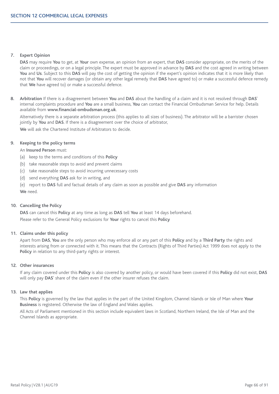## **7. Expert Opinion**

**DAS** may require **You** to get, at **Your** own expense, an opinion from an expert, that **DAS** consider appropriate, on the merits of the claim or proceedings, or on a legal principle. The expert must be approved in advance by **DAS** and the cost agreed in writing between You and Us. Subject to this DAS will pay the cost of getting the opinion if the expert's opinion indicates that it is more likely than not that **You** will recover damages (or obtain any other legal remedy that **DAS** have agreed to) or make a successful defence remedy that **We** have agreed to) or make a successful defence.

**8. Arbitration** If there is a disagreement between **You** and **DAS** about the handling of a claim and it is not resolved through **DAS**' internal complaints procedure and **You** are a small business, **You** can contact the Financial Ombudsman Service for help. Details available from **www.financial-ombudsman.org.uk**.

Alternatively there is a separate arbitration process (this applies to all sizes of business). The arbitrator will be a barrister chosen jointly by **You** and **DAS**. If there is a disagreement over the choice of arbitrator,

**We** will ask the Chartered Institute of Arbitrators to decide.

## **9. Keeping to the policy terms**

An **Insured Person** must:

- (a) keep to the terms and conditions of this **Policy**
- (b) take reasonable steps to avoid and prevent claims
- (c) take reasonable steps to avoid incurring unnecessary costs
- (d) send everything **DAS** ask for in writing, and
- (e) report to **DAS** full and factual details of any claim as soon as possible and give **DAS** any information

**We** need.

#### **10. Cancelling the Policy**

**DAS** can cancel this **Policy** at any time as long as **DAS** tell **You** at least 14 days beforehand. Please refer to the General Policy exclusions for **Your** rights to cancel this **Policy**

## **11. Claims under this policy**

Apart from **DAS**, **You** are the only person who may enforce all or any part of this **Policy** and by a **Third Party** the rights and interests arising from or connected with it. This means that the Contracts (Rights of Third Parties) Act 1999 does not apply to the **Policy** in relation to any third-party rights or interest.

## **12. Other insurances**

If any claim covered under this **Policy** is also covered by another policy, or would have been covered if this **Policy** did not exist, **DAS** will only pay **DAS**' share of the claim even if the other insurer refuses the claim.

#### **13. Law that applies**

This **Policy** is governed by the law that applies in the part of the United Kingdom, Channel Islands or Isle of Man where **Your Business** is registered. Otherwise the law of England and Wales applies.

All Acts of Parliament mentioned in this section include equivalent laws in Scotland, Northern Ireland, the Isle of Man and the Channel Islands as appropriate.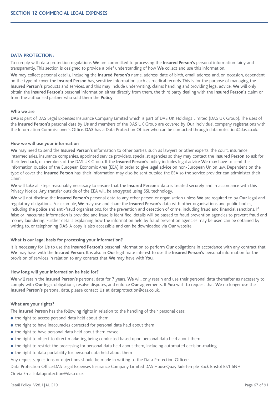# **DATA PROTECTION:**

To comply with data protection regulations **We** are committed to processing the **Insured Person's** personal information fairly and transparently. This section is designed to provide a brief understanding of how **We** collect and use this information.

**We** may collect personal details, including the **Insured Person's** name, address, date of birth, email address and, on occasion, dependent on the type of cover the **Insured Person** has, sensitive information such as medical records. This is for the purpose of managing the **Insured Person's** products and services, and this may include underwriting, claims handling and providing legal advice. **We** will only obtain the **Insured Person's** personal information either directly from them, the third party dealing with the **Insured Person's** claim or from the authorised partner who sold them the **Policy**.

#### **Who we are**

**DAS** is part of DAS Legal Expenses Insurance Company Limited which is part of DAS UK Holdings Limited (DAS UK Group). The uses of the **Insured Person's** personal data by **Us** and members of the DAS UK Group are covered by **Our** individual company registrations with the Information Commissioner's Office. **DAS** has a Data Protection Officer who can be contacted through dataprotection@das.co.uk.

#### **How we will use your information**

**We** may need to send the **Insured Person's** information to other parties, such as lawyers or other experts, the court, insurance intermediaries, insurance companies, appointed service providers, specialist agencies so they may contact the **Insured Person** to ask for their feedback, or members of the DAS UK Group. If the **Insured Person's** policy includes legal advice **We** may have to send the information outside of the European Economic Area (EEA) in order to give legal advice on non-European Union law. Dependent on the type of cover the **Insured Person** has, their information may also be sent outside the EEA so the service provider can administer their claim.

**We** will take all steps reasonably necessary to ensure that the **Insured Person's** data is treated securely and in accordance with this Privacy Notice. Any transfer outside of the EEA will be encrypted using SSL technology.

**We** will not disclose the **Insured Person's** personal data to any other person or organisation unless **We** are required to by **Our** legal and regulatory obligations. For example, **We** may use and share the **Insured Person's** data with other organisations and public bodies, including the police and anti-fraud organisations, for the prevention and detection of crime, including fraud and financial sanctions. If false or inaccurate information is provided and fraud is identified, details will be passed to fraud prevention agencies to prevent fraud and money laundering. Further details explaining how the information held by fraud prevention agencies may be used can be obtained by writing to, or telephoning **DAS**. A copy is also accessible and can be downloaded via **Our** website.

## **What is our legal basis for processing your information?**

It is necessary for **Us** to use the **Insured Person's** personal information to perform **Our** obligations in accordance with any contract that **We** may have with the **Insured Person**. It is also in **Our** legitimate interest to use the **Insured Person's** personal information for the provision of services in relation to any contract that **We** may have with **You**.

## **How long will your information be held for?**

**We** will retain the **Insured Person's** personal data for 7 years. **We** will only retain and use their personal data thereafter as necessary to comply with **Our** legal obligations, resolve disputes, and enforce **Our** agreements. If **You** wish to request that **We** no longer use the **Insured Person's** personal data, please contact **Us** at dataprotection@das.co.uk.

## **What are your rights?**

The **Insured Person** has the following rights in relation to the handling of their personal data:

- $\bullet$  the right to access personal data held about them
- the right to have inaccuracies corrected for personal data held about them
- $\bullet$  the right to have personal data held about them erased
- $\bullet$  the right to object to direct marketing being conducted based upon personal data held about them
- $\bullet$  the right to restrict the processing for personal data held about them, including automated decision-making
- the right to data portability for personal data held about them
- Any requests, questions or objections should be made in writing to the Data Protection Officer:-

Data Protection OfficerDAS Legal Expenses Insurance Company Limited DAS HouseQuay SideTemple Back Bristol BS1 6NH Or via Email: dataprotection@das.co.uk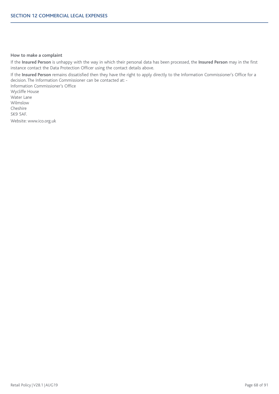## **How to make a complaint**

If the **Insured Person** is unhappy with the way in which their personal data has been processed, the **Insured Person** may in the first instance contact the Data Protection Officer using the contact details above.

If the **Insured Person** remains dissatisfied then they have the right to apply directly to the Information Commissioner's Office for a decision. The Information Commissioner can be contacted at: -

Information Commissioner's Office Wycliffe House Water Lane Wilmslow Cheshire SK9 5AF. Website: www.ico.org.uk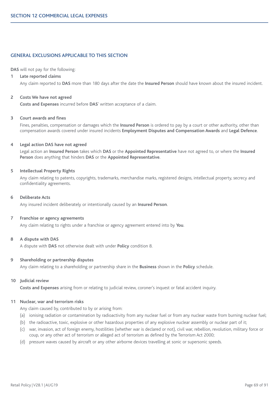# **GENERAL EXCLUSIONS APPLICABLE TO THIS SECTION**

**DAS** will not pay for the following:

## **1 Late reported claims**

Any claim reported to **DAS** more than 180 days after the date the **Insured Person** should have known about the insured incident.

#### **2 Costs We have not agreed**

**Costs and Expenses** incurred before **DAS**' written acceptance of a claim.

#### **3 Court awards and fines**

Fines, penalties, compensation or damages which the **Insured Person** is ordered to pay by a court or other authority, other than compensation awards covered under insured incidents **Employment Disputes and Compensation Awards** and **Legal Defence**.

#### **4 Legal action DAS have not agreed**

Legal action an **Insured Person** takes which **DAS** or the **Appointed Representative** have not agreed to, or where the **Insured Person** does anything that hinders **DAS** or the **Appointed Representative**.

## **5 Intellectual Property Rights**

Any claim relating to patents, copyrights, trademarks, merchandise marks, registered designs, intellectual property, secrecy and confidentiality agreements.

#### **6 Deliberate Acts**

Any insured incident deliberately or intentionally caused by an **Insured Person**.

#### **7 Franchise or agency agreements**

Any claim relating to rights under a franchise or agency agreement entered into by **You**.

#### **8 A dispute with DAS**

A dispute with **DAS** not otherwise dealt with under **Policy** condition 8.

#### **9 Shareholding or partnership disputes**

Any claim relating to a shareholding or partnership share in the **Business** shown in the **Policy** schedule.

#### **10 Judicial review**

**Costs and Expenses** arising from or relating to judicial review, coroner's inquest or fatal accident inquiry.

## **11 Nuclear, war and terrorism risks**

Any claim caused by, contributed to by or arising from:

- (a) ionising radiation or contamination by radioactivity from any nuclear fuel or from any nuclear waste from burning nuclear fuel;
- (b) the radioactive, toxic, explosive or other hazardous properties of any explosive nuclear assembly or nuclear part of it;
- (c) war, invasion, act of foreign enemy, hostilities (whether war is declared or not), civil war, rebellion, revolution, military force or coup, or any other act of terrorism or alleged act of terrorism as defined by the Terrorism Act 2000;
- (d) pressure waves caused by aircraft or any other airborne devices travelling at sonic or supersonic speeds.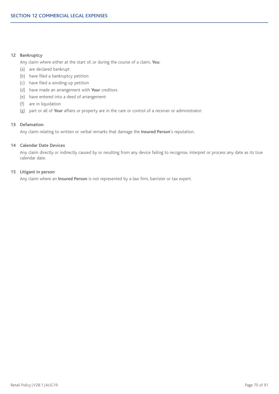# **12 Bankruptcy**

Any claim where either at the start of, or during the course of a claim, **You**:

- (a) are declared bankrupt
- (b) have filed a bankruptcy petition
- (c) have filed a winding-up petition
- (d) have made an arrangement with **Your** creditors
- (e) have entered into a deed of arrangement
- (f) are in liquidation
- (g) part or all of **Your** affairs or property are in the care or control of a receiver or administrator.

## **13 Defamation**

Any claim relating to written or verbal remarks that damage the **Insured Person**'s reputation.

## **14 Calendar Date Devices**

Any claim directly or indirectly caused by or resulting from any device failing to recognise, interpret or process any date as its true calendar date.

# **15 Litigant in person**

Any claim where an **Insured Person** is not represented by a law firm, barrister or tax expert.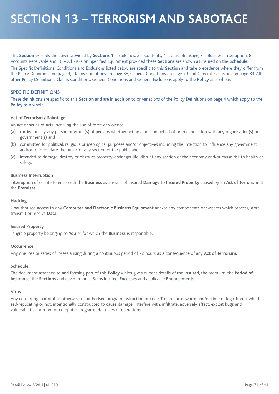# **SECTION 13 – TERRORISM AND SABOTAGE**

This **Section** extends the cover provided by **Sections** 1 – Buildings, 2 – Contents, 4 – Glass Breakage, 7 – Business Interruption, 8 – Accounts Receivable and 10 – All Risks on Specified Equipment provided these **Sections** are shown as insured on the **Schedule**.

The Specific Definitions, Conditions and Exclusions listed below are specific to this **Section** and take precedence where they differ from the Policy Definitions on page 4, Claims Conditions on page 88, General Conditions on page 79 and General Exclusions on page 84. All other Policy Definitions, Claims Conditions, General Conditions and General Exclusions apply to the **Policy** as a whole.

## **SPECIFIC DEFINITIONS**

These definitions are specific to this **Section** and are in addition to or variations of the Policy Definitions on page 4 which apply to the **Policy** as a whole.

## **Act of Terrorism / Sabotage**

An act or series of acts involving the use of force or violence

- (a) carried out by any person or group(s) of persons whether acting alone, on behalf of or in connection with any organisation(s) or government(s) and
- (b) committed for political, religious or ideological purposes and/or objectives including the intention to influence any government and/or to intimidate the public or any section of the public and
- (c) intended to damage, destroy or obstruct property, endanger life, disrupt any section of the economy and/or cause risk to health or safety.

#### **Business Interruption**

Interruption of or interference with the **Business** as a result of insured **Damage** to **Insured Property** caused by an **Act of Terrorism** at the **Premises**.

## **Hacking**

Unauthorised access to any **Computer and Electronic Business Equipment** and/or any components or systems which process, store, transmit or receive **Data**.

## **Insured Property**

Tangible property belonging to **You** or for which the **Business** is responsible.

#### **Occurrence**

Any one loss or series of losses arising during a continuous period of 72 hours as a consequence of any **Act of Terrorism.**

# **Schedule**

The document attached to and forming part of this **Policy** which gives current details of the **Insured**, the premium, the **Period of Insurance**, the **Sections** and cover in force, Sums Insured, **Excesses** and applicable **Endorsements**.

#### **Virus**

Any corrupting, harmful or otherwise unauthorised program instruction or code, Trojan horse, worm and/or time or logic bomb, whether self-replicating or not, intentionally constructed to cause damage, interfere with, infiltrate, adversely affect, exploit bugs and vulnerabilities or monitor computer programs, data files or operations.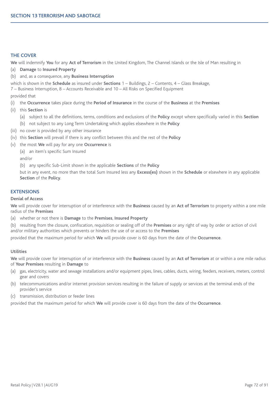# **THE COVER**

**We** will indemnify **You** for any **Act of Terrorism** in the United Kingdom, The Channel Islands or the Isle of Man resulting in

- (a) **Damage** to **Insured Property**
- (b) and, as a consequence, any **Business Interruption**

which is shown in the **Schedule** as insured under **Sections** 1 – Buildings, 2 – Contents, 4 – Glass Breakage,

7 – Business Interruption, 8 – Accounts Receivable and 10 – All Risks on Specified Equipment

provided that

- (i) the **Occurrence** takes place during the **Period of Insurance** in the course of the **Business** at the **Premises**
- (ii) this **Section** is
	- (a) subject to all the definitions, terms, conditions and exclusions of the **Policy** except where specifically varied in this **Section**
	- (b) not subject to any Long Term Undertaking which applies elsewhere in the **Policy**
- (iii) no cover is provided by any other insurance
- (iv) this **Section** will prevail if there is any conflict between this and the rest of the **Policy**
- (v) the most **We** will pay for any one **Occurrence** is
	- (a) an item's specific Sum Insured

and/or

(b) any specific Sub-Limit shown in the applicable **Sections** of the **Policy**

but in any event, no more than the total Sum Insured less any **Excess(es)** shown in the **Schedule** or elsewhere in any applicable **Section** of the **Policy**.

# **EXTENSIONS**

## **Denial of Access**

**We** will provide cover for interruption of or interference with the **Business** caused by an **Act of Terrorism** to property within a one mile radius of the **Premises**

- (a) whether or not there is **Damage** to the **Premises**, **Insured Property**
- (b) resulting from the closure, confiscation, requisition or sealing off of the **Premises** or any right of way by order or action of civil and/or military authorities which prevents or hinders the use of or access to the **Premises**

provided that the maximum period for which **We** will provide cover is 60 days from the date of the **Occurrence**.

## **Utilities**

**We** will provide cover for interruption of or interference with the **Business** caused by an **Act of Terrorism** at or within a one mile radius of **Your Premises** resulting in **Damage** to

- (a) gas, electricity, water and sewage installations and/or equipment pipes, lines, cables, ducts, wiring, feeders, receivers, meters, control gear and covers
- (b) telecommunications and/or internet provision services resulting in the failure of supply or services at the terminal ends of the provider's service
- (c) transmission, distribution or feeder lines

provided that the maximum period for which **We** will provide cover is 60 days from the date of the **Occurrence**.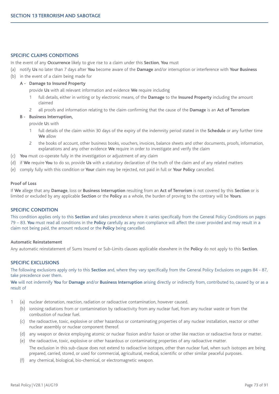## **SPECIFIC CLAIMS CONDITIONS**

In the event of any **Occurrence** likely to give rise to a claim under this **Section**, **You** must

- (a) notify **Us** no later than 7 days after **You** become aware of the **Damage** and/or interruption or interference with **Your Business**
- (b) in the event of a claim being made for

#### **A - Damage to Insured Property**

provide **Us** with all relevant information and evidence **We** require including

- 1 full details, either in writing or by electronic means, of the **Damage** to the **Insured Property** including the amount claimed
- 2 all proofs and information relating to the claim confirming that the cause of the **Damage** is an **Act of Terrorism**

#### **B - Business Interruption,**

provide **U**s with

- 1 full details of the claim within 30 days of the expiry of the indemnity period stated in the **Schedule** or any further time **We** allow
- 2 the books of account, other business books, vouchers, invoices, balance sheets and other documents, proofs, information, explanations and any other evidence **We** require in order to investigate and verify the claim
- (c) **You** must co-operate fully in the investigation or adjustment of any claim
- (d) if **We** require **You** to do so, provide **Us** with a statutory declaration of the truth of the claim and of any related matters
- (e) comply fully with this condition or **Your** claim may be rejected, not paid in full or **Your Policy** cancelled.

#### **Proof of Loss**

If **We** allege that any **Damage**, loss or **Business Interruption** resulting from an **Act of Terrorism** is not covered by this **Section** or is limited or excluded by any applicable **Section** or the **Policy** as a whole, the burden of proving to the contrary will be **Yours**.

### **SPECIFIC CONDITION**

This condition applies only to this **Section** and takes precedence where it varies specifically from the General Policy Conditions on pages 79 – 83. **You** must read all conditions in the **Policy** carefully as any non-compliance will affect the cover provided and may result in a claim not being paid, the amount reduced or the **Policy** being cancelled.

#### **Automatic Reinstatement**

Any automatic reinstatement of Sums Insured or Sub-Limits clauses applicable elsewhere in the **Policy** do not apply to this **Section**.

#### **SPECIFIC EXCLUSIONS**

The following exclusions apply only to this **Section** and, where they vary specifically from the General Policy Exclusions on pages 84 - 87, take precedence over them.

**We** will not indemnify **You** for **Damage** and/or **Business Interruption** arising directly or indirectly from, contributed to, caused by or as a result of

- (a) nuclear detonation, reaction, radiation or radioactive contamination, however caused.
	- (b) ionising radiations from or contamination by radioactivity from any nuclear fuel, from any nuclear waste or from the combustion of nuclear fuel.
	- (c) the radioactive, toxic, explosive or other hazardous or contaminating properties of any nuclear installation, reactor or other nuclear assembly or nuclear component thereof.
	- (d) any weapon or device employing atomic or nuclear fission and/or fusion or other like reaction or radioactive force or matter.
	- (e) the radioactive, toxic, explosive or other hazardous or contaminating properties of any radioactive matter. The exclusion in this sub-clause does not extend to radioactive isotopes, other than nuclear fuel, when such isotopes are being prepared, carried, stored, or used for commercial, agricultural, medical, scientific or other similar peaceful purposes.
	- (f) any chemical, biological, bio-chemical, or electromagnetic weapon.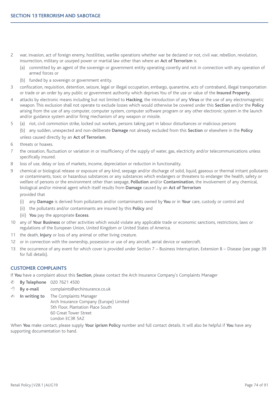- 2 war, invasion, act of foreign enemy, hostilities, warlike operations whether war be declared or not, civil war, rebellion, revolution, insurrection, military or usurped power or martial law other than where an **Act of Terrorism** is
	- (a) committed by an agent of the sovereign or government entity operating covertly and not in connection with any operation of armed forces or
	- (b) funded by a sovereign or government entity.
- 3 confiscation, requisition, detention, seizure, legal or illegal occupation, embargo, quarantine, acts of contraband, illegal transportation or trade or an order by any public or government authority which deprives You of the use or value of the **Insured Property**.
- 4 attacks by electronic means including but not limited to **Hacking**, the introduction of any **Virus** or the use of any electromagnetic weapon. This exclusion shall not operate to exclude losses which would otherwise be covered under this **Section** and/or the **Policy** arising from the use of any computer, computer system, computer software program or any other electronic system in the launch and/or guidance system and/or firing mechanism of any weapon or missile.
- 5 (a) riot, civil commotion strike, locked out workers, persons taking part in labour disturbances or malicious persons (b) any sudden, unexpected and non-deliberate **Damage** not already excluded from this **Section** or elsewhere in the **Policy**

unless caused directly by an **Act of Terrorism**.

- 6 threats or hoaxes.
- 7 the cessation, fluctuation or variation in or insufficiency of the supply of water, gas, electricity and/or telecommunications unless specifically insured.
- 8 loss of use, delay or loss of markets, income, depreciation or reduction in functionality.
- 9 chemical or biological release or exposure of any kind, seepage and/or discharge of solid, liquid, gaseous or thermal irritant pollutants or contaminants, toxic or hazardous substances or any substances which endangers or threatens to endanger the health, safety or welfare of persons or the environment other than seepage, **Pollution** and/or **Contamination**, the involvement of any chemical, biological and/or mineral agent which itself results from **Damage** caused by an **Act of Terrorism** provided that
	- (i) any **Damage** is derived from pollutants and/or contaminants owned by **You** or in **Your** care, custody or control and
	- (ii) the pollutants and/or contaminants are insured by this **Policy** and
	- (iii) **You** pay the appropriate **Excess**.
- 10 any of **Your Business** or other activities which would violate any applicable trade or economic sanctions, restrictions, laws or regulations of the European Union, United Kingdom or United States of America.
- 11 the death, **Injury** or loss of any animal or other living creature.
- 12 or in connection with the ownership, possession or use of any aircraft, aerial device or watercraft.
- 13 the occurrence of any event for which cover is provided under Section 7 Business Interruption, Extension B Disease (see page 39 for full details).

## **CUSTOMER COMPLAINTS**

If **You** have a complaint about this **Section**, please contact the Arch Insurance Company's Complaints Manager

- & **By Telephone** 020 7621 4500
- 8 **By e-mail** complaints@archinsurance.co.uk
- **In writing to** The Complaints Manager Arch Insurance Company (Europe) Limited 5th Floor, Plantation Place South 60 Great Tower Street London EC3R 5AZ

When **You** make contact, please supply **Your iprism Policy** number and full contact details. It will also be helpful if **You** have any supporting documentation to hand.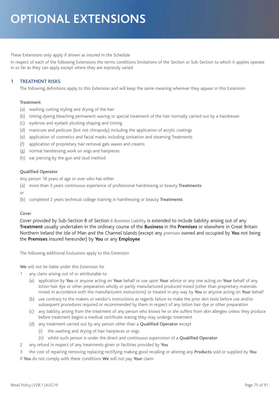# These Extensions only apply if shown as insured in the Schedule

In respect of each of the following Extensions the terms conditions limitations of the Section or Sub-Section to which it applies operate in so far as they can apply except where they are expressly varied

# **1 TREATMENT RISKS**

The following definitions apply to this Extension and will keep the same meaning wherever they appear in this Extension

# **Treatment**

- (a) washing cutting styling and drying of the hair
- (b) tinting dyeing bleaching permanent waving or special treatment of the hair normally carried out by a hairdresser
- (c) eyebrow and eyelash plucking shaping and tinting
- (d) manicure and pedicure (but not chiropody) including the application of acrylic coatings
- (e) application of cosmetics and facial masks including ionisation and steaming Treatments
- (f) application of proprietary hair removal gels waxes and creams
- (g) normal hairdressing work on wigs and hairpieces
- (h) ear piercing by the gun and stud method

# **Qualified Operator**

Any person 18 years of age or over who has either

- (a) more than 3 years continuous experience of professional hairdressing or beauty **Treatments**
- or
- (b) completed 2 years technical college training in hairdressing or beauty **Treatments**

## **Cover**

Cover provided by Sub-Section B of Section 6 Business Liability is extended to include liability arising out of any **Treatment** usually undertaken in the ordinary course of the **Business** in the **Premises** or elsewhere in Great Britain Northern Ireland the Isle of Man and the Channel Islands (except any premises owned and occupied by **You** not being the **Premises** insured hereunder) by **You** or any **Employee**

The following additional Exclusions apply to this Extension

**We** will not be liable under this Extension for

- 1 any claim arising out of or attributable to
	- (a) application by **You** or anyone acting on **Your** behalf or use upon **Your** advice or any one acting on **Your** behalf of any lotion hair dye or other preparation wholly or partly manufactured produced mixed (other than proprietary materials mixed in accordance with the manufacturers instructions) or treated in any way by **You** or anyone acting on **Your** behalf
	- (b) use contrary to the makers or vendor's instructions as regards failure to make the prior skin tests before use and/or subsequent procedures required or recommended by them in respect of any lotion hair dye or other preparation
	- (c) any liability arising from the treatment of any person who knows he or she suffers from skin allergies unless they produce before treatment begins a medical certificate stating they may undergo treatment
	- (d) any treatment carried out by any person other than a **Qualified Operator** except
		- (i) the washing and drying of hair hairpieces or wigs
		- (ii) whilst such person is under the direct and continuous supervision of a **Qualified Operator**
- 2 any refund in respect of any treatments given or facilities provided by **You**
- 3 the cost of repairing removing replacing rectifying making good recalling or altering any **Products** sold or supplied by **You** If **You** do not comply with these conditions **We** will not pay **Your** claim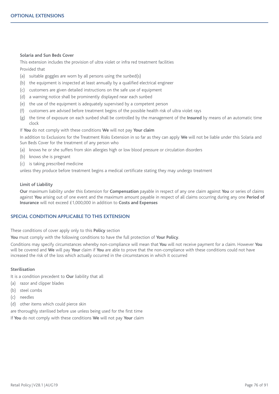#### **Solaria and Sun Beds Cover**

This extension includes the provision of ultra violet or infra red treatment facilities Provided that

- (a) suitable goggles are worn by all persons using the sunbed(s)
- (b) the equipment is inspected at least annually by a qualified electrical engineer
- (c) customers are given detailed instructions on the safe use of equipment
- (d) a warning notice shall be prominently displayed near each sunbed
- (e) the use of the equipment is adequately supervised by a competent person
- (f) customers are advised before treatment begins of the possible health risk of ultra violet rays
- (g) the time of exposure on each sunbed shall be controlled by the management of the **Insured** by means of an automatic time clock

If **You** do not comply with these conditions **We** will not pay **Your claim**

In addition to Exclusions for the Treatment Risks Extension in so far as they can apply **We** will not be liable under this Solaria and Sun Beds Cover for the treatment of any person who

- (a) knows he or she suffers from skin allergies high or low blood pressure or circulation disorders
- (b) knows she is pregnant
- (c) is taking prescribed medicine

unless they produce before treatment begins a medical certificate stating they may undergo treatment

## **Limit of Liability**

**Our** maximum liability under this Extension for **Compensation** payable in respect of any one claim against **You** or series of claims against **You** arising out of one event and the maximum amount payable in respect of all claims occurring during any one **Period of Insurance** will not exceed £1,000,000 in addition to **Costs and Expenses**

# **SPECIAL CONDITION APPLICABLE TO THIS EXTENSION**

These conditions of cover apply only to this **Policy** section

**You** must comply with the following conditions to have the full protection of **Your Policy**.

Conditions may specify circumstances whereby non-compliance will mean that **You** will not receive payment for a claim. However **You** will be covered and **We** will pay **Your** claim if **You** are able to prove that the non-compliance with these conditions could not have increased the risk of the loss which actually occurred in the circumstances in which it occurred

# **Sterilisation**

It is a condition precedent to **Our** liability that all

- (a) razor and clipper blades
- (b) steel combs
- (c) needles
- (d) other items which could pierce skin

are thoroughly sterilised before use unless being used for the first time

If **You** do not comply with these conditions **We** will not pay **Your** claim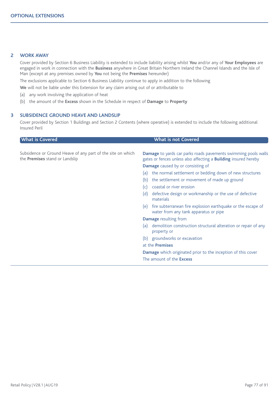# **2 WORK AWAY**

Cover provided by Section 6 Business Liability is extended to include liability arising whilst **You** and/or any of **Your Employees** are engaged in work in connection with the **Business** anywhere in Great Britain Northern Ireland the Channel Islands and the Isle of Man (except at any premises owned by **You** not being the **Premises** hereunder)

The exclusions applicable to Section 6 Business Liability continue to apply in addition to the following

**We** will not be liable under this Extension for any claim arising out of or attributable to

- (a) any work involving the application of heat
- (b) the amount of the **Excess** shown in the Schedule in respect of **Damage** to **Property**

## **3 SUBSIDENCE GROUND HEAVE AND LANDSLIP**

Cover provided by Section 1 Buildings and Section 2 Contents (where operative) is extended to include the following additional Insured Peril

| <b>What is Covered</b>                                                                        | <b>What is not Covered</b>                                                                                                                      |
|-----------------------------------------------------------------------------------------------|-------------------------------------------------------------------------------------------------------------------------------------------------|
|                                                                                               |                                                                                                                                                 |
| Subsidence or Ground Heave of any part of the site on which<br>the Premises stand or Landslip | <b>Damage</b> to yards car parks roads pavements swimming pools walls<br>gates or fences unless also affecting a <b>Building</b> insured hereby |
|                                                                                               | Damage caused by or consisting of                                                                                                               |
|                                                                                               | the normal settlement or bedding down of new structures<br>(a)                                                                                  |
|                                                                                               | the settlement or movement of made up ground<br>(b)                                                                                             |
|                                                                                               | coastal or river erosion<br>(c)                                                                                                                 |
|                                                                                               | defective design or workmanship or the use of defective<br>(d)<br>materials                                                                     |
|                                                                                               | fire subterranean fire explosion earthquake or the escape of<br>(e)<br>water from any tank apparatus or pipe                                    |
|                                                                                               | <b>Damage</b> resulting from                                                                                                                    |
|                                                                                               | demolition construction structural alteration or repair of any<br>(a)<br>property or                                                            |
|                                                                                               | groundworks or excavation<br>(b)                                                                                                                |
|                                                                                               | at the <b>Premises</b>                                                                                                                          |
|                                                                                               | Damage which originated prior to the inception of this cover                                                                                    |
|                                                                                               | The amount of the <b>Excess</b>                                                                                                                 |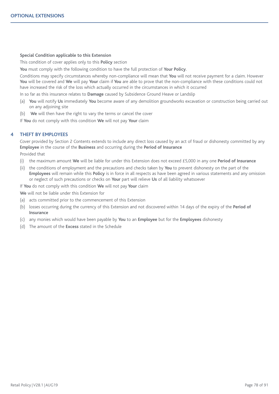## **Special Condition applicable to this Extension**

This condition of cover applies only to this **Policy** section

**You** must comply with the following condition to have the full protection of **Your Policy**.

Conditions may specify circumstances whereby non-compliance will mean that **You** will not receive payment for a claim. However **You** will be covered and **We** will pay **Your** claim if **You** are able to prove that the non-compliance with these conditions could not have increased the risk of the loss which actually occurred in the circumstances in which it occurred

In so far as this insurance relates to **Damage** caused by Subsidence Ground Heave or Landslip

- (a) **You** will notify **Us** immediately **You** become aware of any demolition groundworks excavation or construction being carried out on any adjoining site
- (b) **We** will then have the right to vary the terms or cancel the cover

If **You** do not comply with this condition **We** will not pay **Your** claim

# **4 THEFT BY EMPLOYEES**

Cover provided by Section 2 Contents extends to include any direct loss caused by an act of fraud or dishonesty committed by any **Employee** in the course of the **Business** and occurring during the **Period of Insurance**

## Provided that

- (i) the maximum amount **We** will be liable for under this Extension does not exceed £5,000 in any one **Period of Insurance**
- (ii) the conditions of employment and the precautions and checks taken by **You** to prevent dishonesty on the part of the **Employees** will remain while this **Policy** is in force in all respects as have been agreed in various statements and any omission or neglect of such precautions or checks on **Your** part will relieve **Us** of all liability whatsoever

If **You** do not comply with this condition **We** will not pay **Your** claim

**We** will not be liable under this Extension for

- (a) acts committed prior to the commencement of this Extension
- (b) losses occurring during the currency of this Extension and not discovered within 14 days of the expiry of the **Period of Insurance**
- (c) any monies which would have been payable by **You** to an **Employee** but for the **Employees** dishonesty
- (d) The amount of the **Excess** stated in the Schedule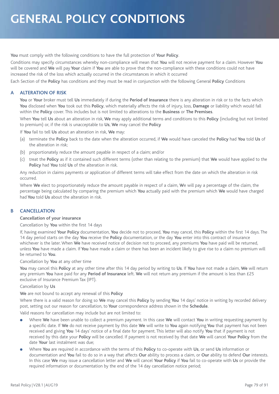**You** must comply with the following conditions to have the full protection of **Your Policy**.

Conditions may specify circumstances whereby non-compliance will mean that **You** will not receive payment for a claim. However **You** will be covered and **We** will pay **Your** claim if **You** are able to prove that the non-compliance with these conditions could not have increased the risk of the loss which actually occurred in the circumstances in which it occurred

Each Section of the **Policy** has conditions and they must be read in conjunction with the following General **Policy** Conditions

# **A ALTERATION OF RISK**

**You** or **Your** broker must tell **Us** immediately if during the **Period of Insurance** there is any alteration in risk or to the facts which **You** disclosed when **You** took out this **Policy**, which materially affects the risk of injury, loss, **Damage** or liability which would fall within the **Policy** cover. This includes but is not limited to alterations to the **Business** or **The Premises**.

When **You** tell **Us** about an alteration in risk, **We** may apply additional terms and conditions to this **Policy** (including but not limited to premium) or, if the risk is unacceptable to **Us**, **We** may cancel the **Policy**

If **You** fail to tell **Us** about an alteration in risk, **We** may:

- (a) terminate the **Policy** back to the date when the alteration occurred, if **We** would have canceled the **Policy** had **You** told **Us** of the alteration in risk;
- (b) proportionately reduce the amount payable in respect of a claim; and/or
- (c) treat the **Policy** as if it contained such different terms (other than relating to the premium) that **We** would have applied to the **Policy** had **You** told **Us** of the alteration in risk.

Any reduction in claims payments or application of different terms will take effect from the date on which the alteration in risk occurred.

Where **We** elect to proportionately reduce the amount payable in respect of a claim, **W**e will pay a percentage of the claim, the percentage being calculated by comparing the premium which **You** actually paid with the premium which **We** would have charged had **You** told **Us** about the alteration in risk.

# **B CANCELLATION**

## **Cancellation of your insurance**

Cancellation by **You** within the first 14 days

If, having examined **Your Policy** documentation, **You** decide not to proceed, **You** may cancel, this **Policy** within the first 14 days. The 14 day period starts on the day **You** receive the **Policy** documentation, or the day **You** enter into this contract of insurance whichever is the later. When **We** have received notice of decision not to proceed, any premiums **You** have paid will be returned, unless **You** have made a claim. If **You** have made a claim or there has been an incident likely to give rise to a claim no premium will be returned to **You**.

Cancellation by **You** at any other time

**You** may cancel this **Policy** at any other time after this 14 day period by writing to **Us**. If **You** have not made a claim, **We** will return any premium **You** have paid for any **Period of Insurance** left. **We** will not return any premium if the amount is less than £25 exclusive of Insurance Premium Tax (IPT).

## Cancellation by **Us**

**We** are not bound to accept any renewal of this **Policy**

Where there is a valid reason for doing so **We** may cancel this **Policy** by sending **You** 14 days' notice in writing by recorded delivery post, setting out our reason for cancellation, to **Your** correspondence address shown in the **Schedule**.

Valid reasons for cancellation may include but are not limited to:

- <sup>l</sup> Where **We** have been unable to collect a premium payment. In this case **We** will contact **You** in writing requesting payment by a specific date. If **We** do not receive payment by this date **We** will write to **You** again notifying **You** that payment has not been received and giving **You** 14 days' notice of a final date for payment. This letter will also notify **You** that if payment is not received by this date your **Policy** will be cancelled. If payment is not received by that date **We** will cancel **Your Policy** from the date **Your** last instalment was due;
- <sup>l</sup> Where **You** are required in accordance with the terms of this **Policy** to co-operate with **Us**, or send **Us** information or documentation and **You** fail to do so in a way that affects **Our** ability to process a claim, or **Our** ability to defend **Our** interests. In this case **We** may issue a cancellation letter and **We** will cancel **Your Policy** if **You** fail to co-operate with **Us** or provide the required information or documentation by the end of the 14 day cancellation notice period;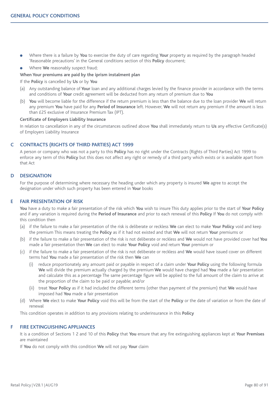- <sup>l</sup> Where there is a failure by **You** to exercise the duty of care regarding **Your** property as required by the paragraph headed 'Reasonable precautions' in the General conditions section of this **Policy** document;
- <sup>l</sup> Where **We** reasonably suspect fraud;

#### **When Your premiums are paid by the iprism instalment plan**

#### If the **Policy** is cancelled by **Us** or by **You**

- (a) Any outstanding balance of **Your** loan and any additional charges levied by the finance provider in accordance with the terms and conditions of **Your** credit agreement will be deducted from any return of premium due to **You**
- (b) **You** will become liable for the difference if the return premium is less than the balance due to the loan provider **We** will return any premium **You** have paid for any **Period of Insurance** left. However, **We** will not return any premium if the amount is less than £25 exclusive of Insurance Premium Tax (IPT).

#### **Certificate of Employers Liability Insurance**

In relation to cancellation in any of the circumstances outlined above **You** shall immediately return to **Us** any effective Certificate(s) of Employers Liability Insurance

## **C CONTRACTS (RIGHTS OF THIRD PARTIES) ACT 1999**

A person or company who was not a party to this **Policy** has no right under the Contracts (Rights of Third Parties) Act 1999 to enforce any term of this **Policy** but this does not affect any right or remedy of a third party which exists or is available apart from that Act

#### **D DESIGNATION**

For the purpose of determining where necessary the heading under which any property is insured **We** agree to accept the designation under which such property has been entered in **Your** books

## **E FAIR PRESENTATION OF RISK**

**You** have a duty to make a fair presentation of the risk which **You** wish to insure This duty applies prior to the start of **Your Policy** and if any variation is required during the **Period of Insurance** and prior to each renewal of this **Policy** If **You** do not comply with this condition then

- (a) if the failure to make a fair presentation of the risk is deliberate or reckless **We** can elect to make **Your Policy** void and keep the premium This means treating the **Policy** as if it had not existed and that **We** will not return **Your** premiums or
- (b) if the failure to make a fair presentation of the risk is not deliberate or reckless and **We** would not have provided cover had **You** made a fair presentation then **We** can elect to make **Your Policy** void and return **Your** premium or
- (c) if the failure to make a fair presentation of the risk is not deliberate or reckless and **We** would have issued cover on different terms had **You** made a fair presentation of the risk then **We** can
	- (i) reduce proportionately any amount paid or payable in respect of a claim under **Your Policy** using the following formula **We** will divide the premium actually charged by the premium **We** would have charged had **You** made a fair presentation and calculate this as a percentage The same percentage figure will be applied to the full amount of the claim to arrive at the proportion of the claim to be paid or payable; and/or
	- (ii) treat **Your Policy** as if it had included the different terms (other than payment of the premium) that **We** would have imposed had **You** made a fair presentation
- (d) Where **We** elect to make **Your Policy** void this will be from the start of the **Policy** or the date of variation or from the date of renewal

This condition operates in addition to any provisions relating to underinsurance in this **Policy**

#### **F FIRE EXTINGUISHING APPLIANCES**

It is a condition of Sections 1 2 and 10 of this **Policy** that **You** ensure that any fire extinguishing appliances kept at **Your Premises** are maintained

If **You** do not comply with this condition **We** will not pay **Your** claim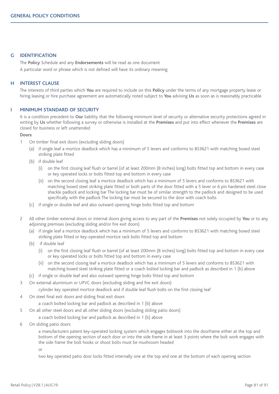## **G IDENTIFICATION**

The **Policy** Schedule and any **Endorsements** will be read as one document A particular word or phrase which is not defined will have its ordinary meaning

## **H INTEREST CLAUSE**

The interests of third parties which **You** are required to include on this **Policy** under the terms of any mortgage property lease or hiring leasing or hire purchase agreement are automatically noted subject to **You** advising **Us** as soon as is reasonably practicable

## **I MINIMUM STANDARD OF SECURITY**

It is a condition precedent to **Our** liability that the following minimum level of security or alternative security protections agreed in writing by **Us** whether following a survey or otherwise is installed at the **Premises** and put into effect whenever the **Premises** are closed for business or left unattended

#### **Doors**

- 1 On timber final exit doors (excluding sliding doors)
	- (a) if single leaf a mortice deadlock which has a minimum of 5 levers and conforms to BS3621 with matching boxed steel striking plate fitted
	- (b) if double leaf
		- (i) on the first closing leaf flush or barrel (of at least 200mm (8 inches) long) bolts fitted top and bottom in every case or key operated locks or bolts fitted top and bottom in every case
		- (ii) on the second closing leaf a mortice deadlock which has a minimum of 5 levers and conforms to BS3621 with matching boxed steel striking plate fitted or both parts of the door fitted with a 5 lever or 6 pin hardened steel close shackle padlock and locking bar The locking bar must be of similar strength to the padlock and designed to be used specifically with the padlock The locking bar must be secured to the door with coach bolts
	- (c) if single or double leaf and also outward opening hinge bolts fitted top and bottom
- 2 All other timber external doors or internal doors giving access to any part of the **Premises** not solely occupied by **You** or to any adjoining premises (excluding sliding and/or fire exit doors)
	- (a) if single leaf a mortice deadlock which has a minimum of 5 levers and conforms to BS3621 with matching boxed steel striking plate fitted or key-operated mortice rack bolts fitted top and bottom
	- (b) if double leaf
		- (i) on the first closing leaf flush or barrel (of at least 200mm (8 inches) long) bolts fitted top and bottom in every case or key operated locks or bolts fitted top and bottom in every case
		- (ii) on the second closing leaf a mortice deadlock which has a minimum of 5 levers and conforms to BS3621 with matching boxed steel striking plate fitted or a coach bolted locking bar and padlock as described in 1 (b) above
	- (c) if single or double leaf and also outward opening hinge bolts fitted top and bottom
- 3 On external aluminium or UPVC doors (excluding sliding and fire exit doors)

cylinder key operated mortice deadlock and if double leaf flush bolts on the first closing leaf

4 On steel final exit doors and sliding final exit doors

a coach bolted locking bar and padlock as described in 1 (b) above

5 On all other steel doors and all other sliding doors (excluding sliding patio doors)

a coach bolted locking bar and padlock as described in 1 (b) above

6 On sliding patio doors

a manufacturers patent key-operated locking system which engages boltwork into the doorframe either at the top and bottom of the opening section of each door or into the side frame in at least 3 points where the bolt work engages with the side frame the bolt hooks or shoot bolts must be mushroom headed

or

two key operated patio door locks fitted internally one at the top and one at the bottom of each opening section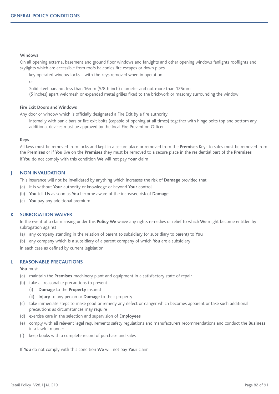## **Windows**

On all opening external basement and ground floor windows and fanlights and other opening windows fanlights rooflights and skylights which are accessible from roofs balconies fire escapes or down pipes

key operated window locks – with the keys removed when in operation

or

Solid steel bars not less than 16mm (5/8th inch) diameter and not more than 125mm

(5 inches) apart weldmesh or expanded metal grilles fixed to the brickwork or masonry surrounding the window

## **Fire Exit Doors and Windows**

Any door or window which is officially designated a Fire Exit by a fire authority

internally with panic bars or fire exit bolts (capable of opening at all times) together with hinge bolts top and bottom any additional devices must be approved by the local Fire Prevention Officer

#### **Keys**

All keys must be removed from locks and kept in a secure place or removed from the **Premises** Keys to safes must be removed from the **Premises** or if **You** live on the **Premises** they must be removed to a secure place in the residential part of the **Premises** If **You** do not comply with this condition **We** will not pay Y**our** claim

## **J NON INVALIDATION**

This insurance will not be invalidated by anything which increases the risk of **Damage** provided that

- (a) it is without **Your** authority or knowledge or beyond **Your** control
- (b) **You** tell **Us** as soon as **You** become aware of the increased risk of **Damage**
- (c) **You** pay any additional premium

# **K SUBROGATION WAIVER**

In the event of a claim arising under this **Policy We** waive any rights remedies or relief to which **We** might become entitled by subrogation against

- (a) any company standing in the relation of parent to subsidiary (or subsidiary to parent) to **You**
- (b) any company which is a subsidiary of a parent company of which **You** are a subsidiary

in each case as defined by current legislation

## **L REASONABLE PRECAUTIONS**

**You** must

- (a) maintain the **Premises** machinery plant and equipment in a satisfactory state of repair
- (b) take all reasonable precautions to prevent
	- (i) **Damage** to the **Property** insured
	- (ii) **Injury** to any person or **Damage** to their property
- (c) take immediate steps to make good or remedy any defect or danger which becomes apparent or take such additional precautions as circumstances may require
- (d) exercise care in the selection and supervision of **Employees**
- (e) comply with all relevant legal requirements safety regulations and manufacturers recommendations and conduct the **Business** in a lawful manner
- (f) keep books with a complete record of purchase and sales

If **You** do not comply with this condition **We** will not pay **Your** claim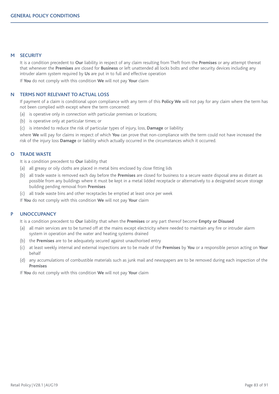## **M SECURITY**

It is a condition precedent to **Our** liability in respect of any claim resulting from Theft from the **Premises** or any attempt thereat that whenever the **Premises** are closed for **Business** or left unattended all locks bolts and other security devices including any intruder alarm system required by **Us** are put in to full and effective operation

If **You** do not comply with this condition **We** will not pay **Your** claim

## **N TERMS NOT RELEVANT TO ACTUAL LOSS**

If payment of a claim is conditional upon compliance with any term of this **Policy We** will not pay for any claim where the term has not been complied with except where the term concerned:

- (a) is operative only in connection with particular premises or locations;
- (b) is operative only at particular times; or
- (c) is intended to reduce the risk of particular types of injury, loss, **Damage** or liability

where **We** will pay for claims in respect of which **You** can prove that non-compliance with the term could not have increased the risk of the injury loss **Damage** or liability which actually occurred in the circumstances which it occurred.

## **O TRADE WASTE**

It is a condition precedent to **Our** liability that

- (a) all greasy or oily cloths are placed in metal bins enclosed by close fitting lids
- (b) all trade waste is removed each day before the **Premises** are closed for business to a secure waste disposal area as distant as possible from any buildings where it must be kept in a metal lidded receptacle or alternatively to a designated secure storage building pending removal from **Premises**
- (c) all trade waste bins and other receptacles be emptied at least once per week

If **You** do not comply with this condition **We** will not pay **Your** claim

# **P UNOCCUPANCY**

It is a condition precedent to **Our** liability that when the **Premises** or any part thereof become **Empty or Disused**

- (a) all main services are to be turned off at the mains except electricity where needed to maintain any fire or intruder alarm system in operation and the water and heating systems drained
- (b) the **Premises** are to be adequately secured against unauthorised entry
- (c) at least weekly internal and external inspections are to be made of the **Premises** by **You** or a responsible person acting on **Your** behalf
- (d) any accumulations of combustible materials such as junk mail and newspapers are to be removed during each inspection of the **Premises**

If **You** do not comply with this condition **We** will not pay **Your** claim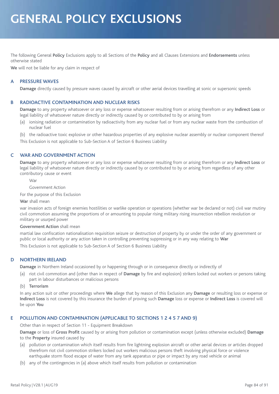# **GENERAL POLICY EXCLUSIONS**

The following General **Policy** Exclusions apply to all Sections of the **Policy** and all Clauses Extensions and **Endorsements** unless otherwise stated

**We** will not be liable for any claim in respect of

# **A PRESSURE WAVES**

**Damage** directly caused by pressure waves caused by aircraft or other aerial devices travelling at sonic or supersonic speeds

## **B RADIOACTIVE CONTAMINATION AND NUCLEAR RISKS**

**Damage** to any property whatsoever or any loss or expense whatsoever resulting from or arising therefrom or any **Indirect Loss** or legal liability of whatsoever nature directly or indirectly caused by or contributed to by or arising from

(a) ionising radiation or contamination by radioactivity from any nuclear fuel or from any nuclear waste from the combustion of nuclear fuel

(b) the radioactive toxic explosive or other hazardous properties of any explosive nuclear assembly or nuclear component thereof This Exclusion is not applicable to Sub-Section A of Section 6 Business Liability

# **C WAR AND GOVERNMENT ACTION**

**Damage** to any property whatsoever or any loss or expense whatsoever resulting from or arising therefrom or any **Indirect Loss** or legal liability of whatsoever nature directly or indirectly caused by or contributed to by or arising from regardless of any other contributory cause or event

War

Government Action

For the purpose of this Exclusion

#### **War** shall mean

war invasion acts of foreign enemies hostilities or warlike operation or operations (whether war be declared or not) civil war mutiny civil commotion assuming the proportions of or amounting to popular rising military rising insurrection rebellion revolution or military or usurped power

#### **Government Action** shall mean

martial law confiscation nationalisation requisition seizure or destruction of property by or under the order of any government or public or local authority or any action taken in controlling preventing suppressing or in any way relating to **War** This Exclusion is not applicable to Sub-Section A of Section 6 Business Liability

**D NORTHERN IRELAND**

**Damage** in Northern Ireland occasioned by or happening through or in consequence directly or indirectly of

(a) riot civil commotion and (other than in respect of **Damage** by fire and explosion) strikers locked out workers or persons taking part in labour disturbances or malicious persons

#### (b) **Terrorism**

In any action suit or other proceedings where **We** allege that by reason of this Exclusion any **Damage** or resulting loss or expense or **Indirect Loss** is not covered by this insurance the burden of proving such **Damage** loss or expense or **Indirect Loss** is covered will be upon **You**

# **E POLLUTION AND CONTAMINATION (APPLICABLE TO SECTIONS 1 2 4 5 7 AND 9)**

Other than in respect of Section 11 - Equipment Breakdown

**Damage** or loss of **Gross Profit** caused by or arising from pollution or contamination except (unless otherwise excluded) **Damage** to the **Property** insured caused by

- (a) pollution or contamination which itself results from fire lightning explosion aircraft or other aerial devices or articles dropped therefrom riot civil commotion strikers locked out workers malicious persons theft involving physical force or violence earthquake storm flood escape of water from any tank apparatus or pipe or impact by any road vehicle or animal
- (b) any of the contingencies in (a) above which itself results from pollution or contamination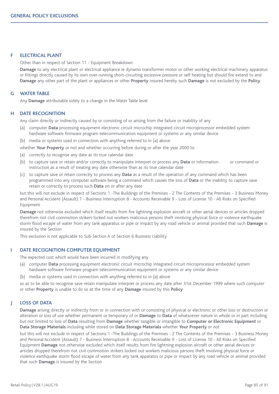# **F ELECTRICAL PLANT**

Other than in respect of Section 11 - Equipment Breakdown

**Damage** to any electrical plant or electrical appliance ie dynamo transformer motor or other working electrical machinery apparatus or fittings directly caused by its own over-running short-circuiting excessive pressure or self heating but should fire extend to and **Damage** any other part of the plant or appliances or other **Property** insured hereby such **Damage** is not excluded by the **Policy**

## **G WATER TABLE**

Any **Damage** attributable solely to a change in the Water Table level

### **H DATE RECOGNITION**

Any claim directly or indirectly caused by or consisting of or arising from the failure or inability of any

- (a) computer **Data** processing equipment electronic circuit microchip integrated circuit microprocessor embedded system hardware software firmware program telecommunication equipment or systems or any similar device
- (b) media or systems used in connection with anything referred to in (a) above

whether **Your Property** or not and whether occurring before during or after the year 2000 to

- (a) correctly to recognise any date as its true calendar date
- (b) to capture save or retain and/or correctly to manipulate interpret or process any **Data** or information or command or instruction as a result of treating any date otherwise than as its true calendar date
- (c) to capture save or retain correctly to process any **Data** as a result of the operation of any command which has been programmed into any computer software being a command which causes the loss of **Data** or the inability to capture save retain or correctly to process such **Data** on or after any date

but this will not exclude in respect of Sections 1 -The Buildings of the Premises - 2 The Contents of the Premises - 3 Business Money and Personal Accident (Assault) 7 - Business Interruption 8 - Accounts Receivable 9 - Loss of License 10 - All Risks on Specified Equipment

**Damage** not otherwise excluded which itself results from fire lightning explosion aircraft or other aerial devices or articles dropped therefrom riot civil commotion strikers locked out workers malicious persons theft involving physical force or violence earthquake storm flood escape of water from any tank apparatus or pipe or impact by any road vehicle or animal provided that such **Damage** is insured by the Section

This exclusion is not applicable to Sub-Section A of Section 6 Business Liability

## **I DATE RECOGNITION COMPUTER EQUIPMENT**

The expected cost which would have been incurred in modifying any

- (a) computer **Data** processing equipment electronic circuit microchip integrated circuit microprocessor embedded system hardware software firmware program telecommunication equipment or systems or any similar device
- (b) media or systems used in connection with anything referred to in (a) above

so as to be able to recognise save retain manipulate interpret or process any date after 31st December 1999 where such computer or other **Property** is unable to do so at the time of any **Damage** insured by this **Policy**

#### **J LOSS OF DATA**

**Damage** arising directly or indirectly from or in connection with or consisting of physical or electronic or other loss or destruction or alteration or loss of use whether permanent or temporary of or **Damage** to **Data** of whatsoever nature in whole or in part including but not limited to loss of **Data** resulting from **Damage** whether tangible or intangible to **Computer or Electronic Equipment** or **Data Storage Materials** including while stored on **Data Storage Materials** whether **Your Property** or not

but this will not exclude in respect of Sections 1 -The Buildings of the Premises - 2 The Contents of the Premises - 3 Business Money and Personal Accident (Assault) 7 - Business Interruption 8 - Accounts Receivable 9 - Loss of License 10 - All Risks on Specified Equipment **Damage** not otherwise excluded which itself results from fire lightning explosion aircraft or other aerial devices or articles dropped therefrom riot civil commotion strikers locked out workers malicious persons theft involving physical force or violence earthquake storm flood escape of water from any tank apparatus or pipe or impact by any road vehicle or animal provided that such **Damage** is insured by the Section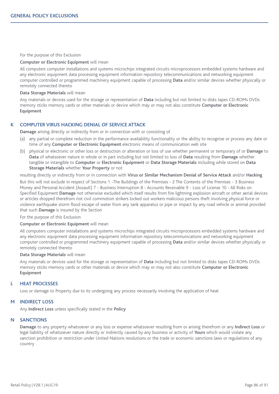#### For the purpose of this Exclusion

#### **Computer or Electronic Equipment** will mean

All computers computer installations and systems microchips integrated circuits microprocessors embedded systems hardware and any electronic equipment data processing equipment information repository telecommunications and networking equipment computer controlled or programmed machinery equipment capable of processing **Data** and/or similar devices whether physically or remotely connected thereto

#### **Data Storage Materials** will mean

Any materials or devices used for the storage or representation of **Data** including but not limited to disks tapes CD-ROMs DVDs memory sticks memory cards or other materials or device which may or may not also constitute **Computer or Electronic Equipment**

# **K COMPUTER VIRUS HACKING DENIAL OF SERVICE ATTACK**

**Damage** arising directly or indirectly from or in connection with or consisting of

- (a) any partial or complete reduction in the performance availability functionality or the ability to recognise or process any date or time of any **Computer or Electronic Equipment** electronic means of communication web site
- (b) physical or electronic or other loss or destruction or alteration or loss of use whether permanent or temporary of or **Damage** to **Data** of whatsoever nature in whole or in part including but not limited to loss of **Data** resulting from **Damage** whether tangible or intangible to **Computer** or **Electronic Equipment** or **Data Storage Materials** including while stored on **Data Storage Materials** whether **Your Property** or not

resulting directly or indirectly from or in connection with **Virus or Similar Mechanism Denial of Service Attack** and/or **Hacking**

But this will not exclude in respect of Sections 1 -The Buildings of the Premises - 2 The Contents of the Premises - 3 Business Money and Personal Accident (Assault) 7 - Business Interruption 8 - Accounts Receivable 9 - Loss of License 10 - All Risks on Specified Equipment **Damage** not otherwise excluded which itself results from fire lightning explosion aircraft or other aerial devices or articles dropped therefrom riot civil commotion strikers locked out workers malicious persons theft involving physical force or violence earthquake storm flood escape of water from any tank apparatus or pipe or impact by any road vehicle or animal provided that such **Damage** is insured by the Section

For the purpose of this Exclusion

## **Computer or Electronic Equipment** will mean

All computers computer installations and systems microchips integrated circuits microprocessors embedded systems hardware and any electronic equipment data processing equipment information repository telecommunications and networking equipment computer controlled or programmed machinery equipment capable of processing **Data** and/or similar devices whether physically or remotely connected thereto

#### **Data Storage Materials** will mean

Any materials or devices used for the storage or representation of **Data** including but not limited to disks tapes CD-ROMs DVDs memory sticks memory cards or other materials or device which may or may not also constitute **Computer or Electronic Equipment**

## **L HEAT PROCESSES**

Loss or damage to Property due to its undergoing any process necessarily involving the application of heat

## **M INDIRECT LOSS**

Any **Indirect Loss** unless specifically stated in the **Policy**

## **N SANCTIONS**

**Damage** to any property whatsoever or any loss or expense whatsoever resulting from or arising therefrom or any **Indirect Loss** or legal liability of whatsoever nature directly or indirectly caused by any business or activity of **Yours** which would violate any sanction prohibition or restriction under United Nations resolutions or the trade or economic sanctions laws or regulations of any country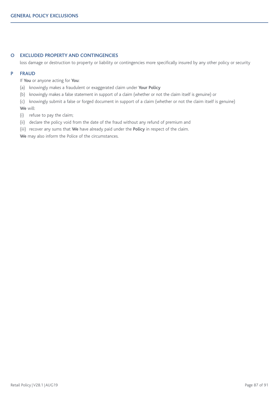# **O EXCLUDED PROPERTY AND CONTINGENCIES**

loss damage or destruction to property or liability or contingencies more specifically insured by any other policy or security

## **P FRAUD**

If **You** or anyone acting for **You**:

- (a) knowingly makes a fraudulent or exaggerated claim under **Your Policy**
- (b) knowingly makes a false statement in support of a claim (whether or not the claim itself is genuine) or

(c) knowingly submit a false or forged document in support of a claim (whether or not the claim itself is genuine) **We** will:

- (i) refuse to pay the claim;
- (ii) declare the policy void from the date of the fraud without any refund of premium and
- (iii) recover any sums that **We** have already paid under the **Policy** in respect of the claim.

**We** may also inform the Police of the circumstances.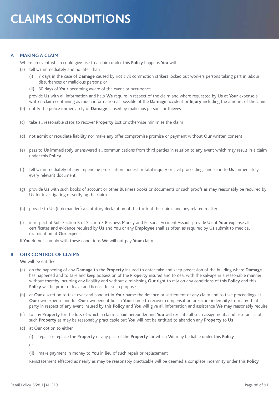# **A MAKING A CLAIM**

Where an event which could give rise to a claim under this **Policy** happens **You** will

- (a) tell **Us** immediately and no later than
	- (i) 7 days in the case of **Damage** caused by riot civil commotion strikers locked out workers persons taking part in labour disturbances or malicious persons; or
	- (ii) 30 days of **Your** becoming aware of the event or occurrence

provide **Us** with all information and help **We** require in respect of the claim and where requested by **Us** at **Your** expense a written claim containing as much information as possible of the **Damage** accident or **Injury** including the amount of the claim

- (b) notify the police immediately of **Damage** caused by malicious persons or thieves
- (c) take all reasonable steps to recover **Property** lost or otherwise minimise the claim
- (d) not admit or repudiate liability nor make any offer compromise promise or payment without **Our** written consent
- (e) pass to **Us** immediately unanswered all communications from third parties in relation to any event which may result in a claim under this **Policy**
- (f) tell **Us** immediately of any impending prosecution inquest or fatal inquiry or civil proceedings and send to **Us** immediately every relevant document
- (g) provide **Us** with such books of account or other Business books or documents or such proofs as may reasonably be required by **Us** for investigating or verifying the claim
- (h) provide to **Us** (if demanded) a statutory declaration of the truth of the claims and any related matter
- (i) in respect of Sub-Section B of Section 3 Business Money and Personal Accident Assault provide **Us** at **Your** expense all certificates and evidence required by **Us** and **You** or any **Employee** shall as often as required by **Us** submit to medical examination at **Our** expense

If **You** do not comply with these conditions **We** will not pay **Your** claim

# **B OUR CONTROL OF CLAIMS**

**We** will be entitled

- (a) on the happening of any **Damage** to the **Property** insured to enter take and keep possession of the building where **Damage** has happened and to take and keep possession of the **Property** insured and to deal with the salvage in a reasonable manner without thereby incurring any liability and without diminishing **Our** right to rely on any conditions of this **Policy** and this **Policy** will be proof of leave and license for such purpose
- (b) at **Our** discretion to take over and conduct in **Your** name the defence or settlement of any claim and to take proceedings at **Our** own expense and for **Our** own benefit but in **Your** name to recover compensation or secure indemnity from any third party in respect of any event insured by this **Policy** and **You** will give all information and assistance **We** may reasonably require
- (c) to any **Property** for the loss of which a claim is paid hereunder and **You** will execute all such assignments and assurances of such **Property** as may be reasonably practicable but **You** will not be entitled to abandon any **Property** to **Us**
- (d) at **Our** option to either
	- (i) repair or replace the **Property** or any part of the **Property** for which **We** may be liable under this **Policy**

or

(ii) make payment in money to **You** in lieu of such repair or replacement

Reinstatement effected as nearly as may be reasonably practicable will be deemed a complete indemnity under this **Policy**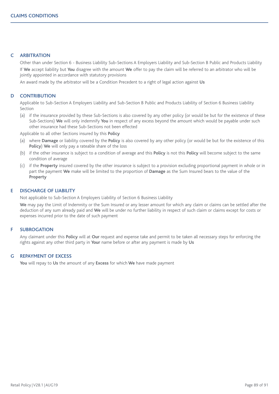# **C ARBITRATION**

Other than under Section 6 - Business Liability Sub-Sections A Employers Liability and Sub-Section B Public and Products Liability If **We** accept liability but **You** disagree with the amount **We** offer to pay the claim will be referred to an arbitrator who will be jointly appointed in accordance with statutory provisions

An award made by the arbitrator will be a Condition Precedent to a right of legal action against **Us**

## **D CONTRIBUTION**

Applicable to Sub-Section A Employers Liability and Sub-Section B Public and Products Liability of Section 6 Business Liability Section

(a) if the insurance provided by these Sub-Sections is also covered by any other policy (or would be but for the existence of these Sub-Sections) **We** will only indemnify **You** in respect of any excess beyond the amount which would be payable under such other insurance had these Sub-Sections not been effected

Applicable to all other Sections insured by this **Policy**

- (a) where **Damage** or liability covered by the **Policy** is also covered by any other policy (or would be but for the existence of this **Policy**) **We** will only pay a rateable share of the loss
- (b) if the other insurance is subject to a condition of average and this **Policy** is not this **Policy** will become subject to the same condition of average
- (c) if the **Property** insured covered by the other insurance is subject to a provision excluding proportional payment in whole or in part the payment **We** make will be limited to the proportion of **Damage** as the Sum Insured bears to the value of the **Property**

## **E DISCHARGE OF LIABILITY**

Not applicable to Sub-Section A Employers Liability of Section 6 Business Liability

**We** may pay the Limit of Indemnity or the Sum Insured or any lesser amount for which any claim or claims can be settled after the deduction of any sum already paid and **We** will be under no further liability in respect of such claim or claims except for costs or expenses incurred prior to the date of such payment

# **F SUBROGATION**

Any claimant under this **Policy** will at **Our** request and expense take and permit to be taken all necessary steps for enforcing the rights against any other third party in **Your** name before or after any payment is made by **Us**

## **G REPAYMENT OF EXCESS**

**You** will repay to **Us** the amount of any **Excess** for which **We** have made payment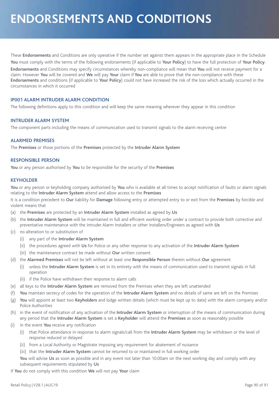# **ENDORSEMENTS AND CONDITIONS**

These **Endorsements** and Conditions are only operative if the number set against them appears in the appropriate place in the Schedule **You** must comply with the terms of the following endorsements (if applicable to **Your Policy**) to have the full protection of **Your Policy**. **Endorsements** and Conditions may specify circumstances whereby non-compliance will mean that **You** will not receive payment for a claim. However **You** will be covered and **We** will pay **Your** claim if **You** are able to prove that the non-compliance with these **Endorsements** and conditions (if applicable to **Your Policy**) could not have increased the risk of the loss which actually occurred in the circumstances in which it occurred

# **IP001 ALARM INTRUDER ALARM CONDITION**

The following definitions apply to this condition and will keep the same meaning wherever they appear in this condition

# **INTRUDER ALARM SYSTEM**

The component parts including the means of communication used to transmit signals to the alarm receiving centre

# **ALARMED PREMISES**

The **Premises** or those portions of the **Premises** protected by the **Intruder Alarm System**

## **RESPONSIBLE PERSON**

**You** or any person authorised by **You** to be responsible for the security of the **Premises**

## **KEYHOLDER**

**You** or any person or keyholding company authorised by **You** who is available at all times to accept notification of faults or alarm signals relating to the **Intruder Alarm System** attend and allow access to the **Premises**

It is a condition precedent to **Our** liability for **Damage** following entry or attempted entry to or exit from the **Premises** by forcible and violent means that

- (a) the **Premises** are protected by an **Intruder Alarm System** installed as agreed by **Us**
- (b) the **Intruder Alarm System** will be maintained in full and efficient working order under a contract to provide both corrective and preventative maintenance with the Intruder Alarm Installers or other Installers/Engineers as agreed with **Us**
- (c) no alteration to or substitution of
	- (i) any part of the **Intruder Alarm System**
	- (ii) the procedures agreed with **Us** for Police or any other response to any activation of the **Intruder Alarm System**
	- (iii) the maintenance contract be made without **Our** written consent
- (d) the **Alarmed Premises** will not be left without at least one **Responsible Person** therein without **Our** agreement
	- (i) unless the **Intruder Alarm System** is set in its entirety with the means of communication used to transmit signals in full operation
	- (ii) if the Police have withdrawn their response to alarm calls
- (e) all keys to the **Intruder Alarm System** are removed from the Premises when they are left unattended
- (f) **You** maintain secrecy of codes for the operation of the **Intruder Alarm System** and no details of same are left on the Premises
- (g) **You** will appoint at least two **Keyholders** and lodge written details (which must be kept up to date) with the alarm company and/or Police Authorities
- (h) in the event of notification of any activation of the **Intruder Alarm System** or interruption of the means of communication during any period that the **Intruder Alarm System** is set a **Keyholder** will attend the **Premises** as soon as reasonably possible
- (i) in the event **You** receive any notification
	- (i) that Police attendance in response to alarm signals/call from the **Intruder Alarm System** may be withdrawn or the level of response reduced or delayed
	- (ii) from a Local Authority or Magistrate imposing any requirement for abatement of nuisance
	- (iii) that the **Intruder Alarm System** cannot be returned to or maintained in full working order

**You** will advise **Us** as soon as possible and in any event not later than 10.00am on the next working day and comply with any subsequent requirements stipulated by **Us**

If **You** do not comply with this condition **We** will not pay **Your** claim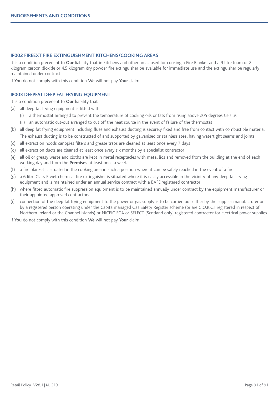# **IP002 FIREEXT FIRE EXTINGUISHMENT KITCHENS/COOKING AREAS**

It is a condition precedent to **Our** liability that in kitchens and other areas used for cooking a Fire Blanket and a 9 litre foam or 2 kilogram carbon dioxide or 4.5 kilogram dry powder fire extinguisher be available for immediate use and the extinguisher be regularly maintained under contract

If **You** do not comply with this condition **We** will not pay **Your** claim

# **IP003 DEEPFAT DEEP FAT FRYING EQUIPMENT**

It is a condition precedent to **Our** liability that

- (a) all deep fat frying equipment is fitted with
	- (i) a thermostat arranged to prevent the temperature of cooking oils or fats from rising above 205 degrees Celsius
	- (ii) an automatic cut-out arranged to cut off the heat source in the event of failure of the thermostat
- (b) all deep fat frying equipment including flues and exhaust ducting is securely fixed and free from contact with combustible material The exhaust ducting is to be constructed of and supported by galvanised or stainless steel having watertight seams and joints
- (c) all extraction hoods canopies filters and grease traps are cleaned at least once every 7 days
- (d) all extraction ducts are cleaned at least once every six months by a specialist contractor
- (e) all oil or greasy waste and cloths are kept in metal receptacles with metal lids and removed from the building at the end of each working day and from the **Premises** at least once a week
- (f) a fire blanket is situated in the cooking area in such a position where it can be safely reached in the event of a fire
- (g) a 6 litre Class F wet chemical fire extinguisher is situated where it is easily accessible in the vicinity of any deep fat frying equipment and is maintained under an annual service contract with a BAFE registered contractor
- (h) where fitted automatic fire suppression equipment is to be maintained annually under contract by the equipment manufacturer or their appointed approved contractors
- (i) connection of the deep fat frying equipment to the power or gas supply is to be carried out either by the supplier manufacturer or by a registered person operating under the Capita managed Gas Safety Register scheme (or are C.O.R.G.I registered in respect of Northern Ireland or the Channel Islands) or NICEIC ECA or SELECT (Scotland only) registered contractor for electrical power supplies

If **You** do not comply with this condition **We** will not pay **Your** claim